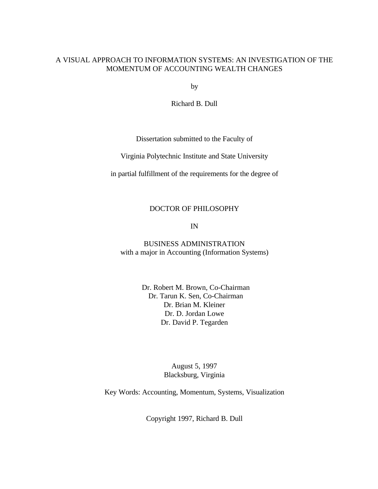## A VISUAL APPROACH TO INFORMATION SYSTEMS: AN INVESTIGATION OF THE MOMENTUM OF ACCOUNTING WEALTH CHANGES

by

Richard B. Dull

Dissertation submitted to the Faculty of

Virginia Polytechnic Institute and State University

in partial fulfillment of the requirements for the degree of

## DOCTOR OF PHILOSOPHY

IN

BUSINESS ADMINISTRATION with a major in Accounting (Information Systems)

> Dr. Robert M. Brown, Co-Chairman Dr. Tarun K. Sen, Co-Chairman Dr. Brian M. Kleiner Dr. D. Jordan Lowe Dr. David P. Tegarden

> > August 5, 1997 Blacksburg, Virginia

Key Words: Accounting, Momentum, Systems, Visualization

Copyright 1997, Richard B. Dull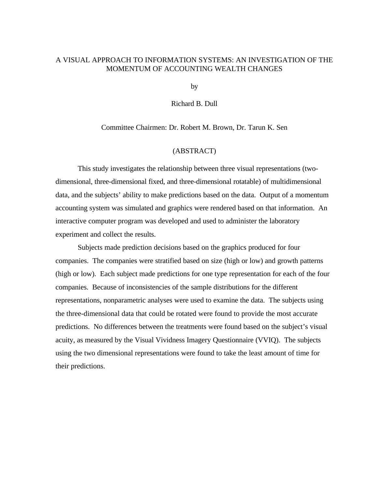### A VISUAL APPROACH TO INFORMATION SYSTEMS: AN INVESTIGATION OF THE MOMENTUM OF ACCOUNTING WEALTH CHANGES

by

Richard B. Dull

Committee Chairmen: Dr. Robert M. Brown, Dr. Tarun K. Sen

#### (ABSTRACT)

This study investigates the relationship between three visual representations (twodimensional, three-dimensional fixed, and three-dimensional rotatable) of multidimensional data, and the subjects' ability to make predictions based on the data. Output of a momentum accounting system was simulated and graphics were rendered based on that information. An interactive computer program was developed and used to administer the laboratory experiment and collect the results.

Subjects made prediction decisions based on the graphics produced for four companies. The companies were stratified based on size (high or low) and growth patterns (high or low). Each subject made predictions for one type representation for each of the four companies. Because of inconsistencies of the sample distributions for the different representations, nonparametric analyses were used to examine the data. The subjects using the three-dimensional data that could be rotated were found to provide the most accurate predictions. No differences between the treatments were found based on the subject's visual acuity, as measured by the Visual Vividness Imagery Questionnaire (VVIQ). The subjects using the two dimensional representations were found to take the least amount of time for their predictions.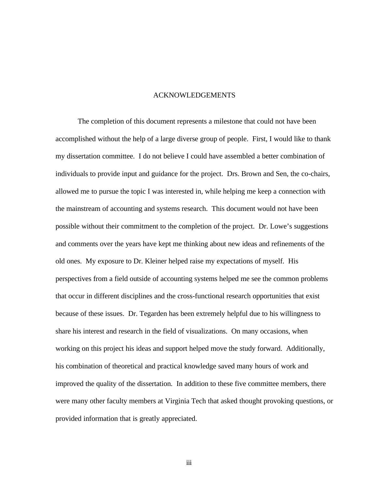### ACKNOWLEDGEMENTS

The completion of this document represents a milestone that could not have been accomplished without the help of a large diverse group of people. First, I would like to thank my dissertation committee. I do not believe I could have assembled a better combination of individuals to provide input and guidance for the project. Drs. Brown and Sen, the co-chairs, allowed me to pursue the topic I was interested in, while helping me keep a connection with the mainstream of accounting and systems research. This document would not have been possible without their commitment to the completion of the project. Dr. Lowe's suggestions and comments over the years have kept me thinking about new ideas and refinements of the old ones. My exposure to Dr. Kleiner helped raise my expectations of myself. His perspectives from a field outside of accounting systems helped me see the common problems that occur in different disciplines and the cross-functional research opportunities that exist because of these issues. Dr. Tegarden has been extremely helpful due to his willingness to share his interest and research in the field of visualizations. On many occasions, when working on this project his ideas and support helped move the study forward. Additionally, his combination of theoretical and practical knowledge saved many hours of work and improved the quality of the dissertation. In addition to these five committee members, there were many other faculty members at Virginia Tech that asked thought provoking questions, or provided information that is greatly appreciated.

iii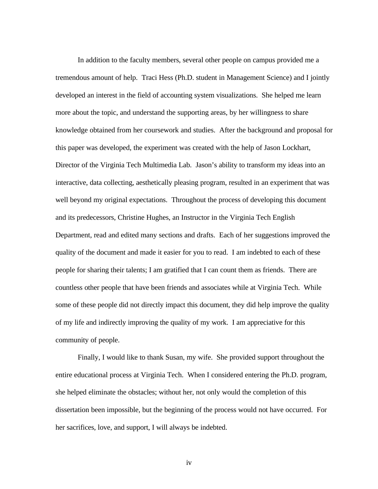In addition to the faculty members, several other people on campus provided me a tremendous amount of help. Traci Hess (Ph.D. student in Management Science) and I jointly developed an interest in the field of accounting system visualizations. She helped me learn more about the topic, and understand the supporting areas, by her willingness to share knowledge obtained from her coursework and studies. After the background and proposal for this paper was developed, the experiment was created with the help of Jason Lockhart, Director of the Virginia Tech Multimedia Lab. Jason's ability to transform my ideas into an interactive, data collecting, aesthetically pleasing program, resulted in an experiment that was well beyond my original expectations. Throughout the process of developing this document and its predecessors, Christine Hughes, an Instructor in the Virginia Tech English Department, read and edited many sections and drafts. Each of her suggestions improved the quality of the document and made it easier for you to read. I am indebted to each of these people for sharing their talents; I am gratified that I can count them as friends. There are countless other people that have been friends and associates while at Virginia Tech. While some of these people did not directly impact this document, they did help improve the quality of my life and indirectly improving the quality of my work. I am appreciative for this community of people.

Finally, I would like to thank Susan, my wife. She provided support throughout the entire educational process at Virginia Tech. When I considered entering the Ph.D. program, she helped eliminate the obstacles; without her, not only would the completion of this dissertation been impossible, but the beginning of the process would not have occurred. For her sacrifices, love, and support, I will always be indebted.

iv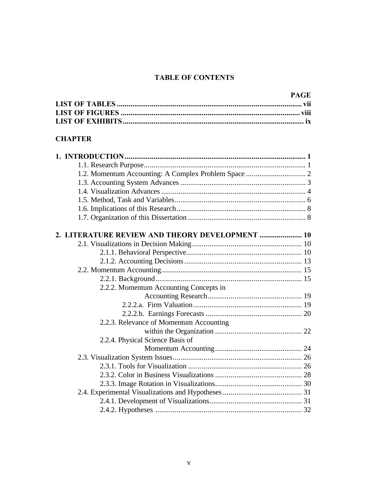## **TABLE OF CONTENTS**

## **CHAPTER**

| 2. LITERATURE REVIEW AND THEORY DEVELOPMENT  10 |  |
|-------------------------------------------------|--|
|                                                 |  |
|                                                 |  |
|                                                 |  |
|                                                 |  |
|                                                 |  |
| 2.2.2. Momentum Accounting Concepts in          |  |
|                                                 |  |
|                                                 |  |
|                                                 |  |
| 2.2.3. Relevance of Momentum Accounting         |  |
|                                                 |  |
| 2.2.4. Physical Science Basis of                |  |
|                                                 |  |
|                                                 |  |
|                                                 |  |
|                                                 |  |
|                                                 |  |
|                                                 |  |
|                                                 |  |
|                                                 |  |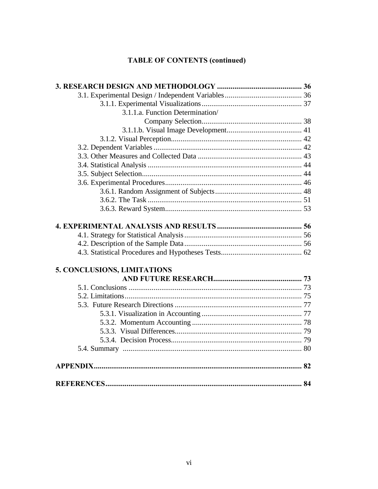# **TABLE OF CONTENTS (continued)**

| 3.1.1.a. Function Determination/ |  |
|----------------------------------|--|
|                                  |  |
|                                  |  |
|                                  |  |
|                                  |  |
|                                  |  |
|                                  |  |
|                                  |  |
|                                  |  |
|                                  |  |
|                                  |  |
|                                  |  |
|                                  |  |
|                                  |  |
|                                  |  |
|                                  |  |
|                                  |  |
| 5. CONCLUSIONS, LIMITATIONS      |  |
|                                  |  |
|                                  |  |
|                                  |  |
|                                  |  |
|                                  |  |
|                                  |  |
|                                  |  |
|                                  |  |
|                                  |  |
|                                  |  |
|                                  |  |
|                                  |  |
|                                  |  |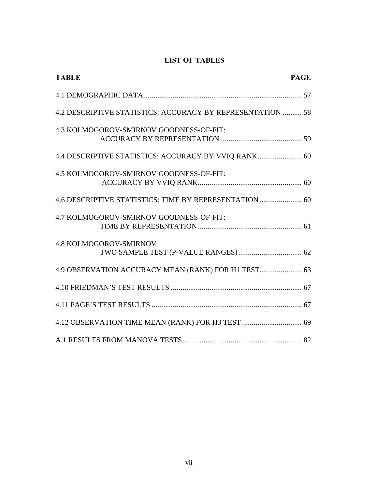## **LIST OF TABLES**

| <b>TABLE</b><br><b>PAGE</b>                                |  |
|------------------------------------------------------------|--|
|                                                            |  |
| 4.2 DESCRIPTIVE STATISTICS: ACCURACY BY REPRESENTATION  58 |  |
| 4.3 KOLMOGOROV-SMIRNOV GOODNESS-OF-FIT:                    |  |
| 4.4 DESCRIPTIVE STATISTICS: ACCURACY BY VVIQ RANK 60       |  |
| 4.5 KOLMOGOROV-SMIRNOV GOODNESS-OF-FIT:                    |  |
| 4.6 DESCRIPTIVE STATISTICS: TIME BY REPRESENTATION 60      |  |
| 4.7 KOLMOGOROV-SMIRNOV GOODNESS-OF-FIT:                    |  |
| <b>4.8 KOLMOGOROV-SMIRNOV</b>                              |  |
| 4.9 OBSERVATION ACCURACY MEAN (RANK) FOR H1 TEST 63        |  |
|                                                            |  |
|                                                            |  |
|                                                            |  |
|                                                            |  |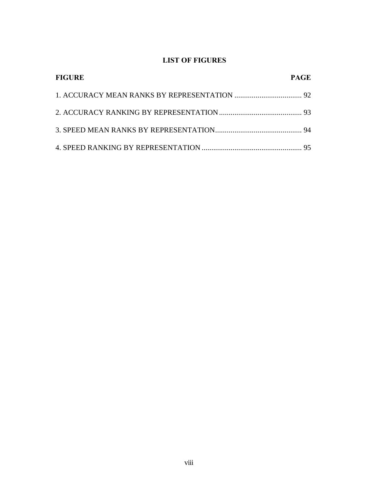## **LIST OF FIGURES**

| <b>FIGURE</b> | <b>PAGE</b> |
|---------------|-------------|
|               |             |
|               |             |
|               |             |
|               |             |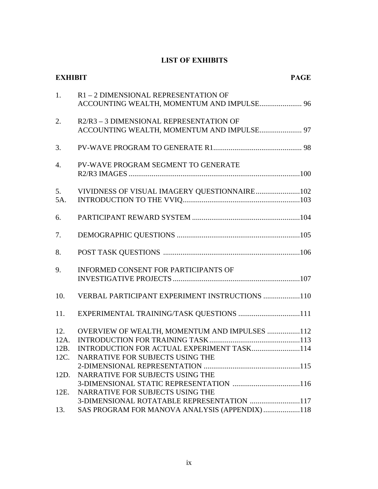## **LIST OF EXHIBITS**

|                     | <b>PAGE</b><br><b>EXHIBIT</b>                                                               |  |
|---------------------|---------------------------------------------------------------------------------------------|--|
| 1.                  | R1-2 DIMENSIONAL REPRESENTATION OF<br>ACCOUNTING WEALTH, MOMENTUM AND IMPULSE 96            |  |
| 2.                  | R2/R3 - 3 DIMENSIONAL REPRESENTATION OF<br>ACCOUNTING WEALTH, MOMENTUM AND IMPULSE 97       |  |
| 3.                  |                                                                                             |  |
| $\overline{4}$ .    | PV-WAVE PROGRAM SEGMENT TO GENERATE                                                         |  |
| 5.<br>5A.           | VIVIDNESS OF VISUAL IMAGERY QUESTIONNAIRE102                                                |  |
| 6.                  |                                                                                             |  |
| 7.                  |                                                                                             |  |
| 8.                  |                                                                                             |  |
| 9.                  | INFORMED CONSENT FOR PARTICIPANTS OF                                                        |  |
| 10.                 | VERBAL PARTICIPANT EXPERIMENT INSTRUCTIONS 110                                              |  |
| 11.                 | EXPERIMENTAL TRAINING/TASK QUESTIONS 111                                                    |  |
| 12.<br>12A.<br>12B. | OVERVIEW OF WEALTH, MOMENTUM AND IMPULSES 112<br>INTRODUCTION FOR ACTUAL EXPERIMENT TASK114 |  |
| 12C.<br>12D.        | NARRATIVE FOR SUBJECTS USING THE<br>NARRATIVE FOR SUBJECTS USING THE                        |  |
| 12E.                | NARRATIVE FOR SUBJECTS USING THE                                                            |  |
| 13.                 | 3-DIMENSIONAL ROTATABLE REPRESENTATION 117<br>SAS PROGRAM FOR MANOVA ANALYSIS (APPENDIX)118 |  |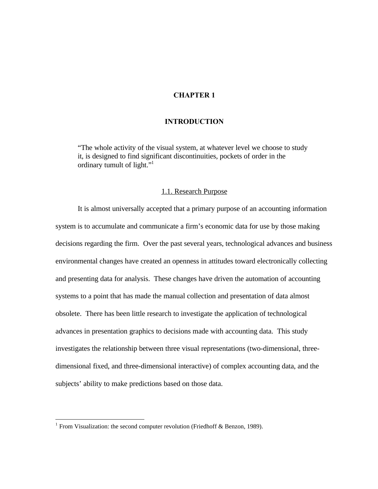## **CHAPTER 1**

#### **INTRODUCTION**

"The whole activity of the visual system, at whatever level we choose to study it, is designed to find significant discontinuities, pockets of order in the ordinary tumult of light."<sup>1</sup>

#### 1.1. Research Purpose

It is almost universally accepted that a primary purpose of an accounting information system is to accumulate and communicate a firm's economic data for use by those making decisions regarding the firm. Over the past several years, technological advances and business environmental changes have created an openness in attitudes toward electronically collecting and presenting data for analysis. These changes have driven the automation of accounting systems to a point that has made the manual collection and presentation of data almost obsolete. There has been little research to investigate the application of technological advances in presentation graphics to decisions made with accounting data. This study investigates the relationship between three visual representations (two-dimensional, threedimensional fixed, and three-dimensional interactive) of complex accounting data, and the subjects' ability to make predictions based on those data.

 1 From Visualization: the second computer revolution (Friedhoff & Benzon, 1989).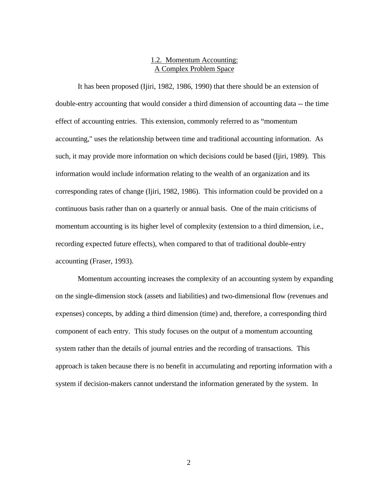## 1.2. Momentum Accounting: A Complex Problem Space

It has been proposed (Ijiri, 1982, 1986, 1990) that there should be an extension of double-entry accounting that would consider a third dimension of accounting data -- the time effect of accounting entries. This extension, commonly referred to as "momentum accounting," uses the relationship between time and traditional accounting information. As such, it may provide more information on which decisions could be based (Ijiri, 1989). This information would include information relating to the wealth of an organization and its corresponding rates of change (Ijiri, 1982, 1986). This information could be provided on a continuous basis rather than on a quarterly or annual basis. One of the main criticisms of momentum accounting is its higher level of complexity (extension to a third dimension, i.e., recording expected future effects), when compared to that of traditional double-entry accounting (Fraser, 1993).

Momentum accounting increases the complexity of an accounting system by expanding on the single-dimension stock (assets and liabilities) and two-dimensional flow (revenues and expenses) concepts, by adding a third dimension (time) and, therefore, a corresponding third component of each entry. This study focuses on the output of a momentum accounting system rather than the details of journal entries and the recording of transactions. This approach is taken because there is no benefit in accumulating and reporting information with a system if decision-makers cannot understand the information generated by the system. In

2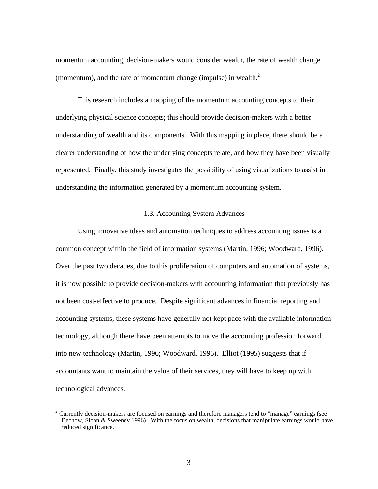momentum accounting, decision-makers would consider wealth, the rate of wealth change (momentum), and the rate of momentum change (impulse) in wealth.<sup>2</sup>

This research includes a mapping of the momentum accounting concepts to their underlying physical science concepts; this should provide decision-makers with a better understanding of wealth and its components. With this mapping in place, there should be a clearer understanding of how the underlying concepts relate, and how they have been visually represented. Finally, this study investigates the possibility of using visualizations to assist in understanding the information generated by a momentum accounting system.

#### 1.3. Accounting System Advances

Using innovative ideas and automation techniques to address accounting issues is a common concept within the field of information systems (Martin, 1996; Woodward, 1996). Over the past two decades, due to this proliferation of computers and automation of systems, it is now possible to provide decision-makers with accounting information that previously has not been cost-effective to produce. Despite significant advances in financial reporting and accounting systems, these systems have generally not kept pace with the available information technology, although there have been attempts to move the accounting profession forward into new technology (Martin, 1996; Woodward, 1996). Elliot (1995) suggests that if accountants want to maintain the value of their services, they will have to keep up with technological advances.

 $2$  Currently decision-makers are focused on earnings and therefore managers tend to "manage" earnings (see Dechow, Sloan & Sweeney 1996). With the focus on wealth, decisions that manipulate earnings would have reduced significance.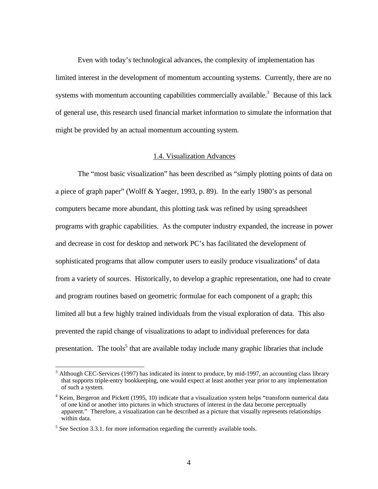Even with today's technological advances, the complexity of implementation has limited interest in the development of momentum accounting systems. Currently, there are no systems with momentum accounting capabilities commercially available.<sup>3</sup> Because of this lack of general use, this research used financial market information to simulate the information that might be provided by an actual momentum accounting system.

#### 1.4. Visualization Advances

The "most basic visualization" has been described as "simply plotting points of data on a piece of graph paper" (Wolff & Yaeger, 1993, p. 89). In the early 1980's as personal computers became more abundant, this plotting task was refined by using spreadsheet programs with graphic capabilities. As the computer industry expanded, the increase in power and decrease in cost for desktop and network PC's has facilitated the development of sophisticated programs that allow computer users to easily produce visualizations<sup>4</sup> of data from a variety of sources. Historically, to develop a graphic representation, one had to create and program routines based on geometric formulae for each component of a graph; this limited all but a few highly trained individuals from the visual exploration of data. This also prevented the rapid change of visualizations to adapt to individual preferences for data presentation. The tools<sup>5</sup> that are available today include many graphic libraries that include

 $3$  Although CEC-Services (1997) has indicated its intent to produce, by mid-1997, an accounting class library that supports triple-entry bookkeeping, one would expect at least another year prior to any implementation of such a system.

<sup>&</sup>lt;sup>4</sup> Keim, Bergeron and Pickett (1995, 10) indicate that a visualization system helps "transform numerical data of one kind or another into pictures in which structures of interest in the data become perceptually apparent." Therefore, a visualization can be described as a picture that visually represents relationships within data.

 $<sup>5</sup>$  See Section 3.3.1. for more information regarding the currently available tools.</sup>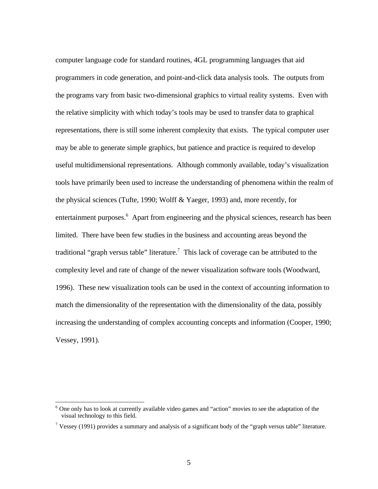computer language code for standard routines, 4GL programming languages that aid programmers in code generation, and point-and-click data analysis tools. The outputs from the programs vary from basic two-dimensional graphics to virtual reality systems. Even with the relative simplicity with which today's tools may be used to transfer data to graphical representations, there is still some inherent complexity that exists. The typical computer user may be able to generate simple graphics, but patience and practice is required to develop useful multidimensional representations. Although commonly available, today's visualization tools have primarily been used to increase the understanding of phenomena within the realm of the physical sciences (Tufte, 1990; Wolff & Yaeger, 1993) and, more recently, for entertainment purposes.<sup>6</sup> Apart from engineering and the physical sciences, research has been limited. There have been few studies in the business and accounting areas beyond the traditional "graph versus table" literature.<sup>7</sup> This lack of coverage can be attributed to the complexity level and rate of change of the newer visualization software tools (Woodward, 1996). These new visualization tools can be used in the context of accounting information to match the dimensionality of the representation with the dimensionality of the data, possibly increasing the understanding of complex accounting concepts and information (Cooper, 1990; Vessey, 1991).

-

<sup>&</sup>lt;sup>6</sup> One only has to look at currently available video games and "action" movies to see the adaptation of the visual technology to this field.

<sup>&</sup>lt;sup>7</sup> Vessey (1991) provides a summary and analysis of a significant body of the "graph versus table" literature.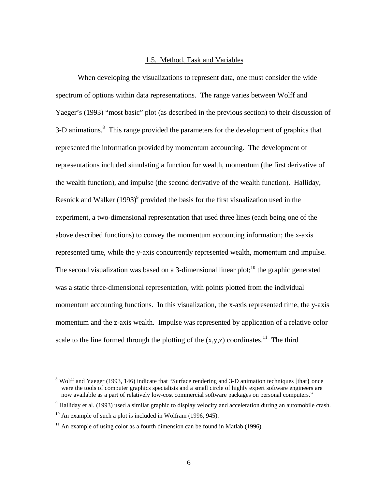#### 1.5. Method, Task and Variables

When developing the visualizations to represent data, one must consider the wide spectrum of options within data representations. The range varies between Wolff and Yaeger's (1993) "most basic" plot (as described in the previous section) to their discussion of 3-D animations.<sup>8</sup> This range provided the parameters for the development of graphics that represented the information provided by momentum accounting. The development of representations included simulating a function for wealth, momentum (the first derivative of the wealth function), and impulse (the second derivative of the wealth function). Halliday, Resnick and Walker  $(1993)^9$  provided the basis for the first visualization used in the experiment, a two-dimensional representation that used three lines (each being one of the above described functions) to convey the momentum accounting information; the x-axis represented time, while the y-axis concurrently represented wealth, momentum and impulse. The second visualization was based on a 3-dimensional linear plot;<sup>10</sup> the graphic generated was a static three-dimensional representation, with points plotted from the individual momentum accounting functions. In this visualization, the x-axis represented time, the y-axis momentum and the z-axis wealth. Impulse was represented by application of a relative color scale to the line formed through the plotting of the  $(x,y,z)$  coordinates.<sup>11</sup> The third

<sup>&</sup>lt;sup>8</sup> Wolff and Yaeger (1993, 146) indicate that "Surface rendering and 3-D animation techniques [that] once were the tools of computer graphics specialists and a small circle of highly expert software engineers are now available as a part of relatively low-cost commercial software packages on personal computers."

<sup>&</sup>lt;sup>9</sup> Halliday et al. (1993) used a similar graphic to display velocity and acceleration during an automobile crash.

 $10$  An example of such a plot is included in Wolfram (1996, 945).

<sup>&</sup>lt;sup>11</sup> An example of using color as a fourth dimension can be found in Matlab (1996).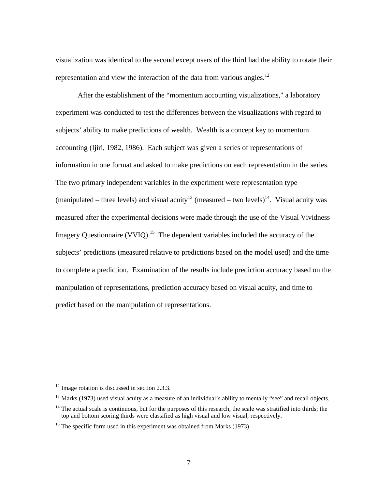visualization was identical to the second except users of the third had the ability to rotate their representation and view the interaction of the data from various angles.<sup>12</sup>

After the establishment of the "momentum accounting visualizations," a laboratory experiment was conducted to test the differences between the visualizations with regard to subjects' ability to make predictions of wealth. Wealth is a concept key to momentum accounting (Ijiri, 1982, 1986). Each subject was given a series of representations of information in one format and asked to make predictions on each representation in the series. The two primary independent variables in the experiment were representation type (manipulated – three levels) and visual acuity<sup>13</sup> (measured – two levels)<sup>14</sup>. Visual acuity was measured after the experimental decisions were made through the use of the Visual Vividness Imagery Questionnaire (VVIQ).<sup>15</sup> The dependent variables included the accuracy of the subjects' predictions (measured relative to predictions based on the model used) and the time to complete a prediction. Examination of the results include prediction accuracy based on the manipulation of representations, prediction accuracy based on visual acuity, and time to predict based on the manipulation of representations.

-

 $12$  Image rotation is discussed in section 2.3.3.

 $13$  Marks (1973) used visual acuity as a measure of an individual's ability to mentally "see" and recall objects.

 $14$  The actual scale is continuous, but for the purposes of this research, the scale was stratified into thirds; the top and bottom scoring thirds were classified as high visual and low visual, respectively.

<sup>&</sup>lt;sup>15</sup> The specific form used in this experiment was obtained from Marks (1973).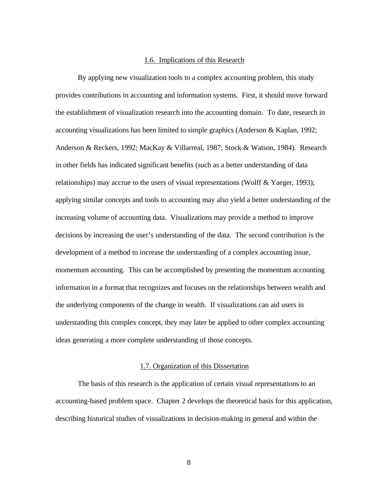#### 1.6. Implications of this Research

By applying new visualization tools to a complex accounting problem, this study provides contributions in accounting and information systems. First, it should move forward the establishment of visualization research into the accounting domain. To date, research in accounting visualizations has been limited to simple graphics (Anderson & Kaplan, 1992; Anderson & Reckers, 1992; MacKay & Villarreal, 1987; Stock & Watson, 1984). Research in other fields has indicated significant benefits (such as a better understanding of data relationships) may accrue to the users of visual representations (Wolff & Yaeger, 1993); applying similar concepts and tools to accounting may also yield a better understanding of the increasing volume of accounting data. Visualizations may provide a method to improve decisions by increasing the user's understanding of the data. The second contribution is the development of a method to increase the understanding of a complex accounting issue, momentum accounting.This can be accomplished by presenting the momentum accounting information in a format that recognizes and focuses on the relationships between wealth and the underlying components of the change in wealth. If visualizations can aid users in understanding this complex concept, they may later be applied to other complex accounting ideas generating a more complete understanding of those concepts.

#### 1.7. Organization of this Dissertation

The basis of this research is the application of certain visual representations to an accounting-based problem space. Chapter 2 develops the theoretical basis for this application, describing historical studies of visualizations in decision-making in general and within the

8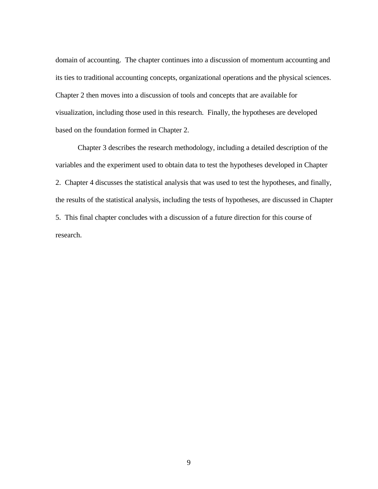domain of accounting. The chapter continues into a discussion of momentum accounting and its ties to traditional accounting concepts, organizational operations and the physical sciences. Chapter 2 then moves into a discussion of tools and concepts that are available for visualization, including those used in this research. Finally, the hypotheses are developed based on the foundation formed in Chapter 2.

Chapter 3 describes the research methodology, including a detailed description of the variables and the experiment used to obtain data to test the hypotheses developed in Chapter 2. Chapter 4 discusses the statistical analysis that was used to test the hypotheses, and finally, the results of the statistical analysis, including the tests of hypotheses, are discussed in Chapter 5. This final chapter concludes with a discussion of a future direction for this course of research.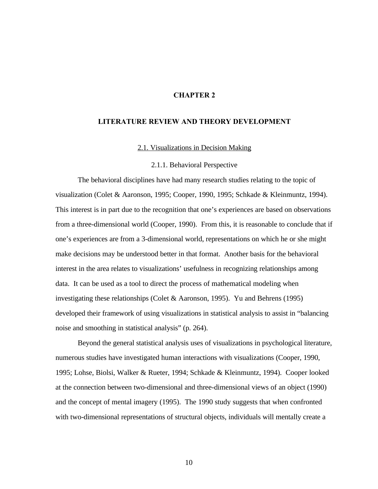### **CHAPTER 2**

#### **LITERATURE REVIEW AND THEORY DEVELOPMENT**

2.1. Visualizations in Decision Making

2.1.1. Behavioral Perspective

The behavioral disciplines have had many research studies relating to the topic of visualization (Colet & Aaronson, 1995; Cooper, 1990, 1995; Schkade & Kleinmuntz, 1994). This interest is in part due to the recognition that one's experiences are based on observations from a three-dimensional world (Cooper, 1990). From this, it is reasonable to conclude that if one's experiences are from a 3-dimensional world, representations on which he or she might make decisions may be understood better in that format. Another basis for the behavioral interest in the area relates to visualizations' usefulness in recognizing relationships among data. It can be used as a tool to direct the process of mathematical modeling when investigating these relationships (Colet & Aaronson, 1995). Yu and Behrens (1995) developed their framework of using visualizations in statistical analysis to assist in "balancing noise and smoothing in statistical analysis" (p. 264).

Beyond the general statistical analysis uses of visualizations in psychological literature, numerous studies have investigated human interactions with visualizations (Cooper, 1990, 1995; Lohse, Biolsi, Walker & Rueter, 1994; Schkade & Kleinmuntz, 1994). Cooper looked at the connection between two-dimensional and three-dimensional views of an object (1990) and the concept of mental imagery (1995). The 1990 study suggests that when confronted with two-dimensional representations of structural objects, individuals will mentally create a

10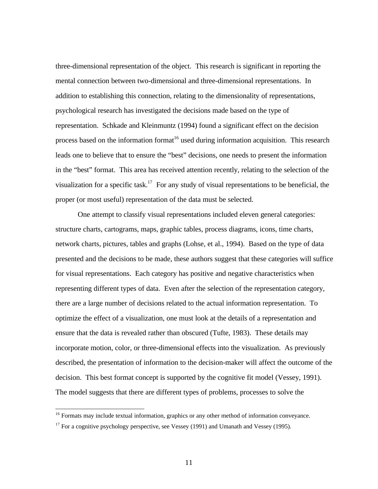three-dimensional representation of the object. This research is significant in reporting the mental connection between two-dimensional and three-dimensional representations. In addition to establishing this connection, relating to the dimensionality of representations, psychological research has investigated the decisions made based on the type of representation. Schkade and Kleinmuntz (1994) found a significant effect on the decision process based on the information format<sup>16</sup> used during information acquisition. This research leads one to believe that to ensure the "best" decisions, one needs to present the information in the "best" format. This area has received attention recently, relating to the selection of the visualization for a specific task.<sup>17</sup> For any study of visual representations to be beneficial, the proper (or most useful) representation of the data must be selected.

One attempt to classify visual representations included eleven general categories: structure charts, cartograms, maps, graphic tables, process diagrams, icons, time charts, network charts, pictures, tables and graphs (Lohse, et al., 1994). Based on the type of data presented and the decisions to be made, these authors suggest that these categories will suffice for visual representations. Each category has positive and negative characteristics when representing different types of data. Even after the selection of the representation category, there are a large number of decisions related to the actual information representation. To optimize the effect of a visualization, one must look at the details of a representation and ensure that the data is revealed rather than obscured (Tufte, 1983). These details may incorporate motion, color, or three-dimensional effects into the visualization. As previously described, the presentation of information to the decision-maker will affect the outcome of the decision. This best format concept is supported by the cognitive fit model (Vessey, 1991). The model suggests that there are different types of problems, processes to solve the

<sup>&</sup>lt;sup>16</sup> Formats may include textual information, graphics or any other method of information conveyance.

 $17$  For a cognitive psychology perspective, see Vessey (1991) and Umanath and Vessey (1995).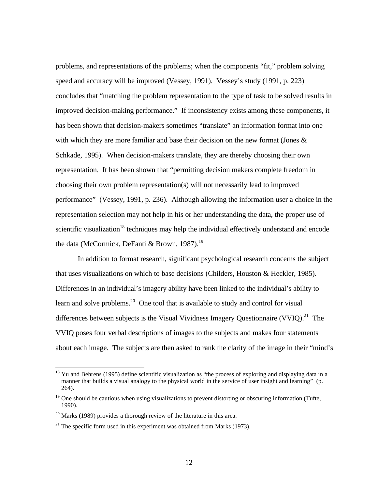problems, and representations of the problems; when the components "fit," problem solving speed and accuracy will be improved (Vessey, 1991). Vessey's study (1991, p. 223) concludes that "matching the problem representation to the type of task to be solved results in improved decision-making performance." If inconsistency exists among these components, it has been shown that decision-makers sometimes "translate" an information format into one with which they are more familiar and base their decision on the new format (Jones & Schkade, 1995). When decision-makers translate, they are thereby choosing their own representation. It has been shown that "permitting decision makers complete freedom in choosing their own problem representation(s) will not necessarily lead to improved performance" (Vessey, 1991, p. 236). Although allowing the information user a choice in the representation selection may not help in his or her understanding the data, the proper use of scientific visualization<sup>18</sup> techniques may help the individual effectively understand and encode the data (McCormick, DeFanti & Brown, 1987).<sup>19</sup>

In addition to format research, significant psychological research concerns the subject that uses visualizations on which to base decisions (Childers, Houston & Heckler, 1985). Differences in an individual's imagery ability have been linked to the individual's ability to learn and solve problems.<sup>20</sup> One tool that is available to study and control for visual differences between subjects is the Visual Vividness Imagery Questionnaire (VVIQ).<sup>21</sup> The VVIQ poses four verbal descriptions of images to the subjects and makes four statements about each image. The subjects are then asked to rank the clarity of the image in their "mind's

-

 $18$  Yu and Behrens (1995) define scientific visualization as "the process of exploring and displaying data in a manner that builds a visual analogy to the physical world in the service of user insight and learning" (p. 264).

<sup>&</sup>lt;sup>19</sup> One should be cautious when using visualizations to prevent distorting or obscuring information (Tufte, 1990).

 $^{20}$  Marks (1989) provides a thorough review of the literature in this area.

 $21$  The specific form used in this experiment was obtained from Marks (1973).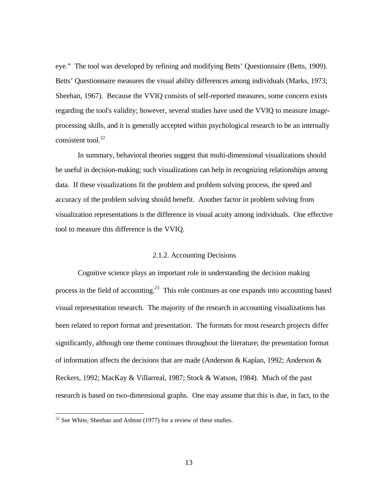eye." The tool was developed by refining and modifying Betts' Questionnaire (Betts, 1909). Betts' Questionnaire measures the visual ability differences among individuals (Marks, 1973; Sheehan, 1967). Because the VVIQ consists of self-reported measures, some concern exists regarding the tool's validity; however, several studies have used the VVIQ to measure imageprocessing skills, and it is generally accepted within psychological research to be an internally consistent tool. $^{22}$ 

In summary, behavioral theories suggest that multi-dimensional visualizations should be useful in decision-making; such visualizations can help in recognizing relationships among data. If these visualizations fit the problem and problem solving process, the speed and accuracy of the problem solving should benefit. Another factor in problem solving from visualization representations is the difference in visual acuity among individuals. One effective tool to measure this difference is the VVIQ.

### 2.1.2. Accounting Decisions

Cognitive science plays an important role in understanding the decision making process in the field of accounting.<sup>23</sup> This role continues as one expands into accounting based visual representation research. The majority of the research in accounting visualizations has been related to report format and presentation. The formats for most research projects differ significantly, although one theme continues throughout the literature; the presentation format of information affects the decisions that are made (Anderson & Kaplan, 1992; Anderson  $\&$ Reckers, 1992; MacKay & Villarreal, 1987; Stock & Watson, 1984). Much of the past research is based on two-dimensional graphs. One may assume that this is due, in fact, to the

 $22$  See White, Sheehan and Ashton (1977) for a review of these studies.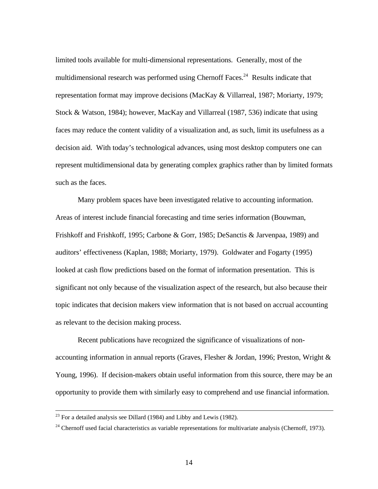limited tools available for multi-dimensional representations. Generally, most of the multidimensional research was performed using Chernoff Faces.<sup>24</sup> Results indicate that representation format may improve decisions (MacKay & Villarreal, 1987; Moriarty, 1979; Stock & Watson, 1984); however, MacKay and Villarreal (1987, 536) indicate that using faces may reduce the content validity of a visualization and, as such, limit its usefulness as a decision aid. With today's technological advances, using most desktop computers one can represent multidimensional data by generating complex graphics rather than by limited formats such as the faces.

Many problem spaces have been investigated relative to accounting information. Areas of interest include financial forecasting and time series information (Bouwman, Frishkoff and Frishkoff, 1995; Carbone & Gorr, 1985; DeSanctis & Jarvenpaa, 1989) and auditors' effectiveness (Kaplan, 1988; Moriarty, 1979). Goldwater and Fogarty (1995) looked at cash flow predictions based on the format of information presentation. This is significant not only because of the visualization aspect of the research, but also because their topic indicates that decision makers view information that is not based on accrual accounting as relevant to the decision making process.

Recent publications have recognized the significance of visualizations of nonaccounting information in annual reports (Graves, Flesher & Jordan, 1996; Preston, Wright & Young, 1996). If decision-makers obtain useful information from this source, there may be an opportunity to provide them with similarly easy to comprehend and use financial information.

-

 $^{23}$  For a detailed analysis see Dillard (1984) and Libby and Lewis (1982).

 $24$  Chernoff used facial characteristics as variable representations for multivariate analysis (Chernoff, 1973).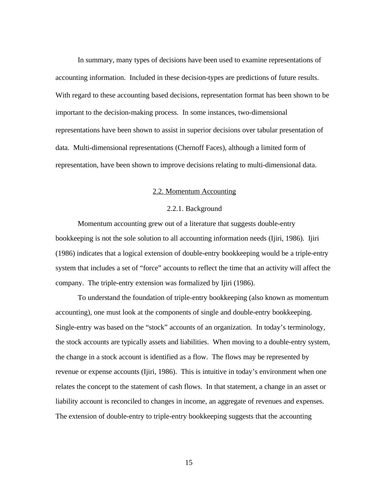In summary, many types of decisions have been used to examine representations of accounting information. Included in these decision-types are predictions of future results. With regard to these accounting based decisions, representation format has been shown to be important to the decision-making process. In some instances, two-dimensional representations have been shown to assist in superior decisions over tabular presentation of data. Multi-dimensional representations (Chernoff Faces), although a limited form of representation, have been shown to improve decisions relating to multi-dimensional data.

#### 2.2. Momentum Accounting

#### 2.2.1. Background

Momentum accounting grew out of a literature that suggests double-entry bookkeeping is not the sole solution to all accounting information needs (Ijiri, 1986). Ijiri (1986) indicates that a logical extension of double-entry bookkeeping would be a triple-entry system that includes a set of "force" accounts to reflect the time that an activity will affect the company. The triple-entry extension was formalized by Ijiri (1986).

To understand the foundation of triple-entry bookkeeping (also known as momentum accounting), one must look at the components of single and double-entry bookkeeping. Single-entry was based on the "stock" accounts of an organization. In today's terminology, the stock accounts are typically assets and liabilities. When moving to a double-entry system, the change in a stock account is identified as a flow. The flows may be represented by revenue or expense accounts (Ijiri, 1986). This is intuitive in today's environment when one relates the concept to the statement of cash flows. In that statement, a change in an asset or liability account is reconciled to changes in income, an aggregate of revenues and expenses. The extension of double-entry to triple-entry bookkeeping suggests that the accounting

15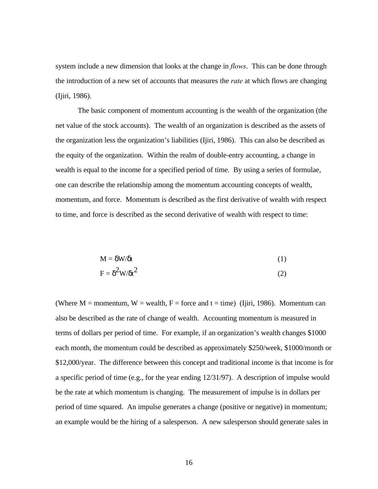system include a new dimension that looks at the change in *flows*. This can be done through the introduction of a new set of accounts that measures the *rate* at which flows are changing (Ijiri, 1986).

The basic component of momentum accounting is the wealth of the organization (the net value of the stock accounts). The wealth of an organization is described as the assets of the organization less the organization's liabilities (Ijiri, 1986). This can also be described as the equity of the organization. Within the realm of double-entry accounting, a change in wealth is equal to the income for a specified period of time. By using a series of formulae, one can describe the relationship among the momentum accounting concepts of wealth, momentum, and force. Momentum is described as the first derivative of wealth with respect to time, and force is described as the second derivative of wealth with respect to time:

$$
M = \delta W/\delta t \tag{1}
$$

$$
F = \delta^2 W / \delta t^2 \tag{2}
$$

(Where M = momentum, W = wealth, F = force and t = time) (Ijiri, 1986). Momentum can also be described as the rate of change of wealth. Accounting momentum is measured in terms of dollars per period of time. For example, if an organization's wealth changes \$1000 each month, the momentum could be described as approximately \$250/week, \$1000/month or \$12,000/year. The difference between this concept and traditional income is that income is for a specific period of time (e.g., for the year ending 12/31/97). A description of impulse would be the rate at which momentum is changing. The measurement of impulse is in dollars per period of time squared. An impulse generates a change (positive or negative) in momentum; an example would be the hiring of a salesperson. A new salesperson should generate sales in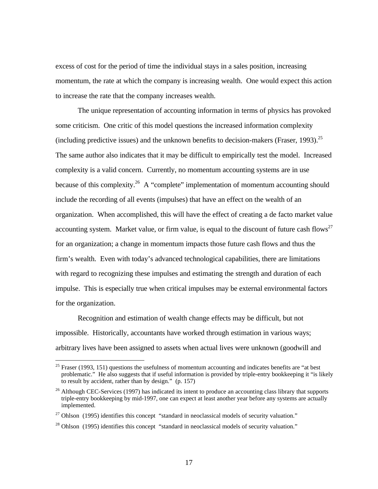excess of cost for the period of time the individual stays in a sales position, increasing momentum, the rate at which the company is increasing wealth. One would expect this action to increase the rate that the company increases wealth.

The unique representation of accounting information in terms of physics has provoked some criticism. One critic of this model questions the increased information complexity (including predictive issues) and the unknown benefits to decision-makers (Fraser, 1993).<sup>25</sup> The same author also indicates that it may be difficult to empirically test the model. Increased complexity is a valid concern. Currently, no momentum accounting systems are in use because of this complexity.<sup>26</sup> A "complete" implementation of momentum accounting should include the recording of all events (impulses) that have an effect on the wealth of an organization. When accomplished, this will have the effect of creating a de facto market value accounting system. Market value, or firm value, is equal to the discount of future cash flows<sup>27</sup> for an organization; a change in momentum impacts those future cash flows and thus the firm's wealth. Even with today's advanced technological capabilities, there are limitations with regard to recognizing these impulses and estimating the strength and duration of each impulse. This is especially true when critical impulses may be external environmental factors for the organization.

Recognition and estimation of wealth change effects may be difficult, but not impossible. Historically, accountants have worked through estimation in various ways; arbitrary lives have been assigned to assets when actual lives were unknown (goodwill and

<sup>&</sup>lt;sup>25</sup> Fraser (1993, 151) questions the usefulness of momentum accounting and indicates benefits are "at best problematic." He also suggests that if useful information is provided by triple-entry bookkeeping it "is likely to result by accident, rather than by design." (p. 157)

 $^{26}$  Although CEC-Services (1997) has indicated its intent to produce an accounting class library that supports triple-entry bookkeeping by mid-1997, one can expect at least another year before any systems are actually implemented.

 $27$  Ohlson (1995) identifies this concept "standard in neoclassical models of security valuation."

 $^{28}$  Ohlson (1995) identifies this concept "standard in neoclassical models of security valuation."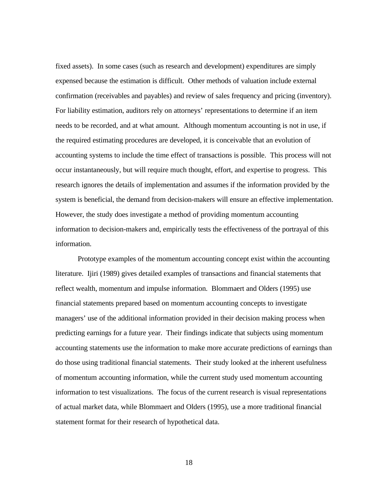fixed assets). In some cases (such as research and development) expenditures are simply expensed because the estimation is difficult. Other methods of valuation include external confirmation (receivables and payables) and review of sales frequency and pricing (inventory). For liability estimation, auditors rely on attorneys' representations to determine if an item needs to be recorded, and at what amount. Although momentum accounting is not in use, if the required estimating procedures are developed, it is conceivable that an evolution of accounting systems to include the time effect of transactions is possible. This process will not occur instantaneously, but will require much thought, effort, and expertise to progress. This research ignores the details of implementation and assumes if the information provided by the system is beneficial, the demand from decision-makers will ensure an effective implementation. However, the study does investigate a method of providing momentum accounting information to decision-makers and, empirically tests the effectiveness of the portrayal of this information.

Prototype examples of the momentum accounting concept exist within the accounting literature. Ijiri (1989) gives detailed examples of transactions and financial statements that reflect wealth, momentum and impulse information. Blommaert and Olders (1995) use financial statements prepared based on momentum accounting concepts to investigate managers' use of the additional information provided in their decision making process when predicting earnings for a future year. Their findings indicate that subjects using momentum accounting statements use the information to make more accurate predictions of earnings than do those using traditional financial statements. Their study looked at the inherent usefulness of momentum accounting information, while the current study used momentum accounting information to test visualizations. The focus of the current research is visual representations of actual market data, while Blommaert and Olders (1995), use a more traditional financial statement format for their research of hypothetical data.

18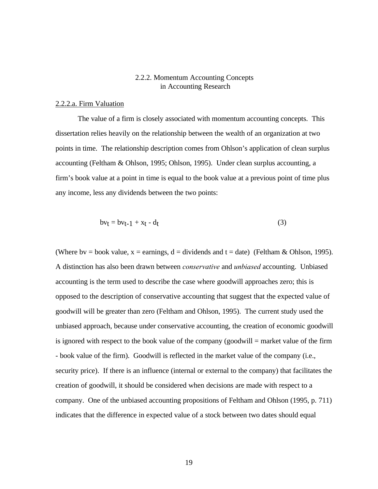## 2.2.2. Momentum Accounting Concepts in Accounting Research

#### 2.2.2.a. Firm Valuation

The value of a firm is closely associated with momentum accounting concepts. This dissertation relies heavily on the relationship between the wealth of an organization at two points in time. The relationship description comes from Ohlson's application of clean surplus accounting (Feltham & Ohlson, 1995; Ohlson, 1995). Under clean surplus accounting, a firm's book value at a point in time is equal to the book value at a previous point of time plus any income, less any dividends between the two points:

$$
bvt = bvt - 1 + xt - dt \tag{3}
$$

(Where by = book value,  $x =$  earnings,  $d =$  dividends and  $t =$  date) (Feltham & Ohlson, 1995). A distinction has also been drawn between *conservative* and *unbiased* accounting. Unbiased accounting is the term used to describe the case where goodwill approaches zero; this is opposed to the description of conservative accounting that suggest that the expected value of goodwill will be greater than zero (Feltham and Ohlson, 1995). The current study used the unbiased approach, because under conservative accounting, the creation of economic goodwill is ignored with respect to the book value of the company (goodwill = market value of the firm - book value of the firm). Goodwill is reflected in the market value of the company (i.e., security price). If there is an influence (internal or external to the company) that facilitates the creation of goodwill, it should be considered when decisions are made with respect to a company. One of the unbiased accounting propositions of Feltham and Ohlson (1995, p. 711) indicates that the difference in expected value of a stock between two dates should equal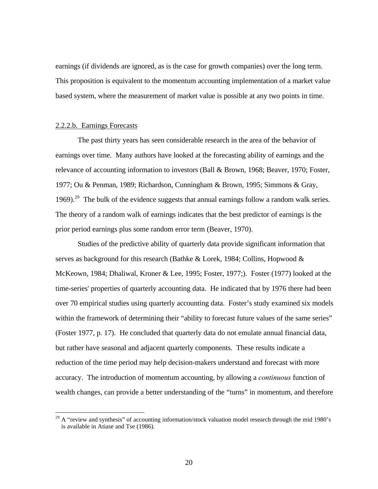earnings (if dividends are ignored, as is the case for growth companies) over the long term. This proposition is equivalent to the momentum accounting implementation of a market value based system, where the measurement of market value is possible at any two points in time.

#### 2.2.2.b. Earnings Forecasts

 $\overline{a}$ 

The past thirty years has seen considerable research in the area of the behavior of earnings over time. Many authors have looked at the forecasting ability of earnings and the relevance of accounting information to investors (Ball & Brown, 1968; Beaver, 1970; Foster, 1977; Ou & Penman, 1989; Richardson, Cunningham & Brown, 1995; Simmons & Gray, 1969).<sup>29</sup> The bulk of the evidence suggests that annual earnings follow a random walk series. The theory of a random walk of earnings indicates that the best predictor of earnings is the prior period earnings plus some random error term (Beaver, 1970).

Studies of the predictive ability of quarterly data provide significant information that serves as background for this research (Bathke & Lorek, 1984; Collins, Hopwood & McKeown, 1984; Dhaliwal, Kroner & Lee, 1995; Foster, 1977;). Foster (1977) looked at the time-series' properties of quarterly accounting data. He indicated that by 1976 there had been over 70 empirical studies using quarterly accounting data. Foster's study examined six models within the framework of determining their "ability to forecast future values of the same series" (Foster 1977, p. 17). He concluded that quarterly data do not emulate annual financial data, but rather have seasonal and adjacent quarterly components. These results indicate a reduction of the time period may help decision-makers understand and forecast with more accuracy. The introduction of momentum accounting, by allowing a *continuous* function of wealth changes, can provide a better understanding of the "turns" in momentum, and therefore

 $^{29}$  A "review and synthesis" of accounting information/stock valuation model research through the mid 1980's is available in Atiase and Tse (1986).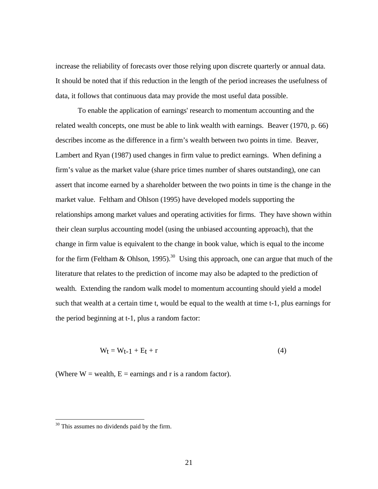increase the reliability of forecasts over those relying upon discrete quarterly or annual data. It should be noted that if this reduction in the length of the period increases the usefulness of data, it follows that continuous data may provide the most useful data possible.

To enable the application of earnings' research to momentum accounting and the related wealth concepts, one must be able to link wealth with earnings. Beaver (1970, p. 66) describes income as the difference in a firm's wealth between two points in time. Beaver, Lambert and Ryan (1987) used changes in firm value to predict earnings. When defining a firm's value as the market value (share price times number of shares outstanding), one can assert that income earned by a shareholder between the two points in time is the change in the market value. Feltham and Ohlson (1995) have developed models supporting the relationships among market values and operating activities for firms. They have shown within their clean surplus accounting model (using the unbiased accounting approach), that the change in firm value is equivalent to the change in book value, which is equal to the income for the firm (Feltham & Ohlson, 1995).<sup>30</sup> Using this approach, one can argue that much of the literature that relates to the prediction of income may also be adapted to the prediction of wealth. Extending the random walk model to momentum accounting should yield a model such that wealth at a certain time t, would be equal to the wealth at time t-1, plus earnings for the period beginning at t-1, plus a random factor:

$$
W_t = W_{t-1} + E_t + r \tag{4}
$$

(Where  $W =$  wealth,  $E =$  earnings and r is a random factor).

 $30$  This assumes no dividends paid by the firm.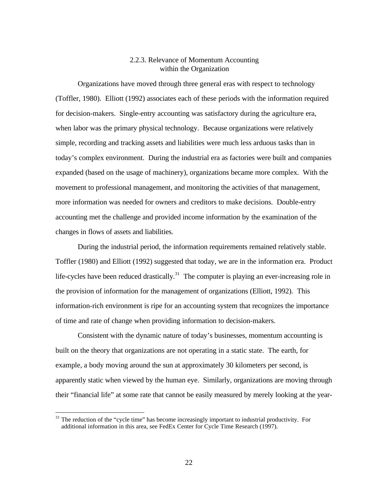### 2.2.3. Relevance of Momentum Accounting within the Organization

Organizations have moved through three general eras with respect to technology (Toffler, 1980). Elliott (1992) associates each of these periods with the information required for decision-makers. Single-entry accounting was satisfactory during the agriculture era, when labor was the primary physical technology. Because organizations were relatively simple, recording and tracking assets and liabilities were much less arduous tasks than in today's complex environment. During the industrial era as factories were built and companies expanded (based on the usage of machinery), organizations became more complex. With the movement to professional management, and monitoring the activities of that management, more information was needed for owners and creditors to make decisions. Double-entry accounting met the challenge and provided income information by the examination of the changes in flows of assets and liabilities.

During the industrial period, the information requirements remained relatively stable. Toffler (1980) and Elliott (1992) suggested that today, we are in the information era. Product life-cycles have been reduced drastically.<sup>31</sup> The computer is playing an ever-increasing role in the provision of information for the management of organizations (Elliott, 1992). This information-rich environment is ripe for an accounting system that recognizes the importance of time and rate of change when providing information to decision-makers.

Consistent with the dynamic nature of today's businesses, momentum accounting is built on the theory that organizations are not operating in a static state. The earth, for example, a body moving around the sun at approximately 30 kilometers per second, is apparently static when viewed by the human eye. Similarly, organizations are moving through their "financial life" at some rate that cannot be easily measured by merely looking at the year-

-

 $31$  The reduction of the "cycle time" has become increasingly important to industrial productivity. For additional information in this area, see FedEx Center for Cycle Time Research (1997).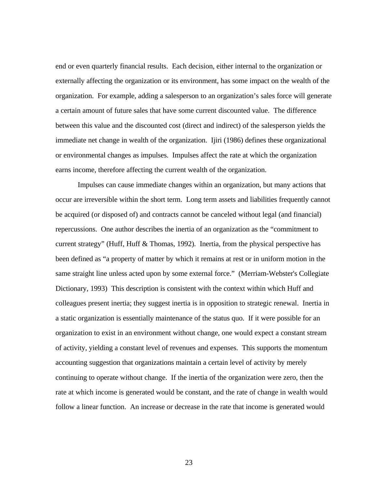end or even quarterly financial results. Each decision, either internal to the organization or externally affecting the organization or its environment, has some impact on the wealth of the organization. For example, adding a salesperson to an organization's sales force will generate a certain amount of future sales that have some current discounted value. The difference between this value and the discounted cost (direct and indirect) of the salesperson yields the immediate net change in wealth of the organization. Ijiri (1986) defines these organizational or environmental changes as impulses. Impulses affect the rate at which the organization earns income, therefore affecting the current wealth of the organization.

Impulses can cause immediate changes within an organization, but many actions that occur are irreversible within the short term. Long term assets and liabilities frequently cannot be acquired (or disposed of) and contracts cannot be canceled without legal (and financial) repercussions. One author describes the inertia of an organization as the "commitment to current strategy" (Huff, Huff & Thomas, 1992). Inertia, from the physical perspective has been defined as "a property of matter by which it remains at rest or in uniform motion in the same straight line unless acted upon by some external force." (Merriam-Webster's Collegiate Dictionary, 1993) This description is consistent with the context within which Huff and colleagues present inertia; they suggest inertia is in opposition to strategic renewal. Inertia in a static organization is essentially maintenance of the status quo. If it were possible for an organization to exist in an environment without change, one would expect a constant stream of activity, yielding a constant level of revenues and expenses. This supports the momentum accounting suggestion that organizations maintain a certain level of activity by merely continuing to operate without change. If the inertia of the organization were zero, then the rate at which income is generated would be constant, and the rate of change in wealth would follow a linear function. An increase or decrease in the rate that income is generated would

23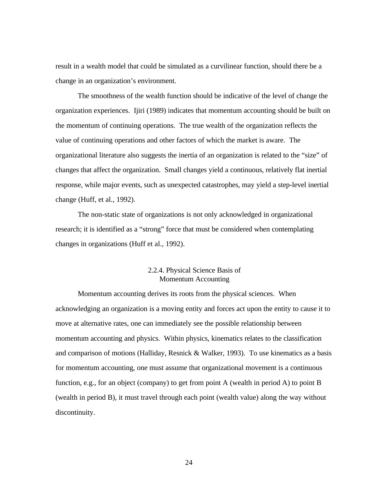result in a wealth model that could be simulated as a curvilinear function, should there be a change in an organization's environment.

The smoothness of the wealth function should be indicative of the level of change the organization experiences. Ijiri (1989) indicates that momentum accounting should be built on the momentum of continuing operations. The true wealth of the organization reflects the value of continuing operations and other factors of which the market is aware. The organizational literature also suggests the inertia of an organization is related to the "size" of changes that affect the organization. Small changes yield a continuous, relatively flat inertial response, while major events, such as unexpected catastrophes, may yield a step-level inertial change (Huff, et al., 1992).

The non-static state of organizations is not only acknowledged in organizational research; it is identified as a "strong" force that must be considered when contemplating changes in organizations (Huff et al., 1992).

## 2.2.4. Physical Science Basis of Momentum Accounting

Momentum accounting derives its roots from the physical sciences. When acknowledging an organization is a moving entity and forces act upon the entity to cause it to move at alternative rates, one can immediately see the possible relationship between momentum accounting and physics. Within physics, kinematics relates to the classification and comparison of motions (Halliday, Resnick & Walker, 1993). To use kinematics as a basis for momentum accounting, one must assume that organizational movement is a continuous function, e.g., for an object (company) to get from point A (wealth in period A) to point B (wealth in period B), it must travel through each point (wealth value) along the way without discontinuity.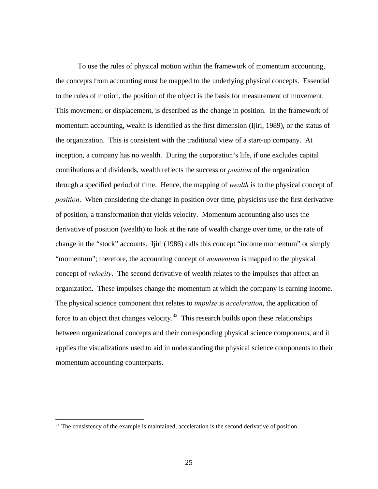To use the rules of physical motion within the framework of momentum accounting, the concepts from accounting must be mapped to the underlying physical concepts. Essential to the rules of motion, the position of the object is the basis for measurement of movement. This movement, or displacement, is described as the change in position. In the framework of momentum accounting, wealth is identified as the first dimension (Ijiri, 1989), or the status of the organization. This is consistent with the traditional view of a start-up company. At inception, a company has no wealth. During the corporation's life, if one excludes capital contributions and dividends, wealth reflects the success or *position* of the organization through a specified period of time. Hence, the mapping of *wealth* is to the physical concept of *position*. When considering the change in position over time, physicists use the first derivative of position, a transformation that yields velocity. Momentum accounting also uses the derivative of position (wealth) to look at the rate of wealth change over time, or the rate of change in the "stock" accounts. Ijiri (1986) calls this concept "income momentum" or simply "momentum"; therefore, the accounting concept of *momentum* is mapped to the physical concept of *velocity*. The second derivative of wealth relates to the impulses that affect an organization. These impulses change the momentum at which the company is earning income. The physical science component that relates to *impulse* is *acceleration*, the application of force to an object that changes velocity.<sup>32</sup> This research builds upon these relationships between organizational concepts and their corresponding physical science components, and it applies the visualizations used to aid in understanding the physical science components to their momentum accounting counterparts.

 $32$  The consistency of the example is maintained, acceleration is the second derivative of position.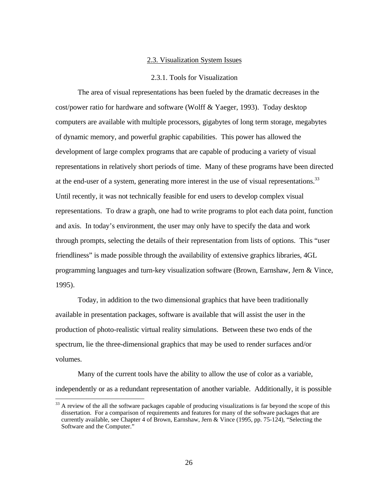#### 2.3. Visualization System Issues

#### 2.3.1. Tools for Visualization

The area of visual representations has been fueled by the dramatic decreases in the cost/power ratio for hardware and software (Wolff & Yaeger, 1993). Today desktop computers are available with multiple processors, gigabytes of long term storage, megabytes of dynamic memory, and powerful graphic capabilities. This power has allowed the development of large complex programs that are capable of producing a variety of visual representations in relatively short periods of time. Many of these programs have been directed at the end-user of a system, generating more interest in the use of visual representations.<sup>33</sup> Until recently, it was not technically feasible for end users to develop complex visual representations. To draw a graph, one had to write programs to plot each data point, function and axis. In today's environment, the user may only have to specify the data and work through prompts, selecting the details of their representation from lists of options. This "user friendliness" is made possible through the availability of extensive graphics libraries, 4GL programming languages and turn-key visualization software (Brown, Earnshaw, Jern & Vince, 1995).

Today, in addition to the two dimensional graphics that have been traditionally available in presentation packages, software is available that will assist the user in the production of photo-realistic virtual reality simulations. Between these two ends of the spectrum, lie the three-dimensional graphics that may be used to render surfaces and/or volumes.

Many of the current tools have the ability to allow the use of color as a variable, independently or as a redundant representation of another variable. Additionally, it is possible

 $33$  A review of the all the software packages capable of producing visualizations is far beyond the scope of this dissertation. For a comparison of requirements and features for many of the software packages that are currently available, see Chapter 4 of Brown, Earnshaw, Jern & Vince (1995, pp. 75-124), "Selecting the Software and the Computer."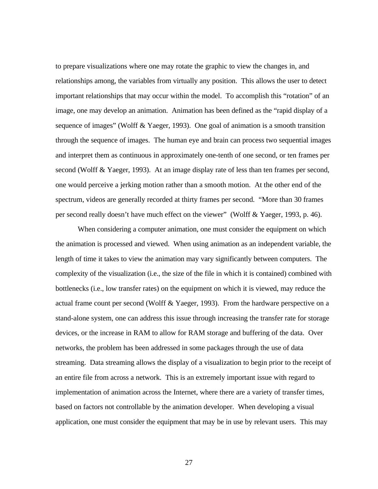to prepare visualizations where one may rotate the graphic to view the changes in, and relationships among, the variables from virtually any position. This allows the user to detect important relationships that may occur within the model. To accomplish this "rotation" of an image, one may develop an animation. Animation has been defined as the "rapid display of a sequence of images" (Wolff & Yaeger, 1993). One goal of animation is a smooth transition through the sequence of images. The human eye and brain can process two sequential images and interpret them as continuous in approximately one-tenth of one second, or ten frames per second (Wolff & Yaeger, 1993). At an image display rate of less than ten frames per second, one would perceive a jerking motion rather than a smooth motion. At the other end of the spectrum, videos are generally recorded at thirty frames per second. "More than 30 frames per second really doesn't have much effect on the viewer" (Wolff & Yaeger, 1993, p. 46).

When considering a computer animation, one must consider the equipment on which the animation is processed and viewed. When using animation as an independent variable, the length of time it takes to view the animation may vary significantly between computers. The complexity of the visualization (i.e., the size of the file in which it is contained) combined with bottlenecks (i.e., low transfer rates) on the equipment on which it is viewed, may reduce the actual frame count per second (Wolff & Yaeger, 1993). From the hardware perspective on a stand-alone system, one can address this issue through increasing the transfer rate for storage devices, or the increase in RAM to allow for RAM storage and buffering of the data. Over networks, the problem has been addressed in some packages through the use of data streaming. Data streaming allows the display of a visualization to begin prior to the receipt of an entire file from across a network. This is an extremely important issue with regard to implementation of animation across the Internet, where there are a variety of transfer times, based on factors not controllable by the animation developer. When developing a visual application, one must consider the equipment that may be in use by relevant users. This may

27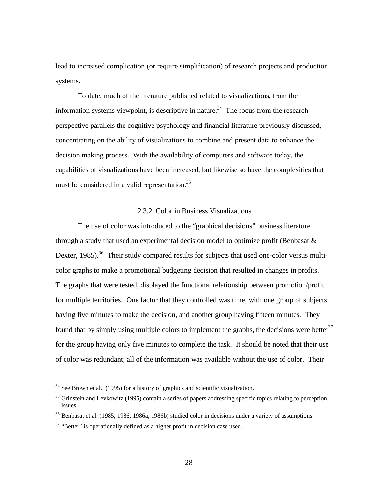lead to increased complication (or require simplification) of research projects and production systems.

To date, much of the literature published related to visualizations, from the information systems viewpoint, is descriptive in nature.<sup>34</sup> The focus from the research perspective parallels the cognitive psychology and financial literature previously discussed, concentrating on the ability of visualizations to combine and present data to enhance the decision making process. With the availability of computers and software today, the capabilities of visualizations have been increased, but likewise so have the complexities that must be considered in a valid representation.<sup>35</sup>

### 2.3.2. Color in Business Visualizations

The use of color was introduced to the "graphical decisions" business literature through a study that used an experimental decision model to optimize profit (Benbasat  $\&$ Dexter, 1985).<sup>36</sup> Their study compared results for subjects that used one-color versus multicolor graphs to make a promotional budgeting decision that resulted in changes in profits. The graphs that were tested, displayed the functional relationship between promotion/profit for multiple territories. One factor that they controlled was time, with one group of subjects having five minutes to make the decision, and another group having fifteen minutes. They found that by simply using multiple colors to implement the graphs, the decisions were better<sup>37</sup> for the group having only five minutes to complete the task. It should be noted that their use of color was redundant; all of the information was available without the use of color. Their

 $34$  See Brown et al., (1995) for a history of graphics and scientific visualization.

<sup>&</sup>lt;sup>35</sup> Grinstein and Levkowitz (1995) contain a series of papers addressing specific topics relating to perception issues.

<sup>&</sup>lt;sup>36</sup> Benbasat et al. (1985, 1986, 1986a, 1986b) studied color in decisions under a variety of assumptions.

 $37$  "Better" is operationally defined as a higher profit in decision case used.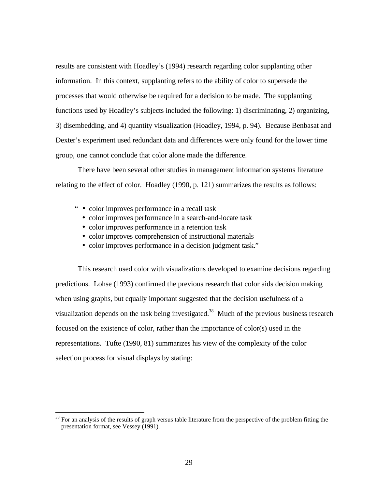results are consistent with Hoadley's (1994) research regarding color supplanting other information. In this context, supplanting refers to the ability of color to supersede the processes that would otherwise be required for a decision to be made. The supplanting functions used by Hoadley's subjects included the following: 1) discriminating, 2) organizing, 3) disembedding, and 4) quantity visualization (Hoadley, 1994, p. 94). Because Benbasat and Dexter's experiment used redundant data and differences were only found for the lower time group, one cannot conclude that color alone made the difference.

There have been several other studies in management information systems literature relating to the effect of color. Hoadley (1990, p. 121) summarizes the results as follows:

" • color improves performance in a recall task

 $\overline{a}$ 

- color improves performance in a search-and-locate task
- color improves performance in a retention task
- color improves comprehension of instructional materials
- color improves performance in a decision judgment task."

This research used color with visualizations developed to examine decisions regarding predictions. Lohse (1993) confirmed the previous research that color aids decision making when using graphs, but equally important suggested that the decision usefulness of a visualization depends on the task being investigated.<sup>38</sup> Much of the previous business research focused on the existence of color, rather than the importance of color(s) used in the representations. Tufte (1990, 81) summarizes his view of the complexity of the color selection process for visual displays by stating:

 $38$  For an analysis of the results of graph versus table literature from the perspective of the problem fitting the presentation format, see Vessey (1991).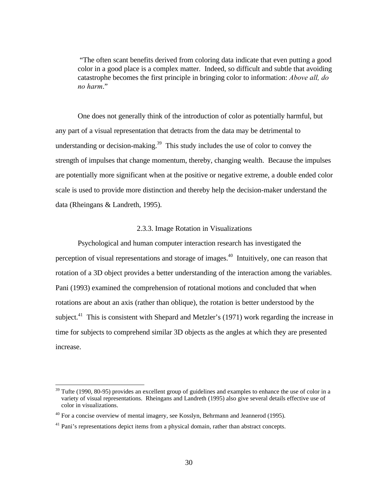"The often scant benefits derived from coloring data indicate that even putting a good color in a good place is a complex matter. Indeed, so difficult and subtle that avoiding catastrophe becomes the first principle in bringing color to information: *Above all, do no harm*."

One does not generally think of the introduction of color as potentially harmful, but any part of a visual representation that detracts from the data may be detrimental to understanding or decision-making.<sup>39</sup> This study includes the use of color to convey the strength of impulses that change momentum, thereby, changing wealth. Because the impulses are potentially more significant when at the positive or negative extreme, a double ended color scale is used to provide more distinction and thereby help the decision-maker understand the data (Rheingans & Landreth, 1995).

#### 2.3.3. Image Rotation in Visualizations

Psychological and human computer interaction research has investigated the perception of visual representations and storage of images.<sup>40</sup> Intuitively, one can reason that rotation of a 3D object provides a better understanding of the interaction among the variables. Pani (1993) examined the comprehension of rotational motions and concluded that when rotations are about an axis (rather than oblique), the rotation is better understood by the subject.<sup>41</sup> This is consistent with Shepard and Metzler's (1971) work regarding the increase in time for subjects to comprehend similar 3D objects as the angles at which they are presented increase.

<sup>&</sup>lt;sup>39</sup> Tufte (1990, 80-95) provides an excellent group of guidelines and examples to enhance the use of color in a variety of visual representations. Rheingans and Landreth (1995) also give several details effective use of color in visualizations.

 $40$  For a concise overview of mental imagery, see Kosslyn, Behrmann and Jeannerod (1995).

<sup>&</sup>lt;sup>41</sup> Pani's representations depict items from a physical domain, rather than abstract concepts.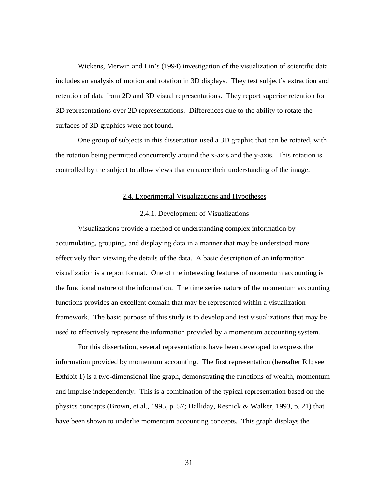Wickens, Merwin and Lin's (1994) investigation of the visualization of scientific data includes an analysis of motion and rotation in 3D displays. They test subject's extraction and retention of data from 2D and 3D visual representations. They report superior retention for 3D representations over 2D representations. Differences due to the ability to rotate the surfaces of 3D graphics were not found.

One group of subjects in this dissertation used a 3D graphic that can be rotated, with the rotation being permitted concurrently around the x-axis and the y-axis. This rotation is controlled by the subject to allow views that enhance their understanding of the image.

#### 2.4. Experimental Visualizations and Hypotheses

#### 2.4.1. Development of Visualizations

Visualizations provide a method of understanding complex information by accumulating, grouping, and displaying data in a manner that may be understood more effectively than viewing the details of the data. A basic description of an information visualization is a report format. One of the interesting features of momentum accounting is the functional nature of the information. The time series nature of the momentum accounting functions provides an excellent domain that may be represented within a visualization framework. The basic purpose of this study is to develop and test visualizations that may be used to effectively represent the information provided by a momentum accounting system.

For this dissertation, several representations have been developed to express the information provided by momentum accounting. The first representation (hereafter R1; see Exhibit 1) is a two-dimensional line graph, demonstrating the functions of wealth, momentum and impulse independently. This is a combination of the typical representation based on the physics concepts (Brown, et al., 1995, p. 57; Halliday, Resnick & Walker, 1993, p. 21) that have been shown to underlie momentum accounting concepts. This graph displays the

31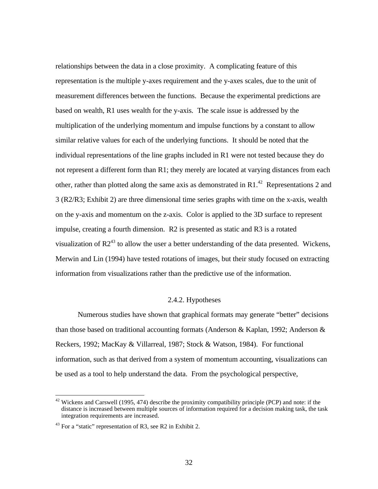relationships between the data in a close proximity. A complicating feature of this representation is the multiple y-axes requirement and the y-axes scales, due to the unit of measurement differences between the functions. Because the experimental predictions are based on wealth, R1 uses wealth for the y-axis. The scale issue is addressed by the multiplication of the underlying momentum and impulse functions by a constant to allow similar relative values for each of the underlying functions. It should be noted that the individual representations of the line graphs included in R1 were not tested because they do not represent a different form than R1; they merely are located at varying distances from each other, rather than plotted along the same axis as demonstrated in R1.<sup>42</sup> Representations 2 and 3 (R2/R3; Exhibit 2) are three dimensional time series graphs with time on the x-axis, wealth on the y-axis and momentum on the z-axis. Color is applied to the 3D surface to represent impulse, creating a fourth dimension. R2 is presented as static and R3 is a rotated visualization of  $R2^{43}$  to allow the user a better understanding of the data presented. Wickens, Merwin and Lin (1994) have tested rotations of images, but their study focused on extracting information from visualizations rather than the predictive use of the information.

### 2.4.2. Hypotheses

Numerous studies have shown that graphical formats may generate "better" decisions than those based on traditional accounting formats (Anderson & Kaplan, 1992; Anderson  $\&$ Reckers, 1992; MacKay & Villarreal, 1987; Stock & Watson, 1984). For functional information, such as that derived from a system of momentum accounting, visualizations can be used as a tool to help understand the data. From the psychological perspective,

 $42$  Wickens and Carswell (1995, 474) describe the proximity compatibility principle (PCP) and note: if the distance is increased between multiple sources of information required for a decision making task, the task integration requirements are increased.

<sup>&</sup>lt;sup>43</sup> For a "static" representation of R3, see R2 in Exhibit 2.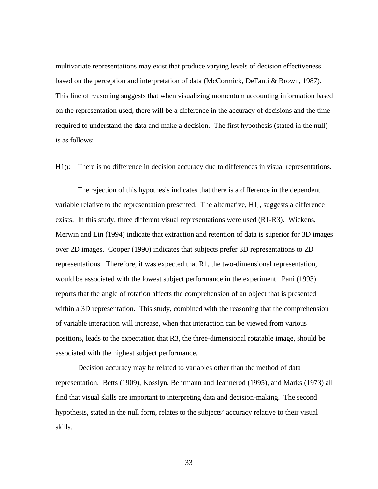multivariate representations may exist that produce varying levels of decision effectiveness based on the perception and interpretation of data (McCormick, DeFanti & Brown, 1987). This line of reasoning suggests that when visualizing momentum accounting information based on the representation used, there will be a difference in the accuracy of decisions and the time required to understand the data and make a decision. The first hypothesis (stated in the null) is as follows:

H10: There is no difference in decision accuracy due to differences in visual representations.

The rejection of this hypothesis indicates that there is a difference in the dependent variable relative to the representation presented. The alternative,  $H1_a$ , suggests a difference exists. In this study, three different visual representations were used (R1-R3). Wickens, Merwin and Lin (1994) indicate that extraction and retention of data is superior for 3D images over 2D images. Cooper (1990) indicates that subjects prefer 3D representations to 2D representations. Therefore, it was expected that R1, the two-dimensional representation, would be associated with the lowest subject performance in the experiment. Pani (1993) reports that the angle of rotation affects the comprehension of an object that is presented within a 3D representation. This study, combined with the reasoning that the comprehension of variable interaction will increase, when that interaction can be viewed from various positions, leads to the expectation that R3, the three-dimensional rotatable image, should be associated with the highest subject performance.

Decision accuracy may be related to variables other than the method of data representation. Betts (1909), Kosslyn, Behrmann and Jeannerod (1995), and Marks (1973) all find that visual skills are important to interpreting data and decision-making. The second hypothesis, stated in the null form, relates to the subjects' accuracy relative to their visual skills.

33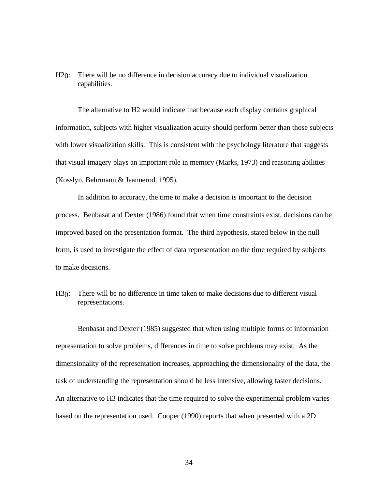H20: There will be no difference in decision accuracy due to individual visualization capabilities.

The alternative to H2 would indicate that because each display contains graphical information, subjects with higher visualization acuity should perform better than those subjects with lower visualization skills. This is consistent with the psychology literature that suggests that visual imagery plays an important role in memory (Marks, 1973) and reasoning abilities (Kosslyn, Behrmann & Jeannerod, 1995).

In addition to accuracy, the time to make a decision is important to the decision process. Benbasat and Dexter (1986) found that when time constraints exist, decisions can be improved based on the presentation format. The third hypothesis, stated below in the null form, is used to investigate the effect of data representation on the time required by subjects to make decisions.

H30: There will be no difference in time taken to make decisions due to different visual representations.

Benbasat and Dexter (1985) suggested that when using multiple forms of information representation to solve problems, differences in time to solve problems may exist. As the dimensionality of the representation increases, approaching the dimensionality of the data, the task of understanding the representation should be less intensive, allowing faster decisions. An alternative to H3 indicates that the time required to solve the experimental problem varies based on the representation used. Cooper (1990) reports that when presented with a 2D

34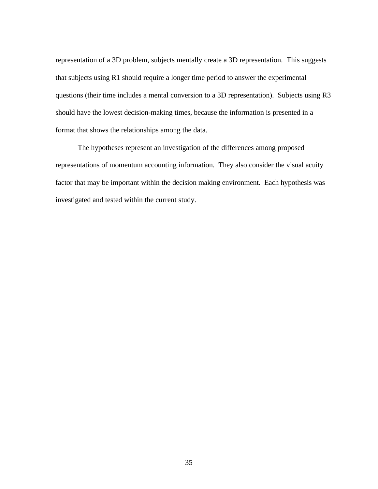representation of a 3D problem, subjects mentally create a 3D representation. This suggests that subjects using R1 should require a longer time period to answer the experimental questions (their time includes a mental conversion to a 3D representation). Subjects using R3 should have the lowest decision-making times, because the information is presented in a format that shows the relationships among the data.

The hypotheses represent an investigation of the differences among proposed representations of momentum accounting information. They also consider the visual acuity factor that may be important within the decision making environment. Each hypothesis was investigated and tested within the current study.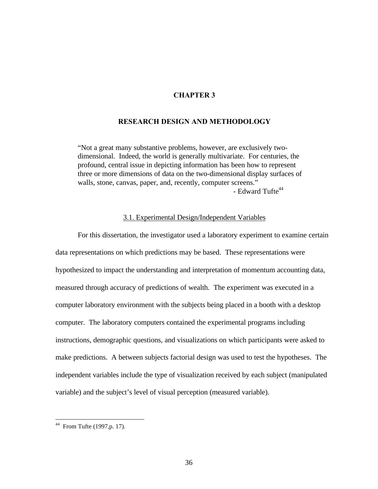# **CHAPTER 3**

### **RESEARCH DESIGN AND METHODOLOGY**

"Not a great many substantive problems, however, are exclusively twodimensional. Indeed, the world is generally multivariate. For centuries, the profound, central issue in depicting information has been how to represent three or more dimensions of data on the two-dimensional display surfaces of walls, stone, canvas, paper, and, recently, computer screens."  $-$  Edward Tufte<sup>44</sup>

## 3.1. Experimental Design/Independent Variables

For this dissertation, the investigator used a laboratory experiment to examine certain data representations on which predictions may be based. These representations were hypothesized to impact the understanding and interpretation of momentum accounting data, measured through accuracy of predictions of wealth. The experiment was executed in a computer laboratory environment with the subjects being placed in a booth with a desktop computer. The laboratory computers contained the experimental programs including instructions, demographic questions, and visualizations on which participants were asked to make predictions.A between subjects factorial design was used to test the hypotheses. The independent variables include the type of visualization received by each subject (manipulated variable) and the subject's level of visual perception (measured variable).

 $44$  From Tufte (1997, p. 17).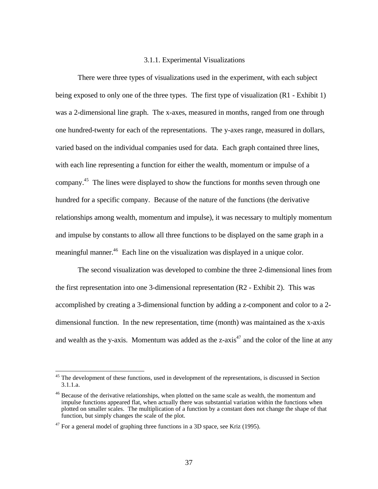#### 3.1.1. Experimental Visualizations

There were three types of visualizations used in the experiment, with each subject being exposed to only one of the three types. The first type of visualization (R1 - Exhibit 1) was a 2-dimensional line graph. The x-axes, measured in months, ranged from one through one hundred-twenty for each of the representations. The y-axes range, measured in dollars, varied based on the individual companies used for data. Each graph contained three lines, with each line representing a function for either the wealth, momentum or impulse of a company.<sup>45</sup> The lines were displayed to show the functions for months seven through one hundred for a specific company. Because of the nature of the functions (the derivative relationships among wealth, momentum and impulse), it was necessary to multiply momentum and impulse by constants to allow all three functions to be displayed on the same graph in a meaningful manner.<sup>46</sup> Each line on the visualization was displayed in a unique color.

The second visualization was developed to combine the three 2-dimensional lines from the first representation into one 3-dimensional representation (R2 - Exhibit 2). This was accomplished by creating a 3-dimensional function by adding a z-component and color to a 2 dimensional function. In the new representation, time (month) was maintained as the x-axis and wealth as the y-axis. Momentum was added as the z-axis<sup>47</sup> and the color of the line at any

<sup>&</sup>lt;sup>45</sup> The development of these functions, used in development of the representations, is discussed in Section 3.1.1.a.

<sup>&</sup>lt;sup>46</sup> Because of the derivative relationships, when plotted on the same scale as wealth, the momentum and impulse functions appeared flat, when actually there was substantial variation within the functions when plotted on smaller scales. The multiplication of a function by a constant does not change the shape of that function, but simply changes the scale of the plot.

 $47$  For a general model of graphing three functions in a 3D space, see Kriz (1995).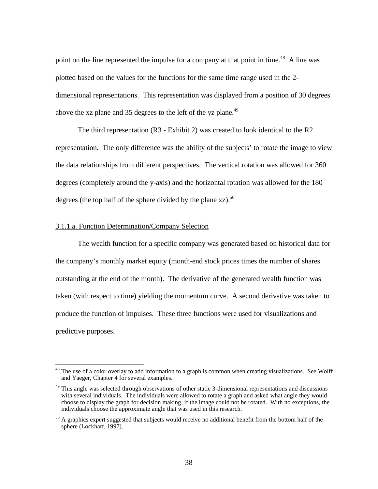point on the line represented the impulse for a company at that point in time.<sup>48</sup> A line was plotted based on the values for the functions for the same time range used in the 2 dimensional representations. This representation was displayed from a position of 30 degrees above the xz plane and 35 degrees to the left of the yz plane.<sup>49</sup>

The third representation (R3 - Exhibit 2) was created to look identical to the R2 representation. The only difference was the ability of the subjects' to rotate the image to view the data relationships from different perspectives. The vertical rotation was allowed for 360 degrees (completely around the y-axis) and the horizontal rotation was allowed for the 180 degrees (the top half of the sphere divided by the plane  $xz$ ).<sup>50</sup>

#### 3.1.1.a. Function Determination/Company Selection

 $\overline{a}$ 

The wealth function for a specific company was generated based on historical data for the company's monthly market equity (month-end stock prices times the number of shares outstanding at the end of the month). The derivative of the generated wealth function was taken (with respect to time) yielding the momentum curve. A second derivative was taken to produce the function of impulses. These three functions were used for visualizations and predictive purposes.

<sup>&</sup>lt;sup>48</sup> The use of a color overlay to add information to a graph is common when creating visualizations. See Wolff and Yaeger, Chapter 4 for several examples.

<sup>&</sup>lt;sup>49</sup> This angle was selected through observations of other static 3-dimensional representations and discussions with several individuals. The individuals were allowed to rotate a graph and asked what angle they would choose to display the graph for decision making, if the image could not be rotated. With no exceptions, the individuals choose the approximate angle that was used in this research.

 $50$  A graphics expert suggested that subjects would receive no additional benefit from the bottom half of the sphere (Lockhart, 1997).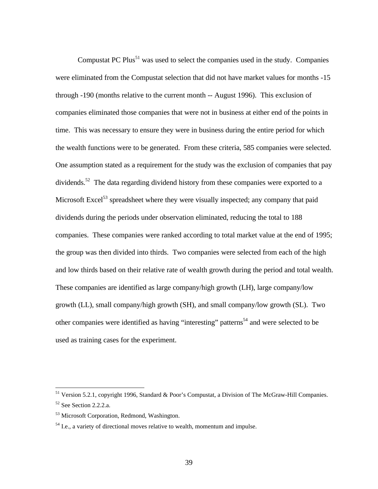Compustat PC Plus<sup>51</sup> was used to select the companies used in the study. Companies were eliminated from the Compustat selection that did not have market values for months -15 through -190 (months relative to the current month -- August 1996). This exclusion of companies eliminated those companies that were not in business at either end of the points in time. This was necessary to ensure they were in business during the entire period for which the wealth functions were to be generated. From these criteria, 585 companies were selected. One assumption stated as a requirement for the study was the exclusion of companies that pay dividends.<sup>52</sup> The data regarding dividend history from these companies were exported to a Microsoft Excel<sup>53</sup> spreadsheet where they were visually inspected; any company that paid dividends during the periods under observation eliminated, reducing the total to 188 companies. These companies were ranked according to total market value at the end of 1995; the group was then divided into thirds. Two companies were selected from each of the high and low thirds based on their relative rate of wealth growth during the period and total wealth. These companies are identified as large company/high growth (LH), large company/low growth (LL), small company/high growth (SH), and small company/low growth (SL). Two other companies were identified as having "interesting" patterns<sup>54</sup> and were selected to be used as training cases for the experiment.

<sup>&</sup>lt;sup>51</sup> Version 5.2.1, copyright 1996, Standard & Poor's Compustat, a Division of The McGraw-Hill Companies. <sup>52</sup> See Section 2.2.2.a.

<sup>&</sup>lt;sup>53</sup> Microsoft Corporation, Redmond, Washington.

 $<sup>54</sup>$  I.e., a variety of directional moves relative to wealth, momentum and impulse.</sup>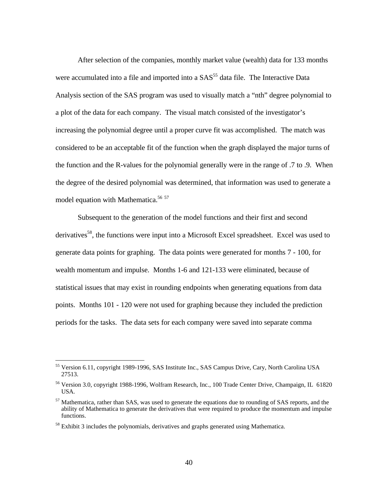After selection of the companies, monthly market value (wealth) data for 133 months were accumulated into a file and imported into a  $SAS<sup>55</sup>$  data file. The Interactive Data Analysis section of the SAS program was used to visually match a "nth" degree polynomial to a plot of the data for each company. The visual match consisted of the investigator's increasing the polynomial degree until a proper curve fit was accomplished. The match was considered to be an acceptable fit of the function when the graph displayed the major turns of the function and the R-values for the polynomial generally were in the range of .7 to .9. When the degree of the desired polynomial was determined, that information was used to generate a model equation with Mathematica.<sup>56 57</sup>

Subsequent to the generation of the model functions and their first and second derivatives<sup>58</sup>, the functions were input into a Microsoft Excel spreadsheet. Excel was used to generate data points for graphing. The data points were generated for months 7 - 100, for wealth momentum and impulse. Months 1-6 and 121-133 were eliminated, because of statistical issues that may exist in rounding endpoints when generating equations from data points. Months 101 - 120 were not used for graphing because they included the prediction periods for the tasks. The data sets for each company were saved into separate comma

<sup>&</sup>lt;sup>55</sup> Version 6.11, copyright 1989-1996, SAS Institute Inc., SAS Campus Drive, Cary, North Carolina USA 27513.

<sup>56</sup> Version 3.0, copyright 1988-1996, Wolfram Research, Inc., 100 Trade Center Drive, Champaign, IL 61820 USA.

 $57$  Mathematica, rather than SAS, was used to generate the equations due to rounding of SAS reports, and the ability of Mathematica to generate the derivatives that were required to produce the momentum and impulse functions.

 $58$  Exhibit 3 includes the polynomials, derivatives and graphs generated using Mathematica.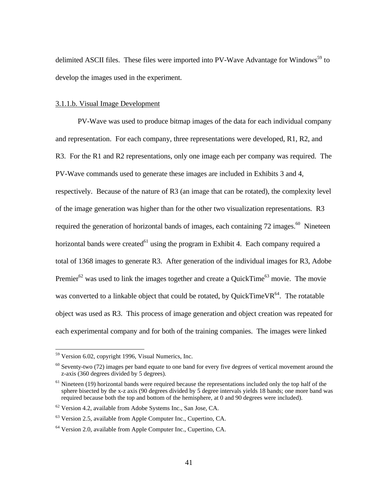delimited ASCII files. These files were imported into PV-Wave Advantage for Windows<sup>59</sup> to develop the images used in the experiment.

#### 3.1.1.b. Visual Image Development

PV-Wave was used to produce bitmap images of the data for each individual company and representation. For each company, three representations were developed, R1, R2, and R3. For the R1 and R2 representations, only one image each per company was required. The PV-Wave commands used to generate these images are included in Exhibits 3 and 4, respectively. Because of the nature of R3 (an image that can be rotated), the complexity level of the image generation was higher than for the other two visualization representations. R3 required the generation of horizontal bands of images, each containing  $72$  images.<sup>60</sup> Nineteen horizontal bands were created $^{61}$  using the program in Exhibit 4. Each company required a total of 1368 images to generate R3. After generation of the individual images for R3, Adobe Premier<sup>62</sup> was used to link the images together and create a QuickTime<sup>63</sup> movie. The movie was converted to a linkable object that could be rotated, by QuickTimeVR $^{64}$ . The rotatable object was used as R3. This process of image generation and object creation was repeated for each experimental company and for both of the training companies. The images were linked

 $59$  Version 6.02, copyright 1996, Visual Numerics, Inc.

 $60$  Seventy-two (72) images per band equate to one band for every five degrees of vertical movement around the z-axis (360 degrees divided by 5 degrees).

 $61$  Nineteen (19) horizontal bands were required because the representations included only the top half of the sphere bisected by the x-z axis (90 degrees divided by 5 degree intervals yields 18 bands; one more band was required because both the top and bottom of the hemisphere, at 0 and 90 degrees were included).

<sup>62</sup> Version 4.2, available from Adobe Systems Inc., San Jose, CA.

 $63$  Version 2.5, available from Apple Computer Inc., Cupertino, CA.

<sup>64</sup> Version 2.0, available from Apple Computer Inc., Cupertino, CA.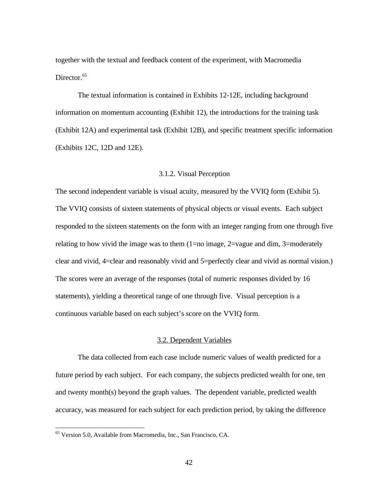together with the textual and feedback content of the experiment, with Macromedia Director.<sup>65</sup>

The textual information is contained in Exhibits 12-12E, including background information on momentum accounting (Exhibit 12), the introductions for the training task (Exhibit 12A) and experimental task (Exhibit 12B), and specific treatment specific information (Exhibits 12C, 12D and 12E).

# 3.1.2. Visual Perception

The second independent variable is visual acuity, measured by the VVIQ form (Exhibit 5). The VVIQ consists of sixteen statements of physical objects or visual events. Each subject responded to the sixteen statements on the form with an integer ranging from one through five relating to how vivid the image was to them  $(1=no$  image,  $2=v$  ague and dim,  $3=moder$  ately clear and vivid, 4=clear and reasonably vivid and 5=perfectly clear and vivid as normal vision.) The scores were an average of the responses (total of numeric responses divided by 16 statements), yielding a theoretical range of one through five. Visual perception is a continuous variable based on each subject's score on the VVIQ form.

# 3.2. Dependent Variables

The data collected from each case include numeric values of wealth predicted for a future period by each subject. For each company, the subjects predicted wealth for one, ten and twenty month(s) beyond the graph values. The dependent variable, predicted wealth accuracy, was measured for each subject for each prediction period, by taking the difference

<sup>65</sup> Version 5.0, Available from Macromedia, Inc., San Francisco, CA.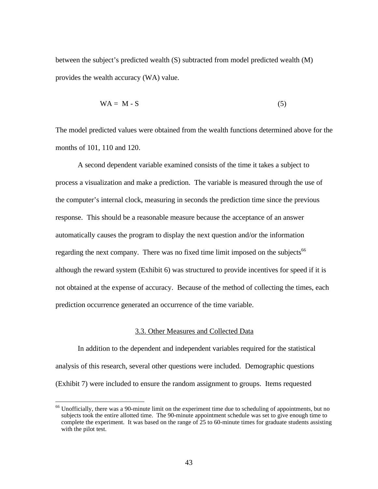between the subject's predicted wealth (S) subtracted from model predicted wealth (M) provides the wealth accuracy (WA) value.

$$
WA = M - S \tag{5}
$$

The model predicted values were obtained from the wealth functions determined above for the months of 101, 110 and 120.

A second dependent variable examined consists of the time it takes a subject to process a visualization and make a prediction. The variable is measured through the use of the computer's internal clock, measuring in seconds the prediction time since the previous response. This should be a reasonable measure because the acceptance of an answer automatically causes the program to display the next question and/or the information regarding the next company. There was no fixed time limit imposed on the subjects<sup>66</sup> although the reward system (Exhibit 6) was structured to provide incentives for speed if it is not obtained at the expense of accuracy. Because of the method of collecting the times, each prediction occurrence generated an occurrence of the time variable.

# 3.3. Other Measures and Collected Data

In addition to the dependent and independent variables required for the statistical analysis of this research, several other questions were included. Demographic questions (Exhibit 7) were included to ensure the random assignment to groups. Items requested

<sup>&</sup>lt;sup>66</sup> Unofficially, there was a 90-minute limit on the experiment time due to scheduling of appointments, but no subjects took the entire allotted time. The 90-minute appointment schedule was set to give enough time to complete the experiment. It was based on the range of 25 to 60-minute times for graduate students assisting with the pilot test.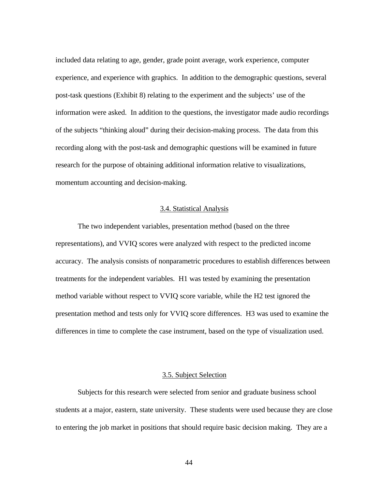included data relating to age, gender, grade point average, work experience, computer experience, and experience with graphics. In addition to the demographic questions, several post-task questions (Exhibit 8) relating to the experiment and the subjects' use of the information were asked. In addition to the questions, the investigator made audio recordings of the subjects "thinking aloud" during their decision-making process. The data from this recording along with the post-task and demographic questions will be examined in future research for the purpose of obtaining additional information relative to visualizations, momentum accounting and decision-making.

### 3.4. Statistical Analysis

The two independent variables, presentation method (based on the three representations), and VVIQ scores were analyzed with respect to the predicted income accuracy. The analysis consists of nonparametric procedures to establish differences between treatments for the independent variables. H1 was tested by examining the presentation method variable without respect to VVIQ score variable, while the H2 test ignored the presentation method and tests only for VVIQ score differences. H3 was used to examine the differences in time to complete the case instrument, based on the type of visualization used.

### 3.5. Subject Selection

Subjects for this research were selected from senior and graduate business school students at a major, eastern, state university. These students were used because they are close to entering the job market in positions that should require basic decision making. They are a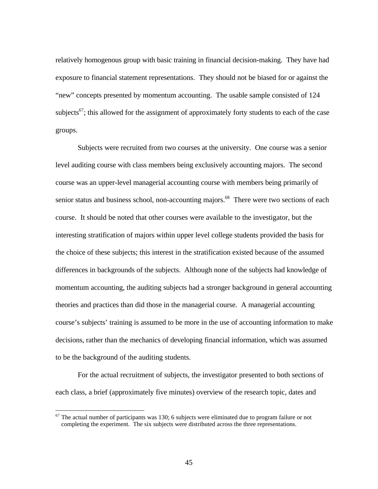relatively homogenous group with basic training in financial decision-making. They have had exposure to financial statement representations. They should not be biased for or against the "new" concepts presented by momentum accounting. The usable sample consisted of 124 subjects<sup>67</sup>; this allowed for the assignment of approximately forty students to each of the case groups.

Subjects were recruited from two courses at the university. One course was a senior level auditing course with class members being exclusively accounting majors. The second course was an upper-level managerial accounting course with members being primarily of senior status and business school, non-accounting majors.<sup>68</sup> There were two sections of each course. It should be noted that other courses were available to the investigator, but the interesting stratification of majors within upper level college students provided the basis for the choice of these subjects; this interest in the stratification existed because of the assumed differences in backgrounds of the subjects. Although none of the subjects had knowledge of momentum accounting, the auditing subjects had a stronger background in general accounting theories and practices than did those in the managerial course. A managerial accounting course's subjects' training is assumed to be more in the use of accounting information to make decisions, rather than the mechanics of developing financial information, which was assumed to be the background of the auditing students.

For the actual recruitment of subjects, the investigator presented to both sections of each class, a brief (approximately five minutes) overview of the research topic, dates and

 $67$  The actual number of participants was 130; 6 subjects were eliminated due to program failure or not completing the experiment. The six subjects were distributed across the three representations.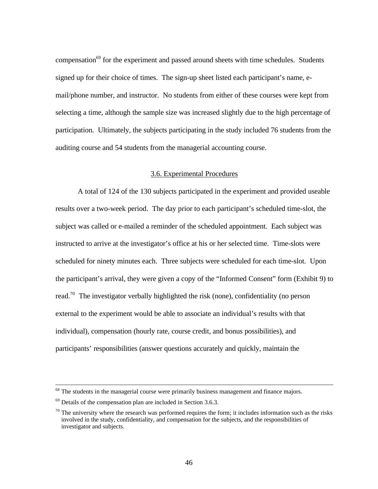compensation<sup>69</sup> for the experiment and passed around sheets with time schedules. Students signed up for their choice of times. The sign-up sheet listed each participant's name, email/phone number, and instructor. No students from either of these courses were kept from selecting a time, although the sample size was increased slightly due to the high percentage of participation. Ultimately, the subjects participating in the study included 76 students from the auditing course and 54 students from the managerial accounting course.

## 3.6. Experimental Procedures

A total of 124 of the 130 subjects participated in the experiment and provided useable results over a two-week period. The day prior to each participant's scheduled time-slot, the subject was called or e-mailed a reminder of the scheduled appointment. Each subject was instructed to arrive at the investigator's office at his or her selected time. Time-slots were scheduled for ninety minutes each. Three subjects were scheduled for each time-slot. Upon the participant's arrival, they were given a copy of the "Informed Consent" form (Exhibit 9) to read.<sup>70</sup> The investigator verbally highlighted the risk (none), confidentiality (no person external to the experiment would be able to associate an individual's results with that individual), compensation (hourly rate, course credit, and bonus possibilities), and participants' responsibilities (answer questions accurately and quickly, maintain the

 $68$  The students in the managerial course were primarily business management and finance majors.

 $69$  Details of the compensation plan are included in Section 3.6.3.

 $70$  The university where the research was performed requires the form; it includes information such as the risks involved in the study, confidentiality, and compensation for the subjects, and the responsibilities of investigator and subjects.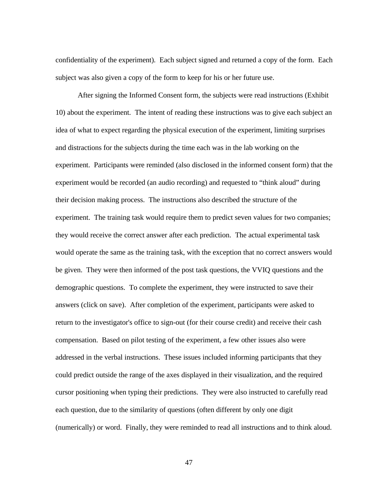confidentiality of the experiment). Each subject signed and returned a copy of the form. Each subject was also given a copy of the form to keep for his or her future use.

After signing the Informed Consent form, the subjects were read instructions (Exhibit 10) about the experiment. The intent of reading these instructions was to give each subject an idea of what to expect regarding the physical execution of the experiment, limiting surprises and distractions for the subjects during the time each was in the lab working on the experiment. Participants were reminded (also disclosed in the informed consent form) that the experiment would be recorded (an audio recording) and requested to "think aloud" during their decision making process. The instructions also described the structure of the experiment. The training task would require them to predict seven values for two companies; they would receive the correct answer after each prediction. The actual experimental task would operate the same as the training task, with the exception that no correct answers would be given. They were then informed of the post task questions, the VVIQ questions and the demographic questions. To complete the experiment, they were instructed to save their answers (click on save). After completion of the experiment, participants were asked to return to the investigator's office to sign-out (for their course credit) and receive their cash compensation. Based on pilot testing of the experiment, a few other issues also were addressed in the verbal instructions. These issues included informing participants that they could predict outside the range of the axes displayed in their visualization, and the required cursor positioning when typing their predictions. They were also instructed to carefully read each question, due to the similarity of questions (often different by only one digit (numerically) or word. Finally, they were reminded to read all instructions and to think aloud.

47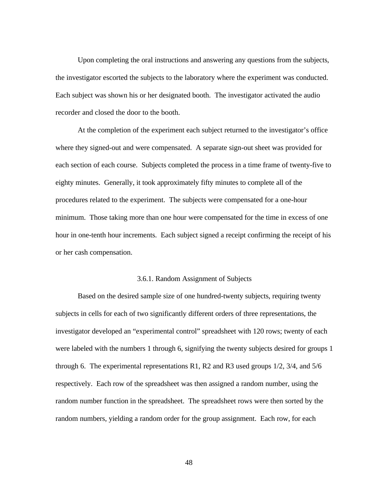Upon completing the oral instructions and answering any questions from the subjects, the investigator escorted the subjects to the laboratory where the experiment was conducted. Each subject was shown his or her designated booth. The investigator activated the audio recorder and closed the door to the booth.

At the completion of the experiment each subject returned to the investigator's office where they signed-out and were compensated. A separate sign-out sheet was provided for each section of each course. Subjects completed the process in a time frame of twenty-five to eighty minutes. Generally, it took approximately fifty minutes to complete all of the procedures related to the experiment. The subjects were compensated for a one-hour minimum. Those taking more than one hour were compensated for the time in excess of one hour in one-tenth hour increments. Each subject signed a receipt confirming the receipt of his or her cash compensation.

### 3.6.1. Random Assignment of Subjects

Based on the desired sample size of one hundred-twenty subjects, requiring twenty subjects in cells for each of two significantly different orders of three representations, the investigator developed an "experimental control" spreadsheet with 120 rows; twenty of each were labeled with the numbers 1 through 6, signifying the twenty subjects desired for groups 1 through 6. The experimental representations R1, R2 and R3 used groups 1/2, 3/4, and 5/6 respectively. Each row of the spreadsheet was then assigned a random number, using the random number function in the spreadsheet. The spreadsheet rows were then sorted by the random numbers, yielding a random order for the group assignment. Each row, for each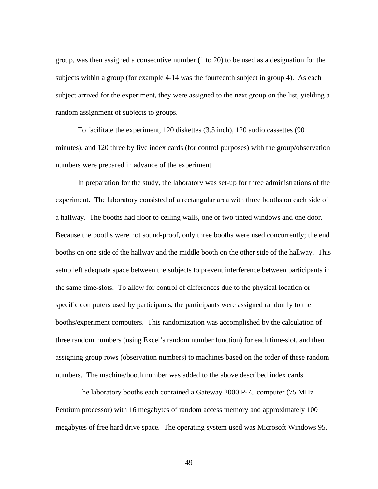group, was then assigned a consecutive number (1 to 20) to be used as a designation for the subjects within a group (for example 4-14 was the fourteenth subject in group 4). As each subject arrived for the experiment, they were assigned to the next group on the list, yielding a random assignment of subjects to groups.

To facilitate the experiment, 120 diskettes (3.5 inch), 120 audio cassettes (90 minutes), and 120 three by five index cards (for control purposes) with the group/observation numbers were prepared in advance of the experiment.

In preparation for the study, the laboratory was set-up for three administrations of the experiment. The laboratory consisted of a rectangular area with three booths on each side of a hallway. The booths had floor to ceiling walls, one or two tinted windows and one door. Because the booths were not sound-proof, only three booths were used concurrently; the end booths on one side of the hallway and the middle booth on the other side of the hallway. This setup left adequate space between the subjects to prevent interference between participants in the same time-slots. To allow for control of differences due to the physical location or specific computers used by participants, the participants were assigned randomly to the booths/experiment computers. This randomization was accomplished by the calculation of three random numbers (using Excel's random number function) for each time-slot, and then assigning group rows (observation numbers) to machines based on the order of these random numbers. The machine/booth number was added to the above described index cards.

The laboratory booths each contained a Gateway 2000 P-75 computer (75 MHz Pentium processor) with 16 megabytes of random access memory and approximately 100 megabytes of free hard drive space. The operating system used was Microsoft Windows 95.

49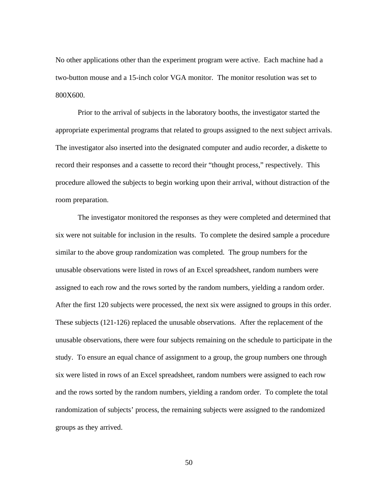No other applications other than the experiment program were active. Each machine had a two-button mouse and a 15-inch color VGA monitor. The monitor resolution was set to 800X600.

Prior to the arrival of subjects in the laboratory booths, the investigator started the appropriate experimental programs that related to groups assigned to the next subject arrivals. The investigator also inserted into the designated computer and audio recorder, a diskette to record their responses and a cassette to record their "thought process," respectively. This procedure allowed the subjects to begin working upon their arrival, without distraction of the room preparation.

The investigator monitored the responses as they were completed and determined that six were not suitable for inclusion in the results. To complete the desired sample a procedure similar to the above group randomization was completed. The group numbers for the unusable observations were listed in rows of an Excel spreadsheet, random numbers were assigned to each row and the rows sorted by the random numbers, yielding a random order. After the first 120 subjects were processed, the next six were assigned to groups in this order. These subjects (121-126) replaced the unusable observations. After the replacement of the unusable observations, there were four subjects remaining on the schedule to participate in the study. To ensure an equal chance of assignment to a group, the group numbers one through six were listed in rows of an Excel spreadsheet, random numbers were assigned to each row and the rows sorted by the random numbers, yielding a random order. To complete the total randomization of subjects' process, the remaining subjects were assigned to the randomized groups as they arrived.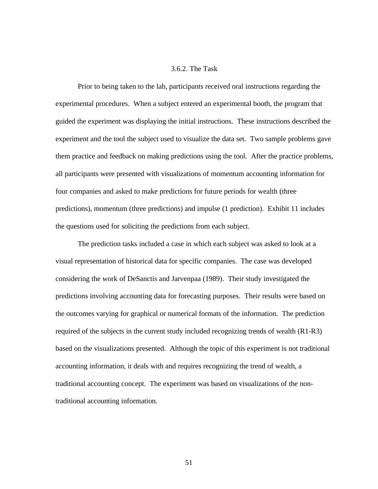## 3.6.2. The Task

Prior to being taken to the lab, participants received oral instructions regarding the experimental procedures. When a subject entered an experimental booth, the program that guided the experiment was displaying the initial instructions. These instructions described the experiment and the tool the subject used to visualize the data set. Two sample problems gave them practice and feedback on making predictions using the tool. After the practice problems, all participants were presented with visualizations of momentum accounting information for four companies and asked to make predictions for future periods for wealth (three predictions), momentum (three predictions) and impulse (1 prediction). Exhibit 11 includes the questions used for soliciting the predictions from each subject.

The prediction tasks included a case in which each subject was asked to look at a visual representation of historical data for specific companies. The case was developed considering the work of DeSanctis and Jarvenpaa (1989). Their study investigated the predictions involving accounting data for forecasting purposes. Their results were based on the outcomes varying for graphical or numerical formats of the information. The prediction required of the subjects in the current study included recognizing trends of wealth (R1-R3) based on the visualizations presented. Although the topic of this experiment is not traditional accounting information, it deals with and requires recognizing the trend of wealth, a traditional accounting concept. The experiment was based on visualizations of the nontraditional accounting information.

51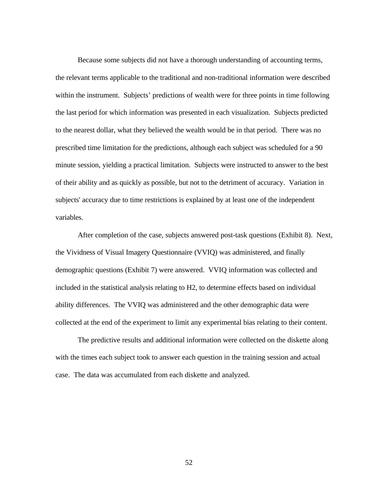Because some subjects did not have a thorough understanding of accounting terms, the relevant terms applicable to the traditional and non-traditional information were described within the instrument. Subjects' predictions of wealth were for three points in time following the last period for which information was presented in each visualization. Subjects predicted to the nearest dollar, what they believed the wealth would be in that period. There was no prescribed time limitation for the predictions, although each subject was scheduled for a 90 minute session, yielding a practical limitation. Subjects were instructed to answer to the best of their ability and as quickly as possible, but not to the detriment of accuracy. Variation in subjects' accuracy due to time restrictions is explained by at least one of the independent variables.

After completion of the case, subjects answered post-task questions (Exhibit 8). Next, the Vividness of Visual Imagery Questionnaire (VVIQ) was administered, and finally demographic questions (Exhibit 7) were answered. VVIQ information was collected and included in the statistical analysis relating to H2, to determine effects based on individual ability differences. The VVIQ was administered and the other demographic data were collected at the end of the experiment to limit any experimental bias relating to their content.

The predictive results and additional information were collected on the diskette along with the times each subject took to answer each question in the training session and actual case. The data was accumulated from each diskette and analyzed.

52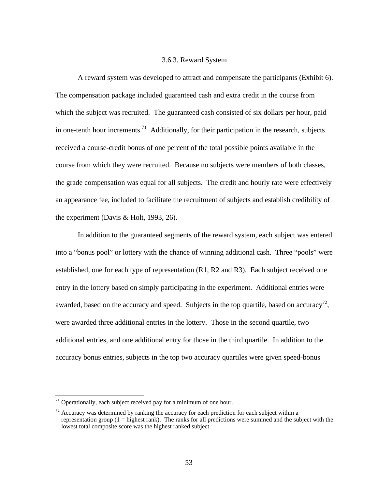#### 3.6.3. Reward System

A reward system was developed to attract and compensate the participants (Exhibit 6). The compensation package included guaranteed cash and extra credit in the course from which the subject was recruited. The guaranteed cash consisted of six dollars per hour, paid in one-tenth hour increments.<sup>71</sup> Additionally, for their participation in the research, subjects received a course-credit bonus of one percent of the total possible points available in the course from which they were recruited. Because no subjects were members of both classes, the grade compensation was equal for all subjects. The credit and hourly rate were effectively an appearance fee, included to facilitate the recruitment of subjects and establish credibility of the experiment (Davis & Holt, 1993, 26).

In addition to the guaranteed segments of the reward system, each subject was entered into a "bonus pool" or lottery with the chance of winning additional cash. Three "pools" were established, one for each type of representation (R1, R2 and R3). Each subject received one entry in the lottery based on simply participating in the experiment. Additional entries were awarded, based on the accuracy and speed. Subjects in the top quartile, based on accuracy<sup>72</sup>, were awarded three additional entries in the lottery. Those in the second quartile, two additional entries, and one additional entry for those in the third quartile. In addition to the accuracy bonus entries, subjects in the top two accuracy quartiles were given speed-bonus

 $71$  Operationally, each subject received pay for a minimum of one hour.

 $72$  Accuracy was determined by ranking the accuracy for each prediction for each subject within a representation group  $(1 =$  highest rank). The ranks for all predictions were summed and the subject with the lowest total composite score was the highest ranked subject.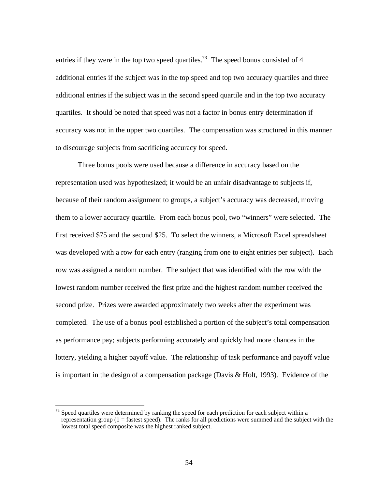entries if they were in the top two speed quartiles.<sup>73</sup> The speed bonus consisted of 4 additional entries if the subject was in the top speed and top two accuracy quartiles and three additional entries if the subject was in the second speed quartile and in the top two accuracy quartiles. It should be noted that speed was not a factor in bonus entry determination if accuracy was not in the upper two quartiles. The compensation was structured in this manner to discourage subjects from sacrificing accuracy for speed.

Three bonus pools were used because a difference in accuracy based on the representation used was hypothesized; it would be an unfair disadvantage to subjects if, because of their random assignment to groups, a subject's accuracy was decreased, moving them to a lower accuracy quartile. From each bonus pool, two "winners" were selected. The first received \$75 and the second \$25. To select the winners, a Microsoft Excel spreadsheet was developed with a row for each entry (ranging from one to eight entries per subject). Each row was assigned a random number. The subject that was identified with the row with the lowest random number received the first prize and the highest random number received the second prize. Prizes were awarded approximately two weeks after the experiment was completed. The use of a bonus pool established a portion of the subject's total compensation as performance pay; subjects performing accurately and quickly had more chances in the lottery, yielding a higher payoff value. The relationship of task performance and payoff value is important in the design of a compensation package (Davis & Holt, 1993). Evidence of the

 $73$  Speed quartiles were determined by ranking the speed for each prediction for each subject within a representation group  $(1 =$  fastest speed). The ranks for all predictions were summed and the subject with the lowest total speed composite was the highest ranked subject.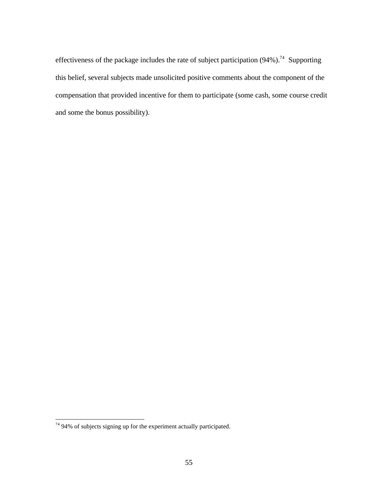effectiveness of the package includes the rate of subject participation  $(94\%)$ .<sup>74</sup> Supporting this belief, several subjects made unsolicited positive comments about the component of the compensation that provided incentive for them to participate (some cash, some course credit and some the bonus possibility).

<sup>-</sup> $74$  94% of subjects signing up for the experiment actually participated.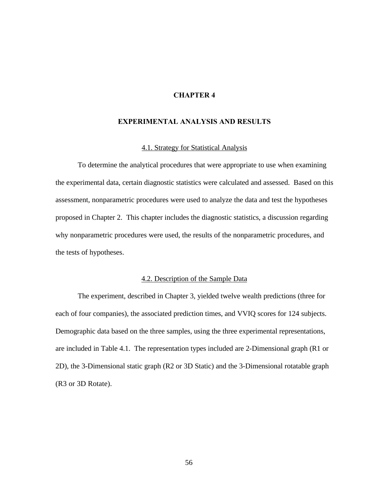# **CHAPTER 4**

#### **EXPERIMENTAL ANALYSIS AND RESULTS**

#### 4.1. Strategy for Statistical Analysis

To determine the analytical procedures that were appropriate to use when examining the experimental data, certain diagnostic statistics were calculated and assessed. Based on this assessment, nonparametric procedures were used to analyze the data and test the hypotheses proposed in Chapter 2. This chapter includes the diagnostic statistics, a discussion regarding why nonparametric procedures were used, the results of the nonparametric procedures, and the tests of hypotheses.

## 4.2. Description of the Sample Data

The experiment, described in Chapter 3, yielded twelve wealth predictions (three for each of four companies), the associated prediction times, and VVIQ scores for 124 subjects. Demographic data based on the three samples, using the three experimental representations, are included in Table 4.1. The representation types included are 2-Dimensional graph (R1 or 2D), the 3-Dimensional static graph (R2 or 3D Static) and the 3-Dimensional rotatable graph (R3 or 3D Rotate).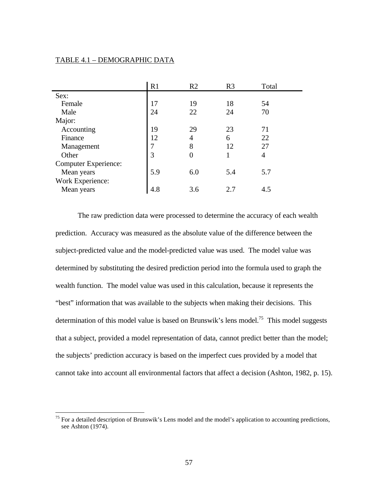#### TABLE 4.1 – DEMOGRAPHIC DATA

 $\overline{a}$ 

|                             | R1  | R <sub>2</sub> | R <sub>3</sub> | Total |
|-----------------------------|-----|----------------|----------------|-------|
| Sex:                        |     |                |                |       |
| Female                      | 17  | 19             | 18             | 54    |
| Male                        | 24  | 22             | 24             | 70    |
| Major:                      |     |                |                |       |
| Accounting                  | 19  | 29             | 23             | 71    |
| Finance                     | 12  | 4              | 6              | 22    |
| Management                  |     | 8              | 12             | 27    |
| Other                       | 3   | 0              |                | 4     |
| <b>Computer Experience:</b> |     |                |                |       |
| Mean years                  | 5.9 | 6.0            | 5.4            | 5.7   |
| Work Experience:            |     |                |                |       |
| Mean years                  | 4.8 | 3.6            | 2.7            | 4.5   |

The raw prediction data were processed to determine the accuracy of each wealth prediction. Accuracy was measured as the absolute value of the difference between the subject-predicted value and the model-predicted value was used. The model value was determined by substituting the desired prediction period into the formula used to graph the wealth function. The model value was used in this calculation, because it represents the "best" information that was available to the subjects when making their decisions. This determination of this model value is based on Brunswik's lens model.<sup>75</sup> This model suggests that a subject, provided a model representation of data, cannot predict better than the model; the subjects' prediction accuracy is based on the imperfect cues provided by a model that cannot take into account all environmental factors that affect a decision (Ashton, 1982, p. 15).

<sup>&</sup>lt;sup>75</sup> For a detailed description of Brunswik's Lens model and the model's application to accounting predictions, see Ashton (1974).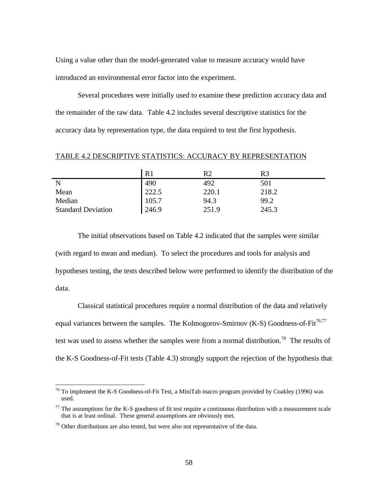Using a value other than the model-generated value to measure accuracy would have introduced an environmental error factor into the experiment.

Several procedures were initially used to examine these prediction accuracy data and the remainder of the raw data. Table 4.2 includes several descriptive statistics for the accuracy data by representation type, the data required to test the first hypothesis.

TABLE 4.2 DESCRIPTIVE STATISTICS: ACCURACY BY REPRESENTATION

|                           | R <sub>1</sub> | R2    | R3    |
|---------------------------|----------------|-------|-------|
| N                         | 490            | 492   | 501   |
| Mean                      | 222.5          | 220.1 | 218.2 |
| Median                    | 105.7          | 94.3  | 99.2  |
| <b>Standard Deviation</b> | 246.9          | 251.9 | 245.3 |

The initial observations based on Table 4.2 indicated that the samples were similar (with regard to mean and median). To select the procedures and tools for analysis and hypotheses testing, the tests described below were performed to identify the distribution of the data.

Classical statistical procedures require a normal distribution of the data and relatively equal variances between the samples. The Kolmogorov-Smirnov  $(K-S)$  Goodness-of-Fit<sup>76,77</sup> test was used to assess whether the samples were from a normal distribution.<sup>78</sup> The results of the K-S Goodness-of-Fit tests (Table 4.3) strongly support the rejection of the hypothesis that

<sup>-</sup> $^{76}$  To implement the K-S Goodness-of-Fit Test, a MiniTab macro program provided by Coakley (1996) was used.

 $77$  The assumptions for the K-S goodness of fit test require a continuous distribution with a measurement scale that is at least ordinal. These general assumptions are obviously met.

 $78$  Other distributions are also tested, but were also not representative of the data.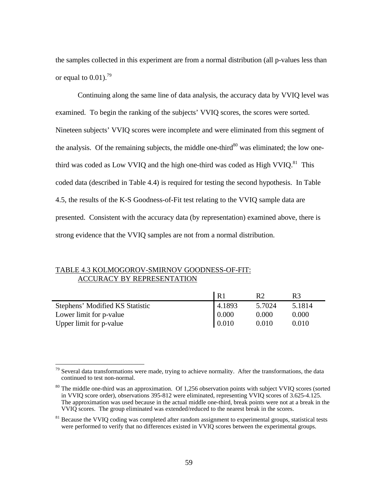the samples collected in this experiment are from a normal distribution (all p-values less than or equal to  $0.01$ ).<sup>79</sup>

Continuing along the same line of data analysis, the accuracy data by VVIQ level was examined. To begin the ranking of the subjects' VVIQ scores, the scores were sorted. Nineteen subjects' VVIQ scores were incomplete and were eliminated from this segment of the analysis. Of the remaining subjects, the middle one-third<sup>80</sup> was eliminated; the low onethird was coded as Low VVIQ and the high one-third was coded as High VVIQ. $81$  This coded data (described in Table 4.4) is required for testing the second hypothesis. In Table 4.5, the results of the K-S Goodness-of-Fit test relating to the VVIQ sample data are presented. Consistent with the accuracy data (by representation) examined above, there is strong evidence that the VVIQ samples are not from a normal distribution.

# TABLE 4.3 KOLMOGOROV-SMIRNOV GOODNESS-OF-FIT: ACCURACY BY REPRESENTATION

|                                 | R <sub>1</sub> | R2     |        |
|---------------------------------|----------------|--------|--------|
| Stephens' Modified KS Statistic | 4.1893         | 5.7024 | 5.1814 |
| Lower limit for p-value         | 0.000          | 0.000  | 0.000  |
| Upper limit for p-value         | $\mid$ 0.010   | 0.010  | 0.010  |

 $\overline{a}$ Several data transformations were made, trying to achieve normality. After the transformations, the data continued to test non-normal.

<sup>&</sup>lt;sup>80</sup> The middle one-third was an approximation. Of 1,256 observation points with subject VVIQ scores (sorted in VVIQ score order), observations 395-812 were eliminated, representing VVIQ scores of 3.625-4.125. The approximation was used because in the actual middle one-third, break points were not at a break in the VVIQ scores. The group eliminated was extended/reduced to the nearest break in the scores.

<sup>&</sup>lt;sup>81</sup> Because the VVIO coding was completed after random assignment to experimental groups, statistical tests were performed to verify that no differences existed in VVIQ scores between the experimental groups.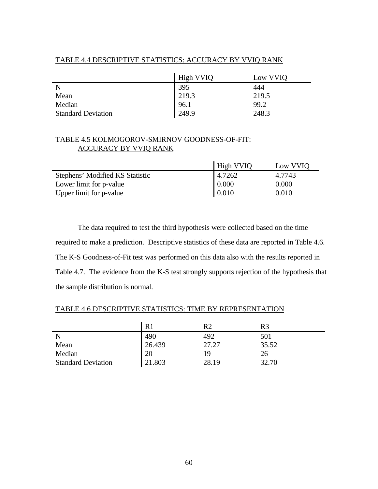|                           | High VVIO | Low VVIQ |
|---------------------------|-----------|----------|
|                           | 395       | 444      |
| Mean                      | 219.3     | 219.5    |
| Median                    | 96.1      | 99.2     |
| <b>Standard Deviation</b> | 249.9     | 248.3    |

# TABLE 4.4 DESCRIPTIVE STATISTICS: ACCURACY BY VVIQ RANK

# TABLE 4.5 KOLMOGOROV-SMIRNOV GOODNESS-OF-FIT: ACCURACY BY VVIQ RANK

|                                 | <b>High VVIQ</b> | Low VVIO |
|---------------------------------|------------------|----------|
| Stephens' Modified KS Statistic | 4.7262           | 4.7743   |
| Lower limit for p-value         | 0.000            | 0.000    |
| Upper limit for p-value         | 0.010            | 0.010    |

The data required to test the third hypothesis were collected based on the time required to make a prediction. Descriptive statistics of these data are reported in Table 4.6. The K-S Goodness-of-Fit test was performed on this data also with the results reported in Table 4.7. The evidence from the K-S test strongly supports rejection of the hypothesis that the sample distribution is normal.

# TABLE 4.6 DESCRIPTIVE STATISTICS: TIME BY REPRESENTATION

|                           | R <sub>1</sub> | R2    | R3    |
|---------------------------|----------------|-------|-------|
| N                         | 490            | 492   | 501   |
| Mean                      | 26.439         | 27.27 | 35.52 |
| Median                    | 20             | 19    | 26    |
| <b>Standard Deviation</b> | 21.803         | 28.19 | 32.70 |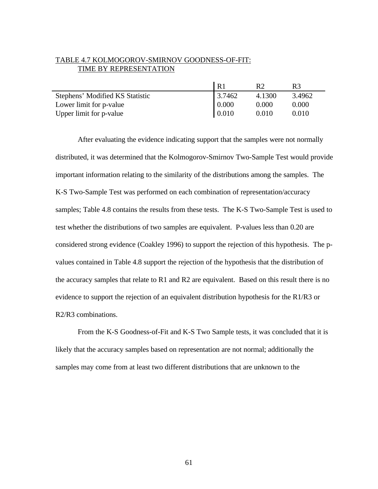# TABLE 4.7 KOLMOGOROV-SMIRNOV GOODNESS-OF-FIT: TIME BY REPRESENTATION

|                                 | R <sub>1</sub> | R2     | R3     |
|---------------------------------|----------------|--------|--------|
| Stephens' Modified KS Statistic | 3.7462         | 4.1300 | 3.4962 |
| Lower limit for p-value         | 0.000          | 0.000  | 0.000  |
| Upper limit for p-value         | 0.010          | 0.010  | 0.010  |

After evaluating the evidence indicating support that the samples were not normally distributed, it was determined that the Kolmogorov-Smirnov Two-Sample Test would provide important information relating to the similarity of the distributions among the samples. The K-S Two-Sample Test was performed on each combination of representation/accuracy samples; Table 4.8 contains the results from these tests. The K-S Two-Sample Test is used to test whether the distributions of two samples are equivalent. P-values less than 0.20 are considered strong evidence (Coakley 1996) to support the rejection of this hypothesis. The pvalues contained in Table 4.8 support the rejection of the hypothesis that the distribution of the accuracy samples that relate to R1 and R2 are equivalent. Based on this result there is no evidence to support the rejection of an equivalent distribution hypothesis for the R1/R3 or R2/R3 combinations.

From the K-S Goodness-of-Fit and K-S Two Sample tests, it was concluded that it is likely that the accuracy samples based on representation are not normal; additionally the samples may come from at least two different distributions that are unknown to the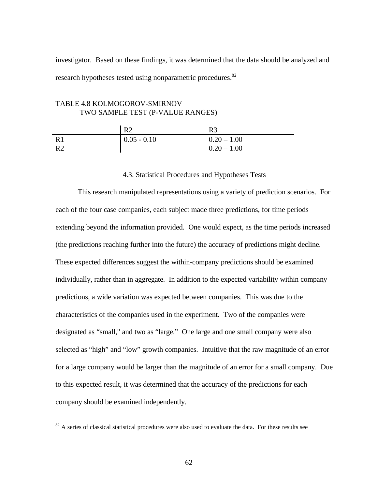investigator. Based on these findings, it was determined that the data should be analyzed and research hypotheses tested using nonparametric procedures.<sup>82</sup>

### TABLE 4.8 KOLMOGOROV-SMIRNOV TWO SAMPLE TEST (P-VALUE RANGES)

|                | R <sub>2</sub> | R3            |
|----------------|----------------|---------------|
| R1             | $0.05 - 0.10$  | $0.20 - 1.00$ |
| R <sub>2</sub> |                | $0.20 - 1.00$ |

#### 4.3. Statistical Procedures and Hypotheses Tests

This research manipulated representations using a variety of prediction scenarios. For each of the four case companies, each subject made three predictions, for time periods extending beyond the information provided. One would expect, as the time periods increased (the predictions reaching further into the future) the accuracy of predictions might decline. These expected differences suggest the within-company predictions should be examined individually, rather than in aggregate. In addition to the expected variability within company predictions, a wide variation was expected between companies. This was due to the characteristics of the companies used in the experiment. Two of the companies were designated as "small," and two as "large." One large and one small company were also selected as "high" and "low" growth companies. Intuitive that the raw magnitude of an error for a large company would be larger than the magnitude of an error for a small company. Due to this expected result, it was determined that the accuracy of the predictions for each company should be examined independently.

 $82$  A series of classical statistical procedures were also used to evaluate the data. For these results see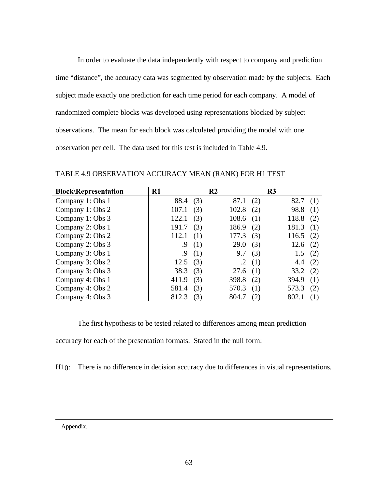In order to evaluate the data independently with respect to company and prediction time "distance", the accuracy data was segmented by observation made by the subjects. Each subject made exactly one prediction for each time period for each company. A model of randomized complete blocks was developed using representations blocked by subject observations. The mean for each block was calculated providing the model with one observation per cell. The data used for this test is included in Table 4.9.

| <b>Block\Representation</b> | $R1$  |     | R <sub>2</sub> |     | R <sub>3</sub> |     |
|-----------------------------|-------|-----|----------------|-----|----------------|-----|
| Company 1: Obs 1            | 88.4  | (3) | 87.1           | (2) | 82.7           | (1) |
| Company 1: Obs 2            | 107.1 | (3) | 102.8          | (2) | 98.8           | (1) |
| Company 1: Obs 3            | 122.1 | (3) | 108.6          | (1) | 118.8          | (2) |
| Company 2: Obs 1            | 191.7 | (3) | 186.9          | (2) | 181.3          | (1) |
| Company 2: Obs 2            | 112.1 | (1) | 177.3          | (3) | 116.5          | (2) |
| Company 2: Obs 3            | .9    | (1) | 29.0           | (3) | 12.6           | (2) |
| Company 3: Obs 1            | .9    | (1) | 9.7            | (3) | 1.5            | (2) |
| Company 3: Obs 2            | 12.5  | (3) | $\cdot$ 2      | (1) | 4.4            | (2) |
| Company 3: Obs 3            | 38.3  | (3) | 27.6           | (1) | 33.2           | (2) |
| Company 4: Obs 1            | 411.9 | (3) | 398.8          | (2) | 394.9          | (1) |
| Company 4: Obs 2            | 581.4 | (3) | 570.3          | (1) | 573.3          | (2) |
| Company 4: Obs 3            | 812.3 | (3) | 804.7          | (2) | 802.1          | (1) |

TABLE 4.9 OBSERVATION ACCURACY MEAN (RANK) FOR H1 TEST

The first hypothesis to be tested related to differences among mean prediction

accuracy for each of the presentation formats. Stated in the null form:

H<sub>10</sub>: There is no difference in decision accuracy due to differences in visual representations.

Appendix.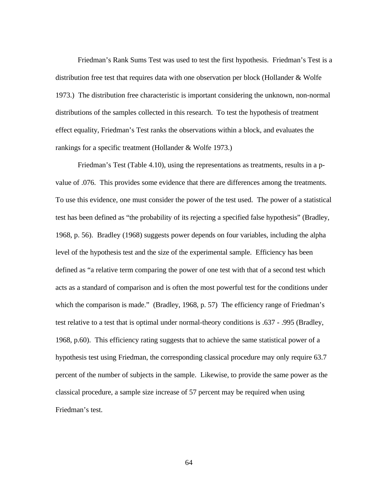Friedman's Rank Sums Test was used to test the first hypothesis. Friedman's Test is a distribution free test that requires data with one observation per block (Hollander & Wolfe 1973.) The distribution free characteristic is important considering the unknown, non-normal distributions of the samples collected in this research. To test the hypothesis of treatment effect equality, Friedman's Test ranks the observations within a block, and evaluates the rankings for a specific treatment (Hollander & Wolfe 1973.)

Friedman's Test (Table 4.10), using the representations as treatments, results in a pvalue of .076. This provides some evidence that there are differences among the treatments. To use this evidence, one must consider the power of the test used. The power of a statistical test has been defined as "the probability of its rejecting a specified false hypothesis" (Bradley, 1968, p. 56). Bradley (1968) suggests power depends on four variables, including the alpha level of the hypothesis test and the size of the experimental sample. Efficiency has been defined as "a relative term comparing the power of one test with that of a second test which acts as a standard of comparison and is often the most powerful test for the conditions under which the comparison is made." (Bradley, 1968, p. 57) The efficiency range of Friedman's test relative to a test that is optimal under normal-theory conditions is .637 - .995 (Bradley, 1968, p.60). This efficiency rating suggests that to achieve the same statistical power of a hypothesis test using Friedman, the corresponding classical procedure may only require 63.7 percent of the number of subjects in the sample. Likewise, to provide the same power as the classical procedure, a sample size increase of 57 percent may be required when using Friedman's test.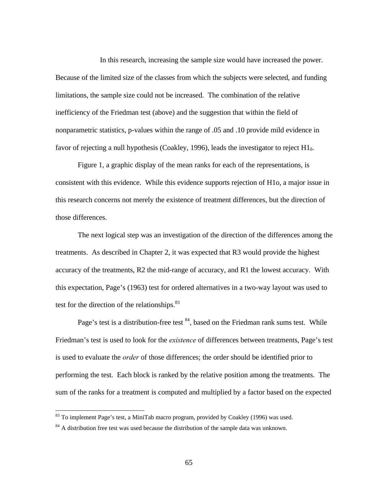In this research, increasing the sample size would have increased the power. Because of the limited size of the classes from which the subjects were selected, and funding limitations, the sample size could not be increased. The combination of the relative inefficiency of the Friedman test (above) and the suggestion that within the field of nonparametric statistics, p-values within the range of .05 and .10 provide mild evidence in favor of rejecting a null hypothesis (Coakley, 1996), leads the investigator to reject  $H1_0$ .

Figure 1, a graphic display of the mean ranks for each of the representations, is consistent with this evidence. While this evidence supports rejection of H1o, a major issue in this research concerns not merely the existence of treatment differences, but the direction of those differences.

The next logical step was an investigation of the direction of the differences among the treatments. As described in Chapter 2, it was expected that R3 would provide the highest accuracy of the treatments, R2 the mid-range of accuracy, and R1 the lowest accuracy. With this expectation, Page's (1963) test for ordered alternatives in a two-way layout was used to test for the direction of the relationships. $83$ 

Page's test is a distribution-free test  $84$ , based on the Friedman rank sums test. While Friedman's test is used to look for the *existence* of differences between treatments, Page's test is used to evaluate the *order* of those differences; the order should be identified prior to performing the test. Each block is ranked by the relative position among the treatments. The sum of the ranks for a treatment is computed and multiplied by a factor based on the expected

-

 $83$  To implement Page's test, a MiniTab macro program, provided by Coakley (1996) was used.

 $84$  A distribution free test was used because the distribution of the sample data was unknown.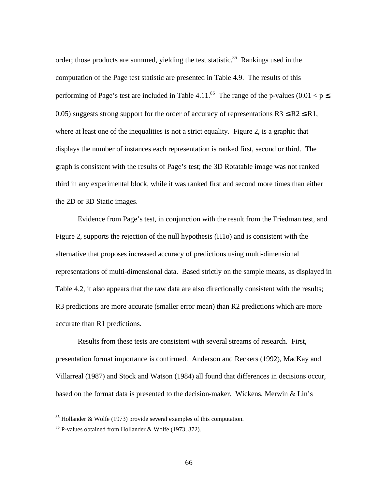order; those products are summed, yielding the test statistic.<sup>85</sup> Rankings used in the computation of the Page test statistic are presented in Table 4.9. The results of this performing of Page's test are included in Table 4.11.<sup>86</sup> The range of the p-values (0.01 <  $p \le$ 0.05) suggests strong support for the order of accuracy of representations  $R3 \leq R2 \leq R1$ , where at least one of the inequalities is not a strict equality. Figure 2, is a graphic that displays the number of instances each representation is ranked first, second or third. The graph is consistent with the results of Page's test; the 3D Rotatable image was not ranked third in any experimental block, while it was ranked first and second more times than either the 2D or 3D Static images.

Evidence from Page's test, in conjunction with the result from the Friedman test, and Figure 2, supports the rejection of the null hypothesis (H1o) and is consistent with the alternative that proposes increased accuracy of predictions using multi-dimensional representations of multi-dimensional data. Based strictly on the sample means, as displayed in Table 4.2, it also appears that the raw data are also directionally consistent with the results; R3 predictions are more accurate (smaller error mean) than R2 predictions which are more accurate than R1 predictions.

Results from these tests are consistent with several streams of research. First, presentation format importance is confirmed. Anderson and Reckers (1992), MacKay and Villarreal (1987) and Stock and Watson (1984) all found that differences in decisions occur, based on the format data is presented to the decision-maker. Wickens, Merwin & Lin's

-

 $85$  Hollander & Wolfe (1973) provide several examples of this computation.

<sup>86</sup> P-values obtained from Hollander & Wolfe (1973, 372).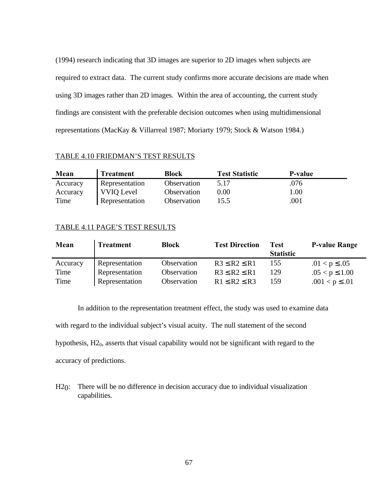(1994) research indicating that 3D images are superior to 2D images when subjects are required to extract data. The current study confirms more accurate decisions are made when using 3D images rather than 2D images. Within the area of accounting, the current study findings are consistent with the preferable decision outcomes when using multidimensional representations (MacKay & Villarreal 1987; Moriarty 1979; Stock & Watson 1984.)

## TABLE 4.10 FRIEDMAN'S TEST RESULTS

| Mean     | <b>Treatment</b>  | Block              | <b>Test Statistic</b> | <b>P-value</b> |
|----------|-------------------|--------------------|-----------------------|----------------|
| Accuracy | Representation    | <b>Observation</b> | 5.17                  | .076           |
| Accuracy | <b>VVIQ Level</b> | Observation        | $0.00\,$              | $1.00\,$       |
| Time     | Representation    | <b>Observation</b> | 15.5                  | .001           |

## TABLE 4.11 PAGE'S TEST RESULTS

| Mean     | <b>Treatment</b> | <b>Block</b> | <b>Test Direction</b> | Test<br><b>Statistic</b> | <b>P-value Range</b> |
|----------|------------------|--------------|-----------------------|--------------------------|----------------------|
| Accuracy | Representation   | Observation  | $R3 \leq R2 \leq R1$  | 155                      | $.01 < p \leq .05$   |
| Time     | Representation   | Observation  | $R3 \leq R2 \leq R1$  | 129                      | $.05 < p \le 1.00$   |
| Time     | Representation   | Observation  | $R1 \leq R2 \leq R3$  | 159                      | $.001 < p \leq .01$  |

In addition to the representation treatment effect, the study was used to examine data with regard to the individual subject's visual acuity. The null statement of the second hypothesis,  $H2<sub>0</sub>$ , asserts that visual capability would not be significant with regard to the accuracy of predictions.

H<sub>20</sub>: There will be no difference in decision accuracy due to individual visualization capabilities.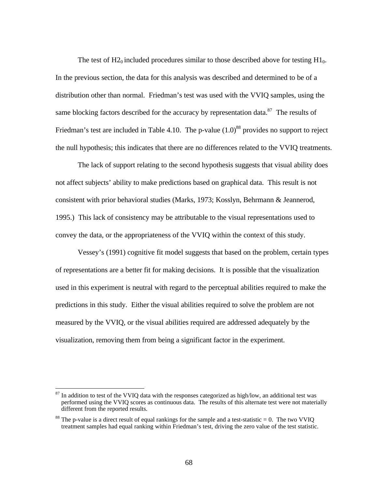The test of  $H2_0$  included procedures similar to those described above for testing  $H1_0$ . In the previous section, the data for this analysis was described and determined to be of a distribution other than normal. Friedman's test was used with the VVIQ samples, using the same blocking factors described for the accuracy by representation data. $87$  The results of Friedman's test are included in Table 4.10. The p-value  $(1.0)^{88}$  provides no support to reject the null hypothesis; this indicates that there are no differences related to the VVIQ treatments.

The lack of support relating to the second hypothesis suggests that visual ability does not affect subjects' ability to make predictions based on graphical data. This result is not consistent with prior behavioral studies (Marks, 1973; Kosslyn, Behrmann & Jeannerod, 1995.) This lack of consistency may be attributable to the visual representations used to convey the data, or the appropriateness of the VVIQ within the context of this study.

Vessey's (1991) cognitive fit model suggests that based on the problem, certain types of representations are a better fit for making decisions. It is possible that the visualization used in this experiment is neutral with regard to the perceptual abilities required to make the predictions in this study. Either the visual abilities required to solve the problem are not measured by the VVIQ, or the visual abilities required are addressed adequately by the visualization, removing them from being a significant factor in the experiment.

 $\overline{a}$ 

 $87$  In addition to test of the VVIQ data with the responses categorized as high/low, an additional test was performed using the VVIQ scores as continuous data. The results of this alternate test were not materially different from the reported results.

<sup>&</sup>lt;sup>88</sup> The p-value is a direct result of equal rankings for the sample and a test-statistic = 0. The two VVIQ treatment samples had equal ranking within Friedman's test, driving the zero value of the test statistic.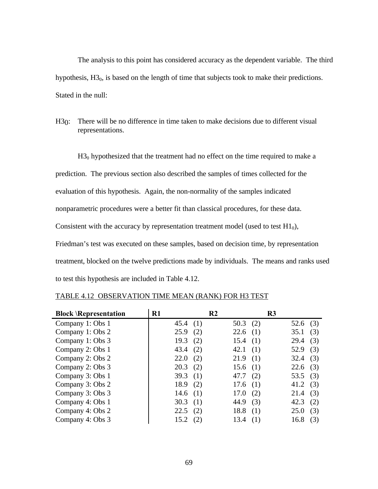The analysis to this point has considered accuracy as the dependent variable. The third hypothesis,  $H3<sub>0</sub>$ , is based on the length of time that subjects took to make their predictions. Stated in the null:

H<sub>30</sub>: There will be no difference in time taken to make decisions due to different visual representations.

 $H3<sub>0</sub>$  hypothesized that the treatment had no effect on the time required to make a prediction. The previous section also described the samples of times collected for the evaluation of this hypothesis. Again, the non-normality of the samples indicated nonparametric procedures were a better fit than classical procedures, for these data. Consistent with the accuracy by representation treatment model (used to test  $H1<sub>0</sub>$ ), Friedman's test was executed on these samples, based on decision time, by representation treatment, blocked on the twelve predictions made by individuals. The means and ranks used to test this hypothesis are included in Table 4.12.

| <b>Block \Representation</b> | $R1$       | R <sub>2</sub> |             | R <sub>3</sub> |     |
|------------------------------|------------|----------------|-------------|----------------|-----|
| Company 1: Obs 1             | 45.4(1)    |                | 50.3 $(2)$  | 52.6 $(3)$     |     |
| Company 1: Obs 2             | 25.9       | (2)            | 22.6<br>(1) | 35.1           | (3) |
| Company 1: Obs 3             | 19.3       | (2)            | 15.4<br>(1) | 29.4           | (3) |
| Company 2: Obs 1             | 43.4       | (2)            | 42.1<br>(1) | 52.9           | (3) |
| Company 2: Obs 2             | 22.0       | (2)            | 21.9<br>(1) | 32.4           | (3) |
| Company 2: Obs 3             | 20.3       | (2)            | (1)<br>15.6 | $22.6$ (3)     |     |
| Company 3: Obs 1             | 39.3       | (1)            | 47.7<br>(2) | 53.5 $(3)$     |     |
| Company 3: Obs 2             | 18.9       | (2)            | 17.6(1)     | 41.2 $(3)$     |     |
| Company 3: Obs 3             | 14.6 $(1)$ |                | (2)<br>17.0 | 21.4           | (3) |
| Company 4: Obs 1             | 30.3       | (1)            | (3)<br>44.9 | 42.3           | (2) |
| Company 4: Obs 2             | 22.5       | (2)            | 18.8<br>(1) | 25.0           | (3) |
| Company 4: Obs 3             | 15.2       | (2)            | 13.4<br>(1) | 16.8           | (3) |

# TABLE 4.12 OBSERVATION TIME MEAN (RANK) FOR H3 TEST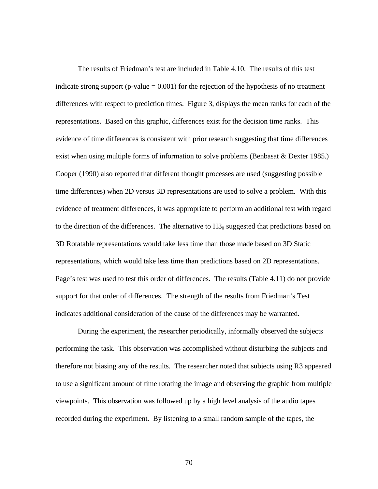The results of Friedman's test are included in Table 4.10. The results of this test indicate strong support (p-value  $= 0.001$ ) for the rejection of the hypothesis of no treatment differences with respect to prediction times. Figure 3, displays the mean ranks for each of the representations. Based on this graphic, differences exist for the decision time ranks. This evidence of time differences is consistent with prior research suggesting that time differences exist when using multiple forms of information to solve problems (Benbasat & Dexter 1985.) Cooper (1990) also reported that different thought processes are used (suggesting possible time differences) when 2D versus 3D representations are used to solve a problem. With this evidence of treatment differences, it was appropriate to perform an additional test with regard to the direction of the differences. The alternative to  $H3<sub>0</sub>$  suggested that predictions based on 3D Rotatable representations would take less time than those made based on 3D Static representations, which would take less time than predictions based on 2D representations. Page's test was used to test this order of differences. The results (Table 4.11) do not provide support for that order of differences. The strength of the results from Friedman's Test indicates additional consideration of the cause of the differences may be warranted.

During the experiment, the researcher periodically, informally observed the subjects performing the task. This observation was accomplished without disturbing the subjects and therefore not biasing any of the results. The researcher noted that subjects using R3 appeared to use a significant amount of time rotating the image and observing the graphic from multiple viewpoints. This observation was followed up by a high level analysis of the audio tapes recorded during the experiment. By listening to a small random sample of the tapes, the

70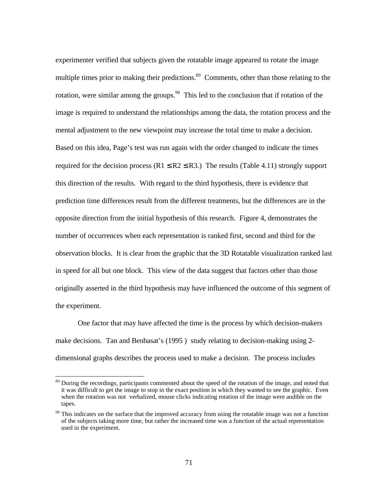experimenter verified that subjects given the rotatable image appeared to rotate the image multiple times prior to making their predictions.<sup>89</sup> Comments, other than those relating to the rotation, were similar among the groups.<sup>90</sup> This led to the conclusion that if rotation of the image is required to understand the relationships among the data, the rotation process and the mental adjustment to the new viewpoint may increase the total time to make a decision. Based on this idea, Page's test was run again with the order changed to indicate the times required for the decision process ( $R1 \leq R2 \leq R3$ .) The results (Table 4.11) strongly support this direction of the results. With regard to the third hypothesis, there is evidence that prediction time differences result from the different treatments, but the differences are in the opposite direction from the initial hypothesis of this research. Figure 4, demonstrates the number of occurrences when each representation is ranked first, second and third for the observation blocks. It is clear from the graphic that the 3D Rotatable visualization ranked last in speed for all but one block. This view of the data suggest that factors other than those originally asserted in the third hypothesis may have influenced the outcome of this segment of the experiment.

One factor that may have affected the time is the process by which decision-makers make decisions. Tan and Benbasat's (1995 ) study relating to decision-making using 2 dimensional graphs describes the process used to make a decision. The process includes

-

<sup>&</sup>lt;sup>89</sup> During the recordings, participants commented about the speed of the rotation of the image, and noted that it was difficult to get the image to stop in the exact position in which they wanted to see the graphic. Even when the rotation was not verbalized, mouse clicks indicating rotation of the image were audible on the tapes.

<sup>&</sup>lt;sup>90</sup> This indicates on the surface that the improved accuracy from using the rotatable image was not a function of the subjects taking more time, but rather the increased time was a function of the actual representation used in the experiment.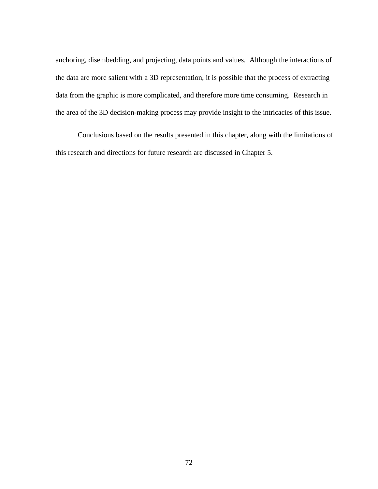anchoring, disembedding, and projecting, data points and values. Although the interactions of the data are more salient with a 3D representation, it is possible that the process of extracting data from the graphic is more complicated, and therefore more time consuming. Research in the area of the 3D decision-making process may provide insight to the intricacies of this issue.

Conclusions based on the results presented in this chapter, along with the limitations of this research and directions for future research are discussed in Chapter 5.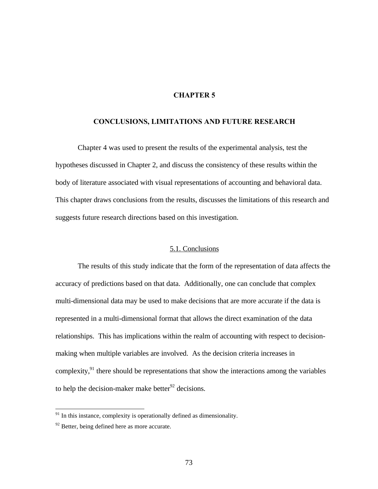# **CHAPTER 5**

### **CONCLUSIONS, LIMITATIONS AND FUTURE RESEARCH**

Chapter 4 was used to present the results of the experimental analysis, test the hypotheses discussed in Chapter 2, and discuss the consistency of these results within the body of literature associated with visual representations of accounting and behavioral data. This chapter draws conclusions from the results, discusses the limitations of this research and suggests future research directions based on this investigation.

## 5.1. Conclusions

The results of this study indicate that the form of the representation of data affects the accuracy of predictions based on that data. Additionally, one can conclude that complex multi-dimensional data may be used to make decisions that are more accurate if the data is represented in a multi-dimensional format that allows the direct examination of the data relationships. This has implications within the realm of accounting with respect to decisionmaking when multiple variables are involved. As the decision criteria increases in complexity, $^{91}$  there should be representations that show the interactions among the variables to help the decision-maker make better $92$  decisions.

 $\overline{a}$ 

 $91$  In this instance, complexity is operationally defined as dimensionality.

 $92$  Better, being defined here as more accurate.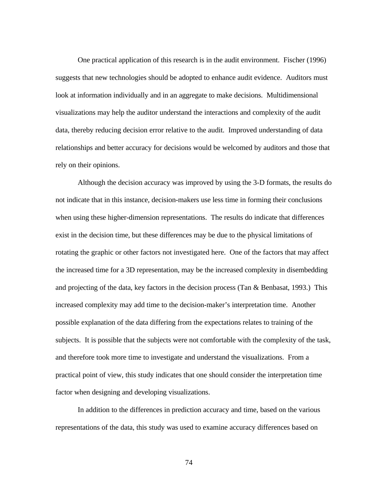One practical application of this research is in the audit environment. Fischer (1996) suggests that new technologies should be adopted to enhance audit evidence. Auditors must look at information individually and in an aggregate to make decisions. Multidimensional visualizations may help the auditor understand the interactions and complexity of the audit data, thereby reducing decision error relative to the audit. Improved understanding of data relationships and better accuracy for decisions would be welcomed by auditors and those that rely on their opinions.

Although the decision accuracy was improved by using the 3-D formats, the results do not indicate that in this instance, decision-makers use less time in forming their conclusions when using these higher-dimension representations. The results do indicate that differences exist in the decision time, but these differences may be due to the physical limitations of rotating the graphic or other factors not investigated here. One of the factors that may affect the increased time for a 3D representation, may be the increased complexity in disembedding and projecting of the data, key factors in the decision process (Tan & Benbasat, 1993.) This increased complexity may add time to the decision-maker's interpretation time. Another possible explanation of the data differing from the expectations relates to training of the subjects. It is possible that the subjects were not comfortable with the complexity of the task, and therefore took more time to investigate and understand the visualizations. From a practical point of view, this study indicates that one should consider the interpretation time factor when designing and developing visualizations.

In addition to the differences in prediction accuracy and time, based on the various representations of the data, this study was used to examine accuracy differences based on

74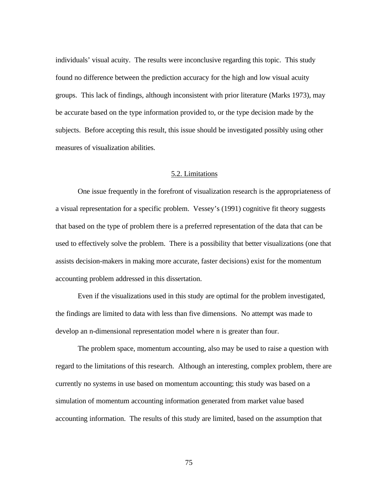individuals' visual acuity. The results were inconclusive regarding this topic. This study found no difference between the prediction accuracy for the high and low visual acuity groups. This lack of findings, although inconsistent with prior literature (Marks 1973), may be accurate based on the type information provided to, or the type decision made by the subjects. Before accepting this result, this issue should be investigated possibly using other measures of visualization abilities.

### 5.2. Limitations

One issue frequently in the forefront of visualization research is the appropriateness of a visual representation for a specific problem. Vessey's (1991) cognitive fit theory suggests that based on the type of problem there is a preferred representation of the data that can be used to effectively solve the problem. There is a possibility that better visualizations (one that assists decision-makers in making more accurate, faster decisions) exist for the momentum accounting problem addressed in this dissertation.

Even if the visualizations used in this study are optimal for the problem investigated, the findings are limited to data with less than five dimensions. No attempt was made to develop an n-dimensional representation model where n is greater than four.

The problem space, momentum accounting, also may be used to raise a question with regard to the limitations of this research. Although an interesting, complex problem, there are currently no systems in use based on momentum accounting; this study was based on a simulation of momentum accounting information generated from market value based accounting information. The results of this study are limited, based on the assumption that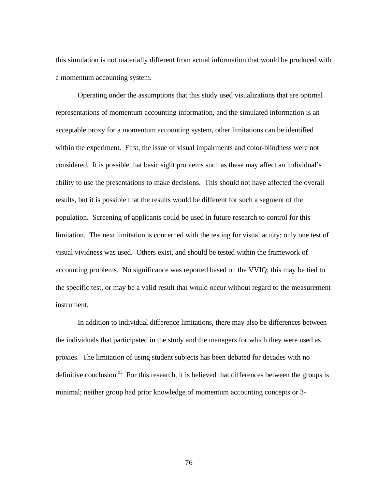this simulation is not materially different from actual information that would be produced with a momentum accounting system.

Operating under the assumptions that this study used visualizations that are optimal representations of momentum accounting information, and the simulated information is an acceptable proxy for a momentum accounting system, other limitations can be identified within the experiment. First, the issue of visual impairments and color-blindness were not considered. It is possible that basic sight problems such as these may affect an individual's ability to use the presentations to make decisions. This should not have affected the overall results, but it is possible that the results would be different for such a segment of the population. Screening of applicants could be used in future research to control for this limitation. The next limitation is concerned with the testing for visual acuity; only one test of visual vividness was used. Others exist, and should be tested within the framework of accounting problems. No significance was reported based on the VVIQ; this may be tied to the specific test, or may be a valid result that would occur without regard to the measurement instrument.

In addition to individual difference limitations, there may also be differences between the individuals that participated in the study and the managers for which they were used as proxies. The limitation of using student subjects has been debated for decades with no definitive conclusion.<sup>93</sup> For this research, it is believed that differences between the groups is minimal; neither group had prior knowledge of momentum accounting concepts or 3-

76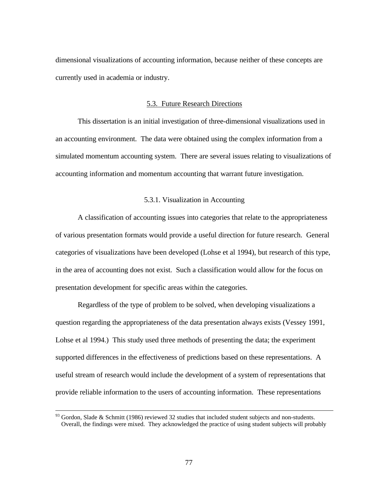dimensional visualizations of accounting information, because neither of these concepts are currently used in academia or industry.

## 5.3. Future Research Directions

This dissertation is an initial investigation of three-dimensional visualizations used in an accounting environment. The data were obtained using the complex information from a simulated momentum accounting system. There are several issues relating to visualizations of accounting information and momentum accounting that warrant future investigation.

## 5.3.1. Visualization in Accounting

A classification of accounting issues into categories that relate to the appropriateness of various presentation formats would provide a useful direction for future research. General categories of visualizations have been developed (Lohse et al 1994), but research of this type, in the area of accounting does not exist. Such a classification would allow for the focus on presentation development for specific areas within the categories.

Regardless of the type of problem to be solved, when developing visualizations a question regarding the appropriateness of the data presentation always exists (Vessey 1991, Lohse et al 1994.) This study used three methods of presenting the data; the experiment supported differences in the effectiveness of predictions based on these representations. A useful stream of research would include the development of a system of representations that provide reliable information to the users of accounting information. These representations

 $\overline{a}$ 

 $93$  Gordon, Slade & Schmitt (1986) reviewed 32 studies that included student subjects and non-students. Overall, the findings were mixed. They acknowledged the practice of using student subjects will probably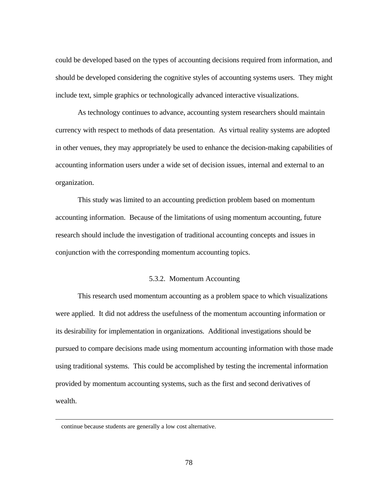could be developed based on the types of accounting decisions required from information, and should be developed considering the cognitive styles of accounting systems users. They might include text, simple graphics or technologically advanced interactive visualizations.

As technology continues to advance, accounting system researchers should maintain currency with respect to methods of data presentation. As virtual reality systems are adopted in other venues, they may appropriately be used to enhance the decision-making capabilities of accounting information users under a wide set of decision issues, internal and external to an organization.

This study was limited to an accounting prediction problem based on momentum accounting information. Because of the limitations of using momentum accounting, future research should include the investigation of traditional accounting concepts and issues in conjunction with the corresponding momentum accounting topics.

## 5.3.2. Momentum Accounting

This research used momentum accounting as a problem space to which visualizations were applied. It did not address the usefulness of the momentum accounting information or its desirability for implementation in organizations. Additional investigations should be pursued to compare decisions made using momentum accounting information with those made using traditional systems. This could be accomplished by testing the incremental information provided by momentum accounting systems, such as the first and second derivatives of wealth.

-

continue because students are generally a low cost alternative.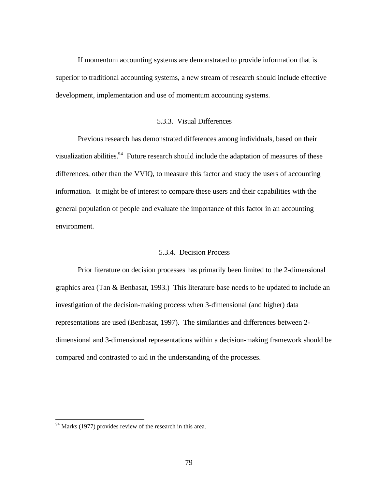If momentum accounting systems are demonstrated to provide information that is superior to traditional accounting systems, a new stream of research should include effective development, implementation and use of momentum accounting systems.

#### 5.3.3. Visual Differences

Previous research has demonstrated differences among individuals, based on their visualization abilities.<sup>94</sup> Future research should include the adaptation of measures of these differences, other than the VVIQ, to measure this factor and study the users of accounting information. It might be of interest to compare these users and their capabilities with the general population of people and evaluate the importance of this factor in an accounting environment.

## 5.3.4. Decision Process

Prior literature on decision processes has primarily been limited to the 2-dimensional graphics area (Tan & Benbasat, 1993.) This literature base needs to be updated to include an investigation of the decision-making process when 3-dimensional (and higher) data representations are used (Benbasat, 1997). The similarities and differences between 2 dimensional and 3-dimensional representations within a decision-making framework should be compared and contrasted to aid in the understanding of the processes.

-

<sup>&</sup>lt;sup>94</sup> Marks (1977) provides review of the research in this area.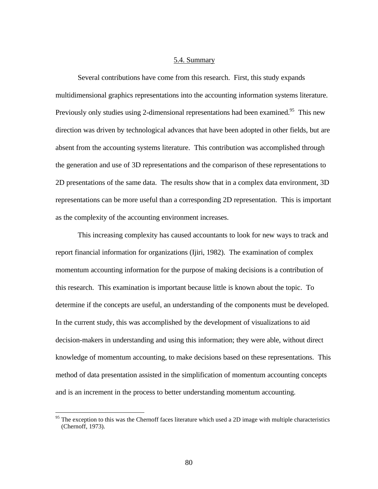#### 5.4. Summary

Several contributions have come from this research. First, this study expands multidimensional graphics representations into the accounting information systems literature. Previously only studies using 2-dimensional representations had been examined.<sup>95</sup> This new direction was driven by technological advances that have been adopted in other fields, but are absent from the accounting systems literature. This contribution was accomplished through the generation and use of 3D representations and the comparison of these representations to 2D presentations of the same data. The results show that in a complex data environment, 3D representations can be more useful than a corresponding 2D representation. This is important as the complexity of the accounting environment increases.

This increasing complexity has caused accountants to look for new ways to track and report financial information for organizations (Ijiri, 1982). The examination of complex momentum accounting information for the purpose of making decisions is a contribution of this research. This examination is important because little is known about the topic. To determine if the concepts are useful, an understanding of the components must be developed. In the current study, this was accomplished by the development of visualizations to aid decision-makers in understanding and using this information; they were able, without direct knowledge of momentum accounting, to make decisions based on these representations. This method of data presentation assisted in the simplification of momentum accounting concepts and is an increment in the process to better understanding momentum accounting.

 $\overline{a}$ 

<sup>&</sup>lt;sup>95</sup> The exception to this was the Chernoff faces literature which used a 2D image with multiple characteristics (Chernoff, 1973).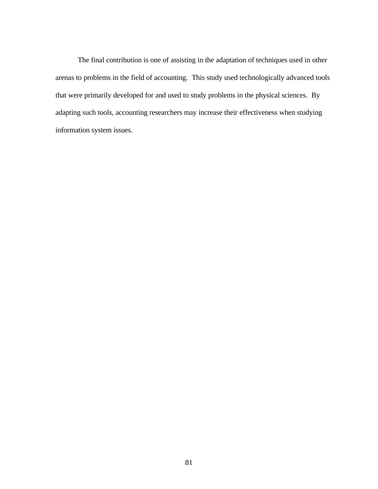The final contribution is one of assisting in the adaptation of techniques used in other arenas to problems in the field of accounting. This study used technologically advanced tools that were primarily developed for and used to study problems in the physical sciences. By adapting such tools, accounting researchers may increase their effectiveness when studying information system issues.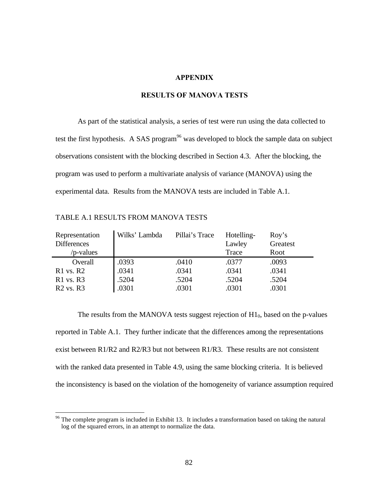#### **APPENDIX**

# **RESULTS OF MANOVA TESTS**

As part of the statistical analysis, a series of test were run using the data collected to test the first hypothesis. A SAS program<sup>96</sup> was developed to block the sample data on subject observations consistent with the blocking described in Section 4.3. After the blocking, the program was used to perform a multivariate analysis of variance (MANOVA) using the experimental data. Results from the MANOVA tests are included in Table A.1.

| Representation     | Wilks' Lambda | Pillai's Trace | Hotelling- | Roy's    |
|--------------------|---------------|----------------|------------|----------|
| <b>Differences</b> |               |                | Lawley     | Greatest |
| /p-values          |               |                | Trace      | Root     |
| Overall            | .0393         | .0410          | .0377      | .0093    |
| $R1$ vs. $R2$      | .0341         | .0341          | .0341      | .0341    |
| $R1$ vs. $R3$      | .5204         | .5204          | .5204      | .5204    |
| $R2$ vs. $R3$      | .0301         | .0301          | .0301      | .0301    |

TABLE A.1 RESULTS FROM MANOVA TESTS

 $\overline{a}$ 

The results from the MANOVA tests suggest rejection of  $H1_0$ , based on the p-values reported in Table A.1. They further indicate that the differences among the representations exist between  $R1/R2$  and  $R2/R3$  but not between  $R1/R3$ . These results are not consistent with the ranked data presented in Table 4.9, using the same blocking criteria. It is believed the inconsistency is based on the violation of the homogeneity of variance assumption required

<sup>&</sup>lt;sup>96</sup> The complete program is included in Exhibit 13. It includes a transformation based on taking the natural log of the squared errors, in an attempt to normalize the data.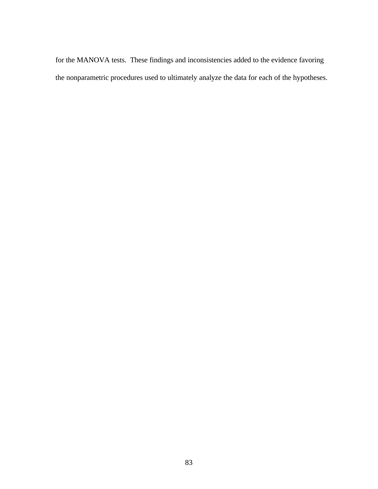for the MANOVA tests. These findings and inconsistencies added to the evidence favoring the nonparametric procedures used to ultimately analyze the data for each of the hypotheses.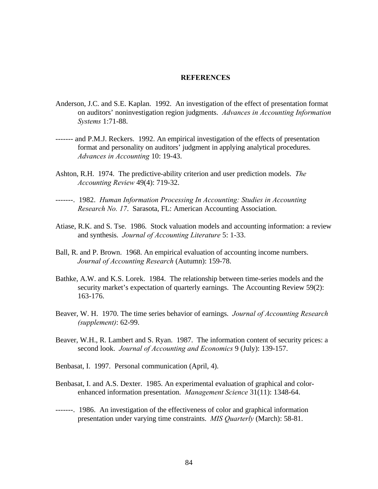### **REFERENCES**

- Anderson, J.C. and S.E. Kaplan. 1992. An investigation of the effect of presentation format on auditors' noninvestigation region judgments. *Advances in Accounting Information Systems* 1:71-88.
- ------- and P.M.J. Reckers. 1992. An empirical investigation of the effects of presentation format and personality on auditors' judgment in applying analytical procedures. *Advances in Accounting* 10: 19-43.
- Ashton, R.H. 1974. The predictive-ability criterion and user prediction models. *The Accounting Review* 49(4): 719-32.
- -------. 1982. *Human Information Processing In Accounting: Studies in Accounting Research No. 17*. Sarasota, FL: American Accounting Association.
- Atiase, R.K. and S. Tse. 1986. Stock valuation models and accounting information: a review and synthesis. *Journal of Accounting Literature* 5: 1-33.
- Ball, R. and P. Brown. 1968. An empirical evaluation of accounting income numbers. *Journal of Accounting Research* (Autumn): 159-78.
- Bathke, A.W. and K.S. Lorek. 1984. The relationship between time-series models and the security market's expectation of quarterly earnings. The Accounting Review 59(2): 163-176.
- Beaver, W. H. 1970. The time series behavior of earnings. *Journal of Accounting Research (supplement)*: 62-99.
- Beaver, W.H., R. Lambert and S. Ryan. 1987. The information content of security prices: a second look. *Journal of Accounting and Economics* 9 (July): 139-157.
- Benbasat, I. 1997. Personal communication (April, 4).
- Benbasat, I. and A.S. Dexter. 1985. An experimental evaluation of graphical and colorenhanced information presentation. *Management Science* 31(11): 1348-64.
- -------. 1986. An investigation of the effectiveness of color and graphical information presentation under varying time constraints. *MIS Quarterly* (March): 58-81.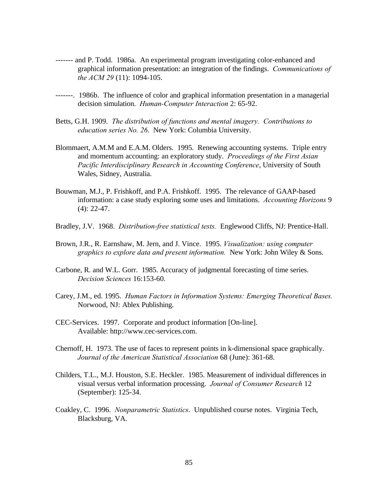- ------- and P. Todd. 1986a. An experimental program investigating color-enhanced and graphical information presentation: an integration of the findings. *Communications of the ACM 29* (11): 1094-105.
- -------. 1986b. The influence of color and graphical information presentation in a managerial decision simulation. *Human-Computer Interaction* 2: 65-92.
- Betts, G.H. 1909. *The distribution of functions and mental imagery. Contributions to education series No. 26*. New York: Columbia University.
- Blommaert, A.M.M and E.A.M. Olders. 1995. Renewing accounting systems. Triple entry and momentum accounting: an exploratory study. *Proceedings of the First Asian Pacific Interdisciplinary Research in Accounting Conference*, University of South Wales, Sidney, Australia.
- Bouwman, M.J., P. Frishkoff, and P.A. Frishkoff. 1995. The relevance of GAAP-based information: a case study exploring some uses and limitations. *Accounting Horizons* 9 (4): 22-47.
- Bradley, J.V. 1968. *Distribution-free statistical tests.* Englewood Cliffs, NJ: Prentice-Hall.
- Brown, J.R., R. Earnshaw, M. Jern, and J. Vince. 1995. *Visualization: using computer graphics to explore data and present information.* New York: John Wiley & Sons.
- Carbone, R. and W.L. Gorr. 1985. Accuracy of judgmental forecasting of time series. *Decision Sciences* 16:153-60.
- Carey, J.M., ed. 1995. *Human Factors in Information Systems: Emerging Theoretical Bases.* Norwood, NJ: Ablex Publishing.
- CEC-Services. 1997. Corporate and product information [On-line]. Available: http://www.cec-services.com.
- Chernoff, H. 1973. The use of faces to represent points in k-dimensional space graphically. *Journal of the American Statistical Association* 68 (June): 361-68.
- Childers, T.L., M.J. Houston, S.E. Heckler. 1985. Measurement of individual differences in visual versus verbal information processing. *Journal of Consumer Research* 12 (September): 125-34.
- Coakley, C. 1996. *Nonparametric Statistics*. Unpublished course notes. Virginia Tech, Blacksburg, VA.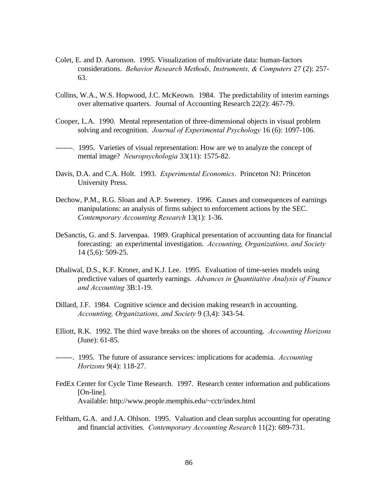- Colet, E. and D. Aaronson. 1995. Visualization of multivariate data: human-factors considerations. *Behavior Research Methods, Instruments, & Computers* 27 (2): 257- 63.
- Collins, W.A., W.S. Hopwood, J.C. McKeown. 1984. The predictability of interim earnings over alternative quarters. Journal of Accounting Research 22(2): 467-79.
- Cooper, L.A. 1990. Mental representation of three-dimensional objects in visual problem solving and recognition. *Journal of Experimental Psychology* 16 (6): 1097-106.
- -------. 1995. Varieties of visual representation: How are we to analyze the concept of mental image? *Neuropsychologia* 33(11): 1575-82.
- Davis, D.A. and C.A. Holt. 1993. *Experimental Economics*. Princeton NJ: Princeton University Press.
- Dechow, P.M., R.G. Sloan and A.P. Sweeney. 1996. Causes and consequences of earnings manipulations: an analysis of firms subject to enforcement actions by the SEC. *Contemporary Accounting Research* 13(1): 1-36.
- DeSanctis, G. and S. Jarvenpaa. 1989. Graphical presentation of accounting data for financial forecasting: an experimental investigation. *Accounting, Organizations, and Society* 14 (5,6): 509-25.
- Dhaliwal, D.S., K.F. Kroner, and K.J. Lee. 1995. Evaluation of time-series models using predictive values of quarterly earnings. *Advances in Quantitative Analysis of Finance and Accounting* 3B:1-19.
- Dillard, J.F. 1984. Cognitive science and decision making research in accounting. *Accounting, Organizations, and Society* 9 (3,4): 343-54.
- Elliott, R.K. 1992. The third wave breaks on the shores of accounting. *Accounting Horizons* (June): 61-85.
- -------. 1995. The future of assurance services: implications for academia. *Accounting Horizons* 9(4): 118-27.
- FedEx Center for Cycle Time Research. 1997. Research center information and publications [On-line]. Available: http://www.people.memphis.edu/~cctr/index.html
- Feltham, G.A. and J.A. Ohlson. 1995. Valuation and clean surplus accounting for operating and financial activities. *Contemporary Accounting Research* 11(2): 689-731.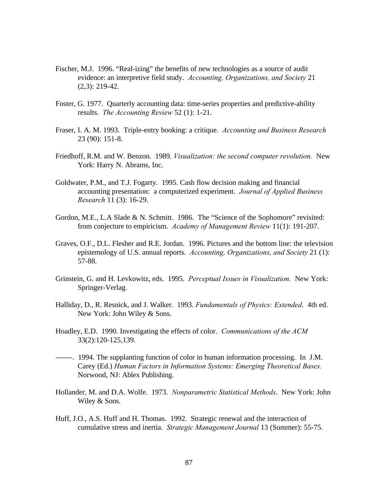- Fischer, M.J. 1996. "Real-izing" the benefits of new technologies as a source of audit evidence: an interpretive field study. *Accounting, Organizations, and Society* 21 (2,3): 219-42.
- Foster, G. 1977. Quarterly accounting data: time-series properties and predictive-ability results. *The Accounting Review* 52 (1): 1-21.
- Fraser, I. A. M. 1993. Triple-entry booking: a critique. *Accounting and Business Research* 23 (90): 151-8.
- Friedhoff, R.M. and W. Benzon. 1989. *Visualization: the second computer revolution.* New York: Harry N. Abrams, Inc.
- Goldwater, P.M., and T.J. Fogarty. 1995. Cash flow decision making and financial accounting presentation: a computerized experiment. *Journal of Applied Business Research* 11 (3): 16-29.
- Gordon, M.E., L.A Slade & N. Schmitt. 1986. The "Science of the Sophomore" revisited: from conjecture to empiricism. *Academy of Management Review* 11(1): 191-207.
- Graves, O.F., D.L. Flesher and R.E. Jordan. 1996. Pictures and the bottom line: the television epistemology of U.S. annual reports. *Accounting, Organizations, and Society* 21 (1): 57-88.
- Grinstein, G. and H. Levkowitz, eds. 1995. *Perceptual Issues in Visualization.* New York: Springer-Verlag.
- Halliday, D., R. Resnick, and J. Walker. 1993. *Fundamentals of Physics: Extended*. 4th ed. New York: John Wiley & Sons.
- Hoadley, E.D. 1990. Investigating the effects of color. *Communications of the ACM* 33(2):120-125,139.
- -------. 1994. The supplanting function of color in human information processing. In J.M. Carey (Ed.) *Human Factors in Information Systems: Emerging Theoretical Bases.* Norwood, NJ: Ablex Publishing.
- Hollander, M. and D.A. Wolfe. 1973. *Nonparametric Statistical Methods*. New York: John Wiley & Sons.
- Huff, J.O., A.S. Huff and H. Thomas. 1992. Strategic renewal and the interaction of cumulative stress and inertia. *Strategic Management Journal* 13 (Summer): 55-75.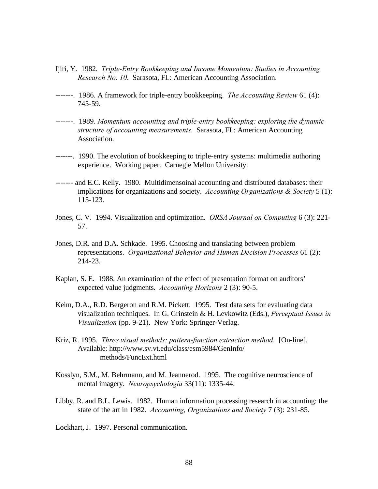- Ijiri, Y. 1982. *Triple-Entry Bookkeeping and Income Momentum: Studies in Accounting Research No. 10*. Sarasota, FL: American Accounting Association.
- -------. 1986. A framework for triple-entry bookkeeping. *The Accounting Review* 61 (4): 745-59.
- -------. 1989. *Momentum accounting and triple-entry bookkeeping: exploring the dynamic structure of accounting measurements*. Sarasota, FL: American Accounting Association.
- -------. 1990. The evolution of bookkeeping to triple-entry systems: multimedia authoring experience. Working paper. Carnegie Mellon University.
- ------- and E.C. Kelly. 1980. Multidimensoinal accounting and distributed databases: their implications for organizations and society. *Accounting Organizations & Society* 5 (1): 115-123.
- Jones, C. V. 1994. Visualization and optimization. *ORSA Journal on Computing* 6 (3): 221- 57.
- Jones, D.R. and D.A. Schkade. 1995. Choosing and translating between problem representations. *Organizational Behavior and Human Decision Processes* 61 (2): 214-23.
- Kaplan, S. E. 1988. An examination of the effect of presentation format on auditors' expected value judgments. *Accounting Horizons* 2 (3): 90-5.
- Keim, D.A., R.D. Bergeron and R.M. Pickett. 1995. Test data sets for evaluating data visualization techniques. In G. Grinstein & H. Levkowitz (Eds.), *Perceptual Issues in Visualization* (pp. 9-21). New York: Springer-Verlag.
- Kriz, R. 1995. *Three visual methods: pattern-function extraction method*. [On-line]. Available: http://www.sv.vt.edu/class/esm5984/GenInfo/ methods/FuncExt.html
- Kosslyn, S.M., M. Behrmann, and M. Jeannerod. 1995. The cognitive neuroscience of mental imagery. *Neuropsychologia* 33(11): 1335-44.
- Libby, R. and B.L. Lewis. 1982. Human information processing research in accounting: the state of the art in 1982. *Accounting, Organizations and Society* 7 (3): 231-85.

Lockhart, J. 1997. Personal communication.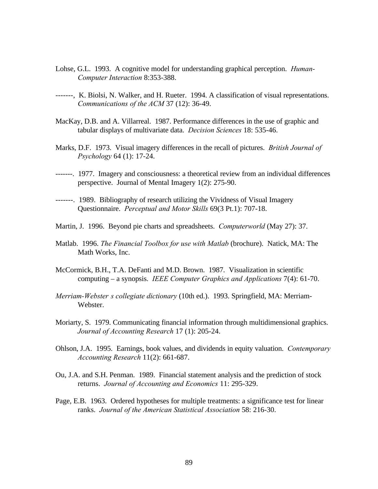- Lohse, G.L. 1993. A cognitive model for understanding graphical perception. *Human-Computer Interaction* 8:353-388.
- -------, K. Biolsi, N. Walker, and H. Rueter. 1994. A classification of visual representations. *Communications of the ACM* 37 (12): 36-49.
- MacKay, D.B. and A. Villarreal. 1987. Performance differences in the use of graphic and tabular displays of multivariate data. *Decision Sciences* 18: 535-46.
- Marks, D.F. 1973. Visual imagery differences in the recall of pictures. *British Journal of Psychology* 64 (1): 17-24.
- -------. 1977. Imagery and consciousness: a theoretical review from an individual differences perspective. Journal of Mental Imagery 1(2): 275-90.
- -------. 1989. Bibliography of research utilizing the Vividness of Visual Imagery Questionnaire. *Perceptual and Motor Skills* 69(3 Pt.1): 707-18.
- Martin, J. 1996. Beyond pie charts and spreadsheets. *Computerworld* (May 27): 37.
- Matlab. 1996. *The Financial Toolbox for use with Matlab* (brochure). Natick, MA: The Math Works, Inc.
- McCormick, B.H., T.A. DeFanti and M.D. Brown. 1987. Visualization in scientific computing – a synopsis. *IEEE Computer Graphics and Applications* 7(4): 61-70.
- *Merriam-Webster's collegiate dictionary* (10th ed.). 1993. Springfield, MA: Merriam-Webster.
- Moriarty, S. 1979. Communicating financial information through multidimensional graphics. *Journal of Accounting Research* 17 (1): 205-24.
- Ohlson, J.A. 1995. Earnings, book values, and dividends in equity valuation. *Contemporary Accounting Research* 11(2): 661-687.
- Ou, J.A. and S.H. Penman. 1989. Financial statement analysis and the prediction of stock returns. *Journal of Accounting and Economics* 11: 295-329.
- Page, E.B. 1963. Ordered hypotheses for multiple treatments: a significance test for linear ranks. *Journal of the American Statistical Association* 58: 216-30.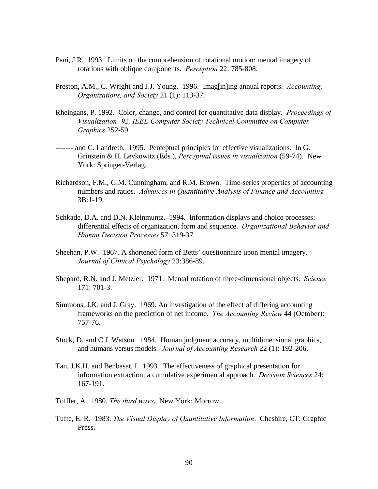- Pani, J.R. 1993. Limits on the comprehension of rotational motion: mental imagery of rotations with oblique components. *Perception* 22: 785-808.
- Preston, A.M., C. Wright and J.J. Young. 1996. Imag[in]ing annual reports. *Accounting, Organizations, and Society* 21 (1): 113-37.
- Rheingans, P. 1992. Color, change, and control for quantitative data display. *Proceedings of Visualization '92, IEEE Computer Society Technical Committee on Computer Graphics* 252-59.
- ------- and C. Landreth. 1995. Perceptual principles for effective visualizations. In G. Grinstein & H. Levkowitz (Eds.), *Perceptual issues in visualization* (59-74). New York: Springer-Verlag.
- Richardson, F.M., G.M. Cunningham, and R.M. Brown. Time-series properties of accounting numbers and ratios. *Advances in Quantitative Analysis of Finance and Accounting* 3B:1-19.
- Schkade, D.A. and D.N. Kleinmuntz. 1994. Information displays and choice processes: differential effects of organization, form and sequence. *Organizational Behavior and Human Decision Processes* 57: 319-37.
- Sheehan, P.W. 1967. A shortened form of Betts' questionnaire upon mental imagery. *Journal of Clinical Psychology* 23:386-89.
- Shepard, R.N. and J. Metzler. 1971. Mental rotation of three-dimensional objects. *Science* 171: 701-3.
- Simmons, J.K. and J. Gray. 1969. An investigation of the effect of differing accounting frameworks on the prediction of net income. *The Accounting Review* 44 (October): 757-76.
- Stock, D. and C.J. Watson. 1984. Human judgment accuracy, multidimensional graphics, and humans versus models. *Journal of Accounting Research* 22 (1): 192-206.
- Tan, J.K.H. and Benbasat, I. 1993. The effectiveness of graphical presentation for information extraction: a cumulative experimental approach. *Decision Sciences* 24: 167-191.
- Toffler, A. 1980. *The third wave*. New York: Morrow.
- Tufte, E. R. 1983. *The Visual Display of Quantitative Information*. Cheshire, CT: Graphic Press.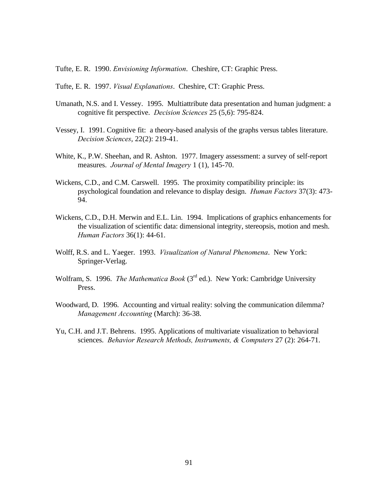Tufte, E. R. 1990. *Envisioning Information*. Cheshire, CT: Graphic Press.

- Tufte, E. R. 1997. *Visual Explanations*. Cheshire, CT: Graphic Press.
- Umanath, N.S. and I. Vessey. 1995. Multiattribute data presentation and human judgment: a cognitive fit perspective. *Decision Sciences* 25 (5,6): 795-824.
- Vessey, I. 1991. Cognitive fit: a theory-based analysis of the graphs versus tables literature. *Decision Sciences*, 22(2): 219-41.
- White, K., P.W. Sheehan, and R. Ashton. 1977. Imagery assessment: a survey of self-report measures. *Journal of Mental Imagery* 1 (1), 145-70.
- Wickens, C.D., and C.M. Carswell. 1995. The proximity compatibility principle: its psychological foundation and relevance to display design. *Human Factors* 37(3): 473- 94.
- Wickens, C.D., D.H. Merwin and E.L. Lin. 1994. Implications of graphics enhancements for the visualization of scientific data: dimensional integrity, stereopsis, motion and mesh. *Human Factors* 36(1): 44-61.
- Wolff, R.S. and L. Yaeger. 1993. *Visualization of Natural Phenomena*. New York: Springer-Verlag.
- Wolfram, S. 1996. *The Mathematica Book* (3rd ed.). New York: Cambridge University Press.
- Woodward, D. 1996. Accounting and virtual reality: solving the communication dilemma? *Management Accounting* (March): 36-38.
- Yu, C.H. and J.T. Behrens. 1995. Applications of multivariate visualization to behavioral sciences. *Behavior Research Methods, Instruments, & Computers* 27 (2): 264-71.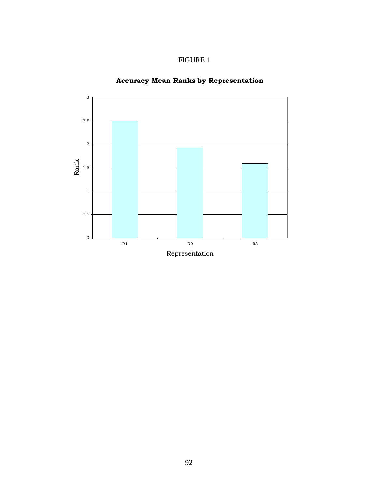



# **Accuracy Mean Ranks by Representation**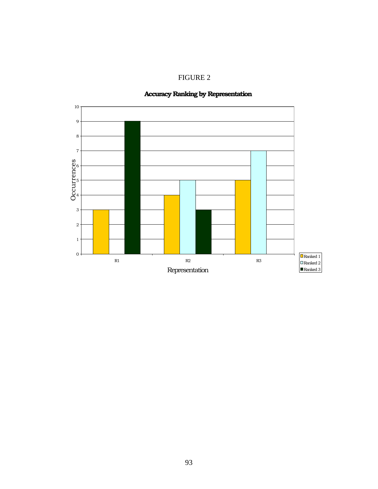FIGURE 2

# **Accuracy Ranking by Representation**

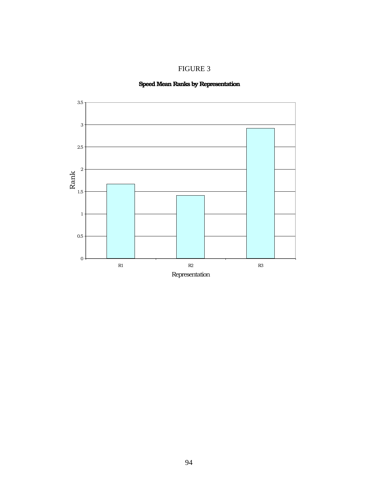

# **Speed Mean Ranks by Representation**

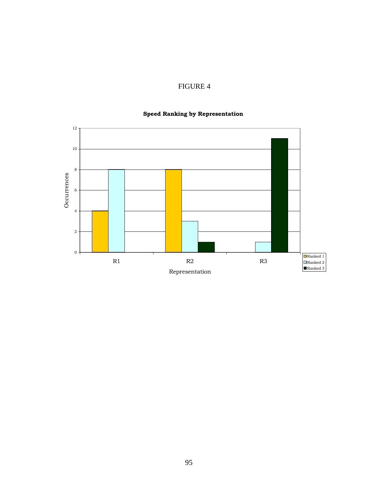# FIGURE 4

# $0 -$ 2 4 6 8 10 12 R1 R2 R3 Representation Occurrences Ranked 1 Ranked 2 Ranked 3

# **Speed Ranking by Representation**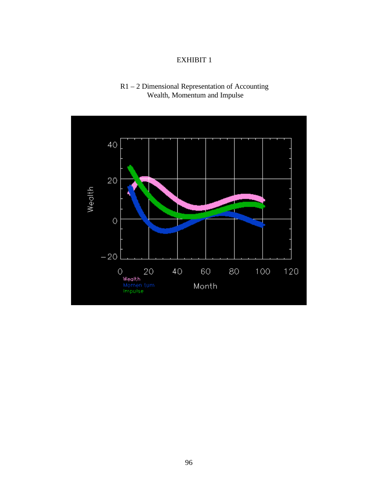# EXHIBIT 1

# R1 – 2 Dimensional Representation of Accounting Wealth, Momentum and Impulse

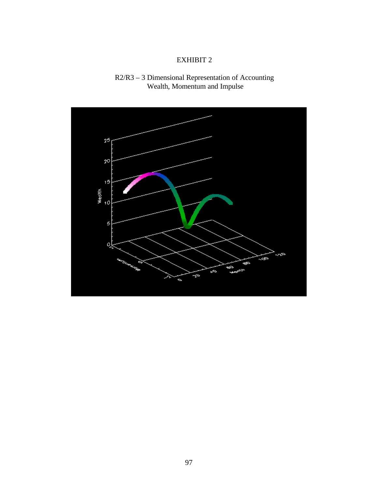# EXHIBIT 2



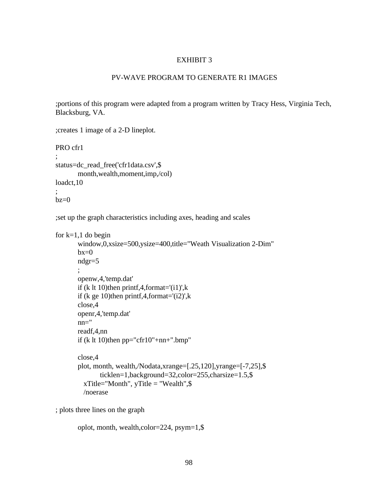### EXHIBIT 3

## PV-WAVE PROGRAM TO GENERATE R1 IMAGES

;portions of this program were adapted from a program written by Tracy Hess, Virginia Tech, Blacksburg, VA.

;creates 1 image of a 2-D lineplot.

PRO cfr1

```
;
status=dc_read_free('cfr1data.csv',$
       month,wealth,moment,imp,/col)
loadct,10
```
;  $bz=0$ 

;set up the graph characteristics including axes, heading and scales

```
for k=1,1 do begin
```

```
window,0,xsize=500,ysize=400,title="Weath Visualization 2-Dim"
bx=0ndgr=5
;
openw,4,'temp.dat'
if (k lt 10)then printf, 4, format = '(i1)', k
if (k ge 10)then printf, 4, format='(i2)', k
close,4
openr,4,'temp.dat'
nn="
readf,4,nn
if (k lt 10)then pp="cfr10"+nn="bmp"close,4
```

```
plot, month, wealth,/Nodata,xrange=[.25,120],yrange=[-7,25],$
      ticklen=1,background=32,color=255,charsize=1.5,$
 xTitle="Month", yTitle="Weather", /noerase
```
; plots three lines on the graph

```
oplot, month, wealth,color=224, psym=1,$
```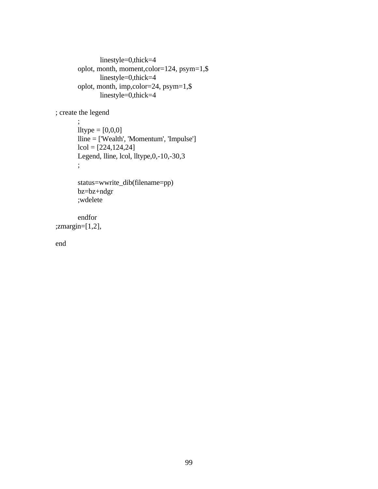```
linestyle=0,thick=4
oplot, month, moment,color=124, psym=1,$
      linestyle=0,thick=4
oplot, month, imp,color=24, psym=1,$
      linestyle=0,thick=4
```
; create the legend

; lltype =  $[0,0,0]$ lline = ['Wealth', 'Momentum', 'Impulse']  $lcol = [224, 124, 24]$ Legend, lline, lcol, lltype,0,-10,-30,3 ;

```
status=wwrite_dib(filename=pp)
bz=bz+ndgr
;wdelete
```
endfor ;zmargin=[1,2],

end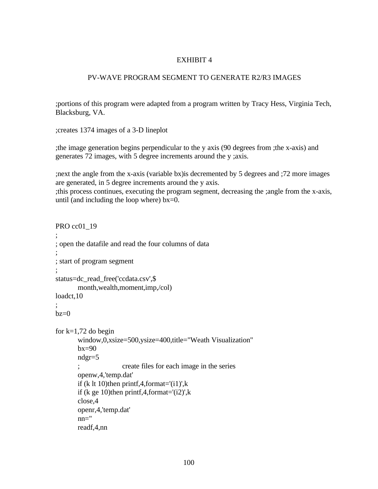### PV-WAVE PROGRAM SEGMENT TO GENERATE R2/R3 IMAGES

;portions of this program were adapted from a program written by Tracy Hess, Virginia Tech, Blacksburg, VA.

;creates 1374 images of a 3-D lineplot

;the image generation begins perpendicular to the y axis (90 degrees from ;the x-axis) and generates 72 images, with 5 degree increments around the y ;axis.

;next the angle from the x-axis (variable bx)is decremented by 5 degrees and ;72 more images are generated, in 5 degree increments around the y axis. ;this process continues, executing the program segment, decreasing the ;angle from the x-axis, until (and including the loop where)  $bx=0$ .

```
PRO cc01_19
;
; open the datafile and read the four columns of data
;
; start of program segment
;
status=dc_read_free('ccdata.csv',$
       month,wealth,moment,imp,/col)
loadct,10
;
bz=0for k=1,72 do begin
       window,0,xsize=500,ysize=400,title="Weath Visualization"
       bx=90ndgr=5
       ; create files for each image in the series
       openw,4,'temp.dat'
       if (k lt 10)then printf, 4, format='(i1)', k
       if (k ge 10)then printf, 4, format=(i2)', k
       close,4
       openr,4,'temp.dat'
       nn="
       readf,4,nn
```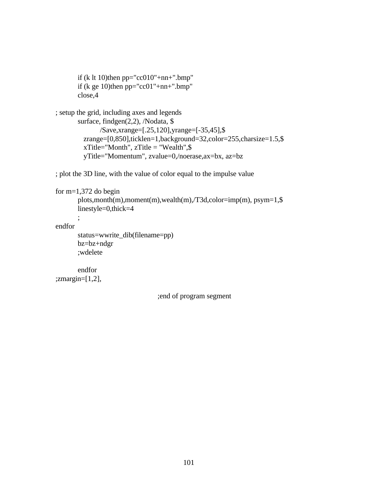```
if (k lt 10)then pp="cc010"+nn+".bmp"
if (k ge 10)then pp="cc01"+nn+".bmp"close,4
```

```
; setup the grid, including axes and legends
       surface, findgen(2,2), /Nodata, $
              /Save,xrange=[.25,120],yrange=[-35,45],$
         zrange=[0,850],ticklen=1,background=32,color=255,charsize=1.5,$
        xTitle="Month", zTitle="Weather", yTitle="Momentum", zvalue=0,/noerase,ax=bx, az=bz
```
; plot the 3D line, with the value of color equal to the impulse value

```
for m=1,372 do begin
```

```
plots,month(m),moment(m),wealth(m),/T3d,color=imp(m), psym=1,$
linestyle=0,thick=4
```
endfor

```
status=wwrite_dib(filename=pp)
bz=bz+ndgr
;wdelete
```

```
endfor
;zmargin=[1,2],
```
;

;end of program segment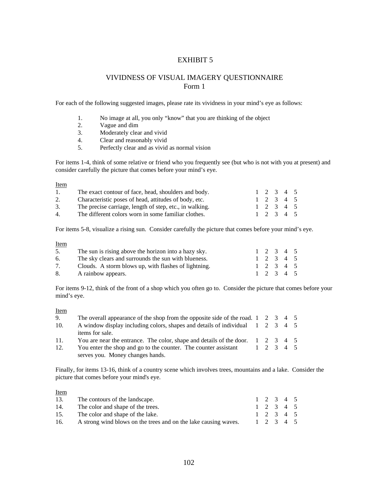## VIVIDNESS OF VISUAL IMAGERY QUESTIONNAIRE Form 1

For each of the following suggested images, please rate its vividness in your mind's eye as follows:

- 1. No image at all, you only "know" that you are thinking of the object
- 2. Vague and dim<br>3. Moderately clea
- 3. Moderately clear and vivid<br>4. Clear and reasonably vivid
- Clear and reasonably vivid
- 5. Perfectly clear and as vivid as normal vision

For items 1-4, think of some relative or friend who you frequently see (but who is not with you at present) and consider carefully the picture that comes before your mind's eye.

| <b>Item</b> |                                                         |  |                                 |  |
|-------------|---------------------------------------------------------|--|---------------------------------|--|
| 1.          | The exact contour of face, head, shoulders and body.    |  | $1\quad 2\quad 3\quad 4\quad 5$ |  |
| 2.          | Characteristic poses of head, attitudes of body, etc.   |  | 1 2 3 4 5                       |  |
| 3.          | The precise carriage, length of step, etc., in walking. |  | 1 2 3 4 5                       |  |
| $4_{\cdot}$ | The different colors worn in some familiar clothes.     |  | 1 2 3 4 5                       |  |

For items 5-8, visualize a rising sun. Consider carefully the picture that comes before your mind's eye.

Item

| 5. | The sun is rising above the horizon into a hazy sky. | 1 2 3 4 5 |  |  |
|----|------------------------------------------------------|-----------|--|--|
| 6. | The sky clears and surrounds the sun with blueness.  | 1 2 3 4 5 |  |  |
|    | Clouds. A storm blows up, with flashes of lightning. | 1 2 3 4 5 |  |  |
| 8. | A rainbow appears.                                   | 1 2 3 4 5 |  |  |

For items 9-12, think of the front of a shop which you often go to. Consider the picture that comes before your mind's eye.

Item

| 9.  | The overall appearance of the shop from the opposite side of the road. $1 \quad 2 \quad 3 \quad 4 \quad 5$ |  |           |  |  |
|-----|------------------------------------------------------------------------------------------------------------|--|-----------|--|--|
| 10. | A window display including colors, shapes and details of individual 1 2 3 4 5                              |  |           |  |  |
|     | items for sale.                                                                                            |  |           |  |  |
| 11. | You are near the entrance. The color, shape and details of the door. $1\quad 2\quad 3\quad 4\quad 5$       |  |           |  |  |
| 12. | You enter the shop and go to the counter. The counter assistant                                            |  | 1 2 3 4 5 |  |  |
|     | serves you. Money changes hands.                                                                           |  |           |  |  |

Finally, for items 13-16, think of a country scene which involves trees, mountains and a lake. Consider the picture that comes before your mind's eye.

Item

| The contours of the landscape.                                  |  |  |                                                  |
|-----------------------------------------------------------------|--|--|--------------------------------------------------|
| The color and shape of the trees.                               |  |  |                                                  |
| The color and shape of the lake.                                |  |  |                                                  |
| A strong wind blows on the trees and on the lake causing waves. |  |  |                                                  |
|                                                                 |  |  | 1 2 3 4 5<br>1 2 3 4 5<br>1 2 3 4 5<br>1 2 3 4 5 |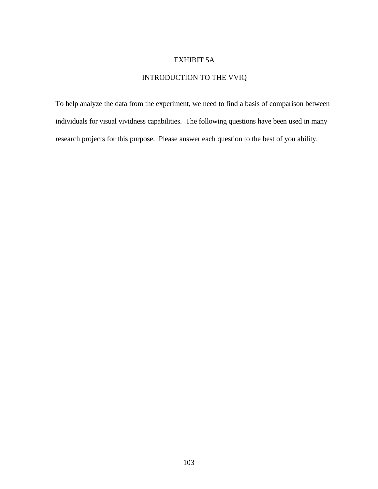# EXHIBIT 5A

# INTRODUCTION TO THE VVIQ

To help analyze the data from the experiment, we need to find a basis of comparison between individuals for visual vividness capabilities. The following questions have been used in many research projects for this purpose. Please answer each question to the best of you ability.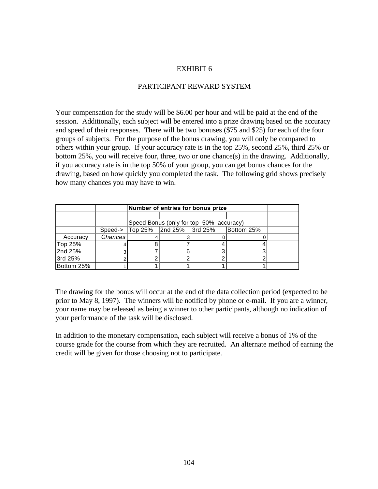## PARTICIPANT REWARD SYSTEM

Your compensation for the study will be \$6.00 per hour and will be paid at the end of the session. Additionally, each subject will be entered into a prize drawing based on the accuracy and speed of their responses. There will be two bonuses (\$75 and \$25) for each of the four groups of subjects. For the purpose of the bonus drawing, you will only be compared to others within your group. If your accuracy rate is in the top 25%, second 25%, third 25% or bottom 25%, you will receive four, three, two or one chance(s) in the drawing. Additionally, if you accuracy rate is in the top 50% of your group, you can get bonus chances for the drawing, based on how quickly you completed the task. The following grid shows precisely how many chances you may have to win.

|            |         | Number of entries for bonus prize |                                                     |                                         |  |  |  |  |
|------------|---------|-----------------------------------|-----------------------------------------------------|-----------------------------------------|--|--|--|--|
|            |         |                                   |                                                     |                                         |  |  |  |  |
|            |         |                                   |                                                     | Speed Bonus (only for top 50% accuracy) |  |  |  |  |
|            |         |                                   | Speed->   Top 25%   2nd 25%   3rd 25%<br>Bottom 25% |                                         |  |  |  |  |
| Accuracy   | Chances |                                   |                                                     |                                         |  |  |  |  |
| Top 25%    |         |                                   |                                                     |                                         |  |  |  |  |
| 2nd 25%    |         |                                   |                                                     |                                         |  |  |  |  |
| 3rd 25%    |         |                                   |                                                     |                                         |  |  |  |  |
| Bottom 25% |         |                                   |                                                     |                                         |  |  |  |  |

The drawing for the bonus will occur at the end of the data collection period (expected to be prior to May 8, 1997). The winners will be notified by phone or e-mail. If you are a winner, your name may be released as being a winner to other participants, although no indication of your performance of the task will be disclosed.

In addition to the monetary compensation, each subject will receive a bonus of 1% of the course grade for the course from which they are recruited. An alternate method of earning the credit will be given for those choosing not to participate.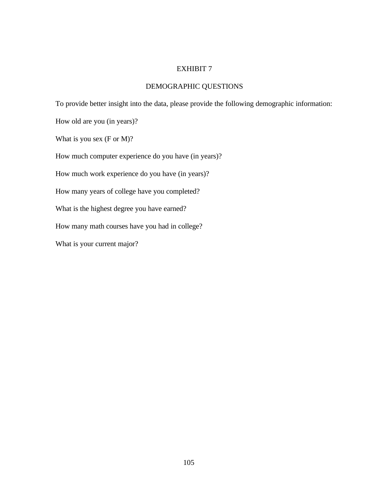# DEMOGRAPHIC QUESTIONS

To provide better insight into the data, please provide the following demographic information:

How old are you (in years)?

What is you sex (F or M)?

How much computer experience do you have (in years)?

How much work experience do you have (in years)?

How many years of college have you completed?

What is the highest degree you have earned?

How many math courses have you had in college?

What is your current major?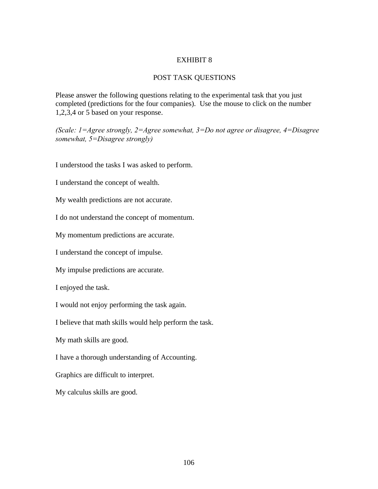#### POST TASK QUESTIONS

Please answer the following questions relating to the experimental task that you just completed (predictions for the four companies). Use the mouse to click on the number 1,2,3,4 or 5 based on your response.

*(Scale: 1=Agree strongly, 2=Agree somewhat, 3=Do not agree or disagree, 4=Disagree somewhat, 5=Disagree strongly)*

I understood the tasks I was asked to perform.

I understand the concept of wealth.

My wealth predictions are not accurate.

I do not understand the concept of momentum.

My momentum predictions are accurate.

I understand the concept of impulse.

My impulse predictions are accurate.

I enjoyed the task.

I would not enjoy performing the task again.

I believe that math skills would help perform the task.

My math skills are good.

I have a thorough understanding of Accounting.

Graphics are difficult to interpret.

My calculus skills are good.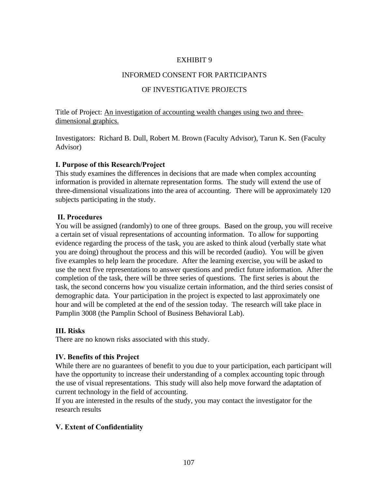#### INFORMED CONSENT FOR PARTICIPANTS

### OF INVESTIGATIVE PROJECTS

Title of Project: An investigation of accounting wealth changes using two and threedimensional graphics.

Investigators: Richard B. Dull, Robert M. Brown (Faculty Advisor), Tarun K. Sen (Faculty Advisor)

#### **I. Purpose of this Research/Project**

This study examines the differences in decisions that are made when complex accounting information is provided in alternate representation forms. The study will extend the use of three-dimensional visualizations into the area of accounting. There will be approximately 120 subjects participating in the study.

#### **II. Procedures**

You will be assigned (randomly) to one of three groups. Based on the group, you will receive a certain set of visual representations of accounting information. To allow for supporting evidence regarding the process of the task, you are asked to think aloud (verbally state what you are doing) throughout the process and this will be recorded (audio). You will be given five examples to help learn the procedure. After the learning exercise, you will be asked to use the next five representations to answer questions and predict future information. After the completion of the task, there will be three series of questions. The first series is about the task, the second concerns how you visualize certain information, and the third series consist of demographic data. Your participation in the project is expected to last approximately one hour and will be completed at the end of the session today. The research will take place in Pamplin 3008 (the Pamplin School of Business Behavioral Lab).

### **III. Risks**

There are no known risks associated with this study.

### **IV. Benefits of this Project**

While there are no guarantees of benefit to you due to your participation, each participant will have the opportunity to increase their understanding of a complex accounting topic through the use of visual representations. This study will also help move forward the adaptation of current technology in the field of accounting.

If you are interested in the results of the study, you may contact the investigator for the research results

### **V. Extent of Confidentiality**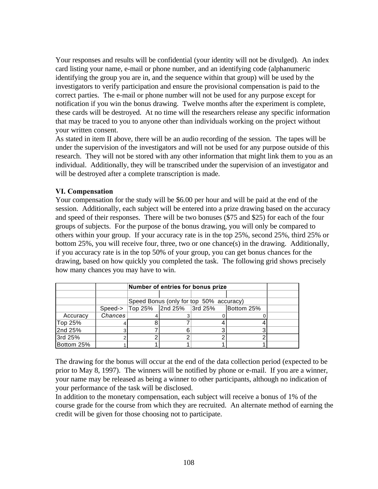Your responses and results will be confidential (your identity will not be divulged). An index card listing your name, e-mail or phone number, and an identifying code (alphanumeric identifying the group you are in, and the sequence within that group) will be used by the investigators to verify participation and ensure the provisional compensation is paid to the correct parties. The e-mail or phone number will not be used for any purpose except for notification if you win the bonus drawing. Twelve months after the experiment is complete, these cards will be destroyed. At no time will the researchers release any specific information that may be traced to you to anyone other than individuals working on the project without your written consent.

As stated in item II above, there will be an audio recording of the session. The tapes will be under the supervision of the investigators and will not be used for any purpose outside of this research. They will not be stored with any other information that might link them to you as an individual. Additionally, they will be transcribed under the supervision of an investigator and will be destroyed after a complete transcription is made.

# **VI. Compensation**

Your compensation for the study will be \$6.00 per hour and will be paid at the end of the session. Additionally, each subject will be entered into a prize drawing based on the accuracy and speed of their responses. There will be two bonuses (\$75 and \$25) for each of the four groups of subjects. For the purpose of the bonus drawing, you will only be compared to others within your group. If your accuracy rate is in the top 25%, second 25%, third 25% or bottom 25%, you will receive four, three, two or one chance(s) in the drawing. Additionally, if you accuracy rate is in the top 50% of your group, you can get bonus chances for the drawing, based on how quickly you completed the task. The following grid shows precisely how many chances you may have to win.

|            |         | Number of entries for bonus prize     |                                         |  |  |  |
|------------|---------|---------------------------------------|-----------------------------------------|--|--|--|
|            |         |                                       |                                         |  |  |  |
|            |         |                                       | Speed Bonus (only for top 50% accuracy) |  |  |  |
|            | Speed-> | Top 25% 2nd 25% 3rd 25%<br>Bottom 25% |                                         |  |  |  |
| Accuracy   | Chances |                                       |                                         |  |  |  |
| Top 25%    |         |                                       |                                         |  |  |  |
| 2nd 25%    |         |                                       |                                         |  |  |  |
| 3rd 25%    |         |                                       |                                         |  |  |  |
| Bottom 25% |         |                                       |                                         |  |  |  |

The drawing for the bonus will occur at the end of the data collection period (expected to be prior to May 8, 1997). The winners will be notified by phone or e-mail. If you are a winner, your name may be released as being a winner to other participants, although no indication of your performance of the task will be disclosed.

In addition to the monetary compensation, each subject will receive a bonus of 1% of the course grade for the course from which they are recruited. An alternate method of earning the credit will be given for those choosing not to participate.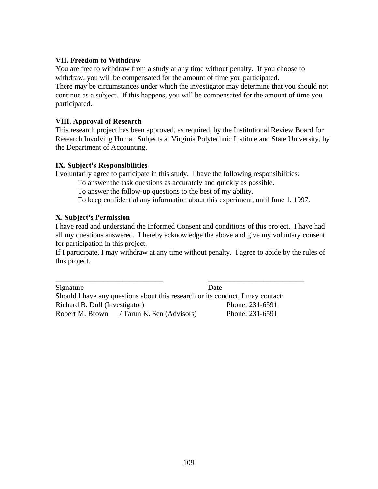## **VII. Freedom to Withdraw**

You are free to withdraw from a study at any time without penalty. If you choose to withdraw, you will be compensated for the amount of time you participated. There may be circumstances under which the investigator may determine that you should not continue as a subject. If this happens, you will be compensated for the amount of time you participated.

## **VIII. Approval of Research**

This research project has been approved, as required, by the Institutional Review Board for Research Involving Human Subjects at Virginia Polytechnic Institute and State University, by the Department of Accounting.

### **IX. Subject's Responsibilities**

I voluntarily agree to participate in this study. I have the following responsibilities:

To answer the task questions as accurately and quickly as possible.

To answer the follow-up questions to the best of my ability.

To keep confidential any information about this experiment, until June 1, 1997.

## **X. Subject's Permission**

I have read and understand the Informed Consent and conditions of this project. I have had all my questions answered. I hereby acknowledge the above and give my voluntary consent for participation in this project.

If I participate, I may withdraw at any time without penalty. I agree to abide by the rules of this project.

\_\_\_\_\_\_\_\_\_\_\_\_\_\_\_\_\_\_\_\_\_\_\_\_\_\_\_\_\_ \_\_\_\_\_\_\_\_\_\_\_\_\_\_\_\_\_\_\_\_\_\_\_\_\_\_ Signature Date Should I have any questions about this research or its conduct, I may contact: Richard B. Dull (Investigator) Phone: 231-6591 Robert M. Brown / Tarun K. Sen (Advisors) Phone: 231-6591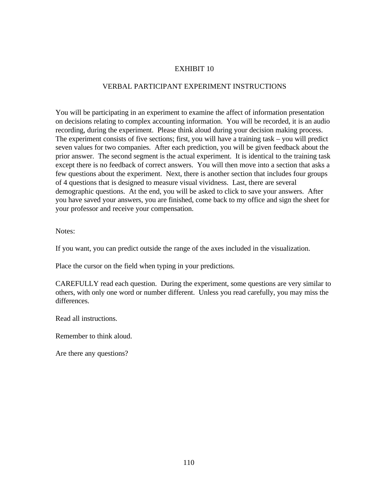## VERBAL PARTICIPANT EXPERIMENT INSTRUCTIONS

You will be participating in an experiment to examine the affect of information presentation on decisions relating to complex accounting information. You will be recorded, it is an audio recording, during the experiment. Please think aloud during your decision making process. The experiment consists of five sections; first, you will have a training task – you will predict seven values for two companies. After each prediction, you will be given feedback about the prior answer. The second segment is the actual experiment. It is identical to the training task except there is no feedback of correct answers. You will then move into a section that asks a few questions about the experiment. Next, there is another section that includes four groups of 4 questions that is designed to measure visual vividness. Last, there are several demographic questions. At the end, you will be asked to click to save your answers. After you have saved your answers, you are finished, come back to my office and sign the sheet for your professor and receive your compensation.

Notes:

If you want, you can predict outside the range of the axes included in the visualization.

Place the cursor on the field when typing in your predictions.

CAREFULLY read each question. During the experiment, some questions are very similar to others, with only one word or number different. Unless you read carefully, you may miss the differences.

Read all instructions.

Remember to think aloud.

Are there any questions?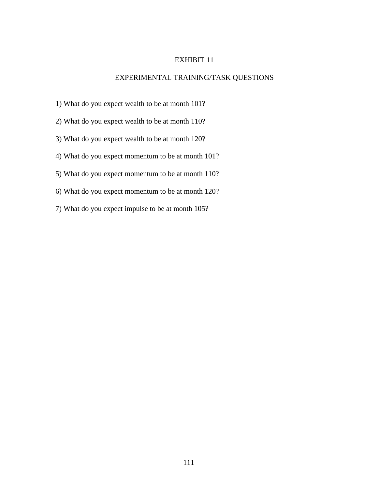# EXPERIMENTAL TRAINING/TASK QUESTIONS

- 1) What do you expect wealth to be at month 101?
- 2) What do you expect wealth to be at month 110?
- 3) What do you expect wealth to be at month 120?
- 4) What do you expect momentum to be at month 101?
- 5) What do you expect momentum to be at month 110?
- 6) What do you expect momentum to be at month 120?
- 7) What do you expect impulse to be at month 105?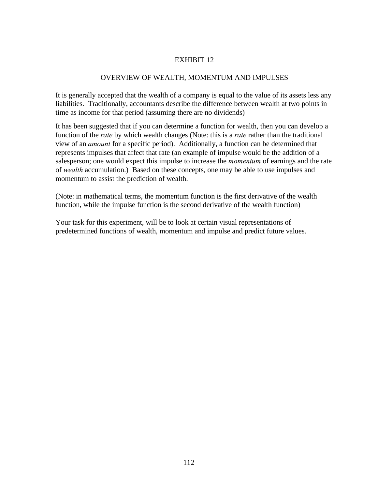## OVERVIEW OF WEALTH, MOMENTUM AND IMPULSES

It is generally accepted that the wealth of a company is equal to the value of its assets less any liabilities. Traditionally, accountants describe the difference between wealth at two points in time as income for that period (assuming there are no dividends)

It has been suggested that if you can determine a function for wealth, then you can develop a function of the *rate* by which wealth changes (Note: this is a *rate* rather than the traditional view of an *amount* for a specific period). Additionally, a function can be determined that represents impulses that affect that rate (an example of impulse would be the addition of a salesperson; one would expect this impulse to increase the *momentum* of earnings and the rate of *wealth* accumulation.) Based on these concepts, one may be able to use impulses and momentum to assist the prediction of wealth.

(Note: in mathematical terms, the momentum function is the first derivative of the wealth function, while the impulse function is the second derivative of the wealth function)

Your task for this experiment, will be to look at certain visual representations of predetermined functions of wealth, momentum and impulse and predict future values.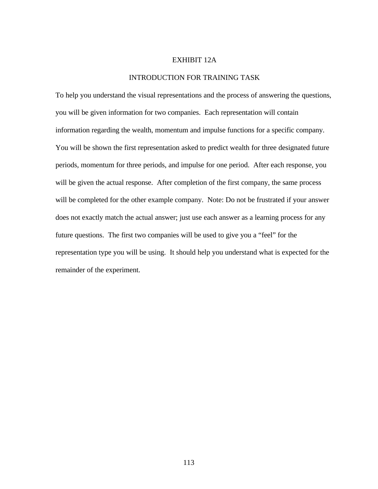#### EXHIBIT 12A

#### INTRODUCTION FOR TRAINING TASK

To help you understand the visual representations and the process of answering the questions, you will be given information for two companies. Each representation will contain information regarding the wealth, momentum and impulse functions for a specific company. You will be shown the first representation asked to predict wealth for three designated future periods, momentum for three periods, and impulse for one period. After each response, you will be given the actual response. After completion of the first company, the same process will be completed for the other example company. Note: Do not be frustrated if your answer does not exactly match the actual answer; just use each answer as a learning process for any future questions. The first two companies will be used to give you a "feel" for the representation type you will be using. It should help you understand what is expected for the remainder of the experiment.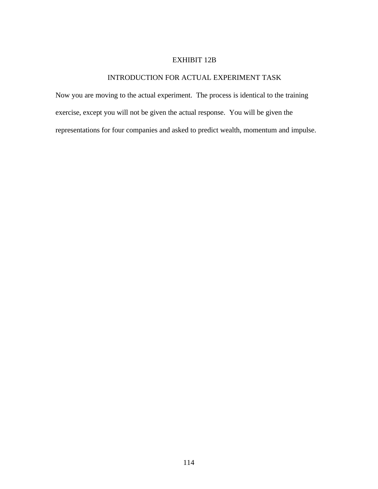## EXHIBIT 12B

# INTRODUCTION FOR ACTUAL EXPERIMENT TASK

Now you are moving to the actual experiment. The process is identical to the training exercise, except you will not be given the actual response. You will be given the representations for four companies and asked to predict wealth, momentum and impulse.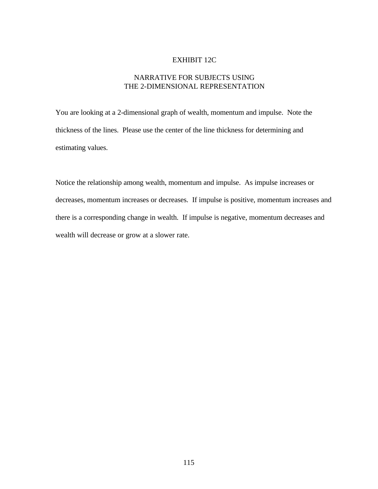#### EXHIBIT 12C

## NARRATIVE FOR SUBJECTS USING THE 2-DIMENSIONAL REPRESENTATION

You are looking at a 2-dimensional graph of wealth, momentum and impulse. Note the thickness of the lines. Please use the center of the line thickness for determining and estimating values.

Notice the relationship among wealth, momentum and impulse. As impulse increases or decreases, momentum increases or decreases. If impulse is positive, momentum increases and there is a corresponding change in wealth. If impulse is negative, momentum decreases and wealth will decrease or grow at a slower rate.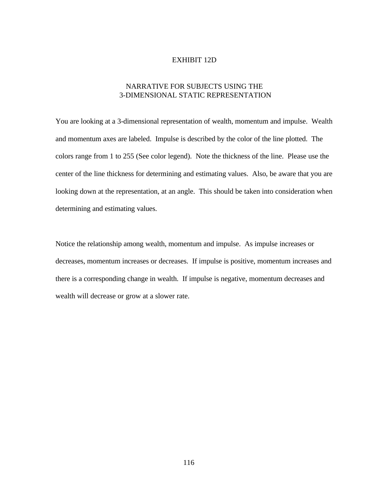#### EXHIBIT 12D

## NARRATIVE FOR SUBJECTS USING THE 3-DIMENSIONAL STATIC REPRESENTATION

You are looking at a 3-dimensional representation of wealth, momentum and impulse. Wealth and momentum axes are labeled. Impulse is described by the color of the line plotted. The colors range from 1 to 255 (See color legend). Note the thickness of the line. Please use the center of the line thickness for determining and estimating values. Also, be aware that you are looking down at the representation, at an angle. This should be taken into consideration when determining and estimating values.

Notice the relationship among wealth, momentum and impulse. As impulse increases or decreases, momentum increases or decreases. If impulse is positive, momentum increases and there is a corresponding change in wealth. If impulse is negative, momentum decreases and wealth will decrease or grow at a slower rate.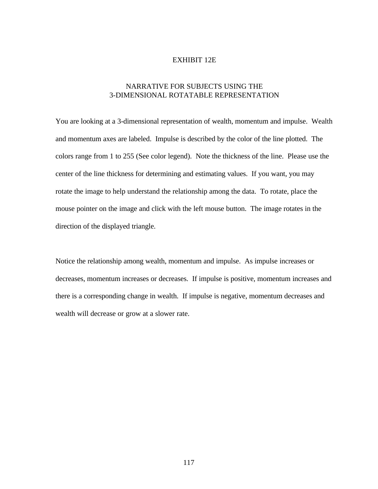#### EXHIBIT 12E

## NARRATIVE FOR SUBJECTS USING THE 3-DIMENSIONAL ROTATABLE REPRESENTATION

You are looking at a 3-dimensional representation of wealth, momentum and impulse. Wealth and momentum axes are labeled. Impulse is described by the color of the line plotted. The colors range from 1 to 255 (See color legend). Note the thickness of the line. Please use the center of the line thickness for determining and estimating values. If you want, you may rotate the image to help understand the relationship among the data. To rotate, place the mouse pointer on the image and click with the left mouse button. The image rotates in the direction of the displayed triangle.

Notice the relationship among wealth, momentum and impulse. As impulse increases or decreases, momentum increases or decreases. If impulse is positive, momentum increases and there is a corresponding change in wealth. If impulse is negative, momentum decreases and wealth will decrease or grow at a slower rate.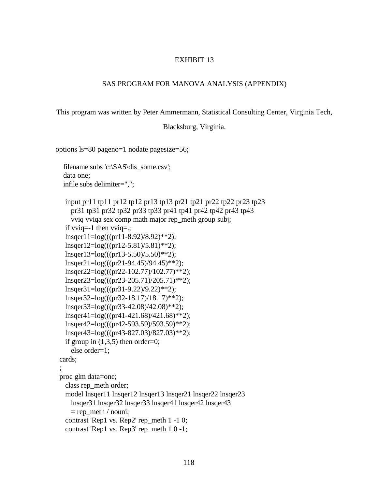#### SAS PROGRAM FOR MANOVA ANALYSIS (APPENDIX)

This program was written by Peter Ammermann, Statistical Consulting Center, Virginia Tech,

Blacksburg, Virginia.

options ls=80 pageno=1 nodate pagesize=56;

;

```
 filename subs 'c:\SAS\dis_some.csv';
  data one;
  infile subs delimiter=",";
   input pr11 tp11 pr12 tp12 pr13 tp13 pr21 tp21 pr22 tp22 pr23 tp23
    pr31 tp31 pr32 tp32 pr33 tp33 pr41 tp41 pr42 tp42 pr43 tp43
    vviq vviqa sex comp math major rep_meth group subj;
   if vviq=-1 then vviq=.;
   lnsqer11=log(((pr11-8.92)/8.92)**2);
   lnsqer12=log(((pr12-5.81)/5.81)**2);
   lnsqer13=log(((pr13-5.50)/5.50)**2);
   lnsqer21=log(((pr21-94.45)/94.45)**2);
   lnsqer22=log(((pr22-102.77)/102.77)**2);
   lnsqer23=log(((pr23-205.71)/205.71)**2);
   lnsqer31=log(((pr31-9.22)/9.22)**2);
   lnsqer32=log(((pr32-18.17)/18.17)**2);
   lnsqer33=log(((pr33-42.08)/42.08)**2);
   lnsqer41=log(((pr41-421.68)/421.68)**2);
   lnsqer42=log(((pr42-593.59)/593.59)**2);
   lnsqer43=log(((pr43-827.03)/827.03)**2);
  if group in (1,3,5) then order=0;
    else order=1;
 cards;
 proc glm data=one;
   class rep_meth order;
   model lnsqer11 lnsqer12 lnsqer13 lnsqer21 lnsqer22 lnsqer23
    lnsqer31 lnsqer32 lnsqer33 lnsqer41 lnsqer42 lnsqer43
   = rep_meth / nouni;
   contrast 'Rep1 vs. Rep2' rep_meth 1 -1 0;
  contrast 'Rep1 vs. Rep3' rep_meth 1 \ 0 -1;
```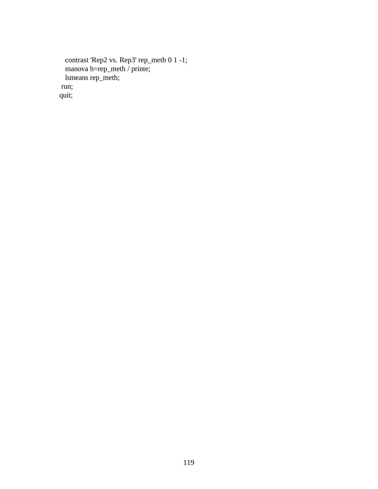```
 contrast 'Rep2 vs. Rep3' rep_meth 0 1 -1;
 manova h=rep_meth / printe;
 lsmeans rep_meth;
  run;
 quit;
```